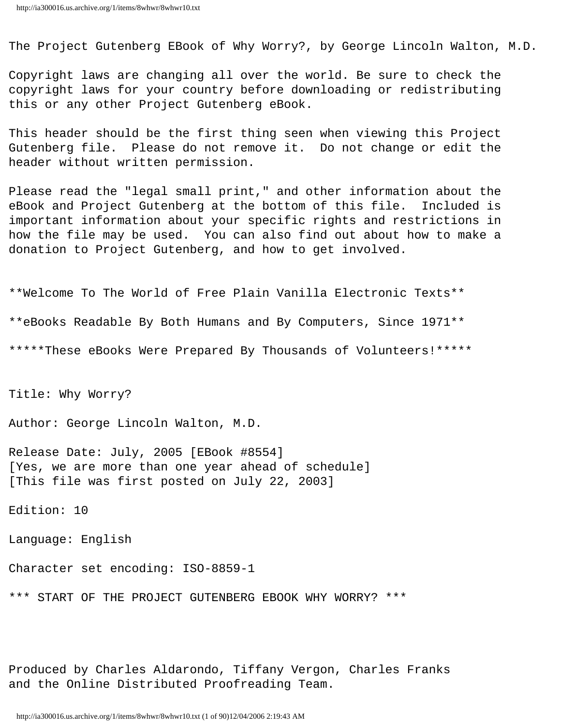The Project Gutenberg EBook of Why Worry?, by George Lincoln Walton, M.D.

Copyright laws are changing all over the world. Be sure to check the copyright laws for your country before downloading or redistributing this or any other Project Gutenberg eBook.

This header should be the first thing seen when viewing this Project Gutenberg file. Please do not remove it. Do not change or edit the header without written permission.

Please read the "legal small print," and other information about the eBook and Project Gutenberg at the bottom of this file. Included is important information about your specific rights and restrictions in how the file may be used. You can also find out about how to make a donation to Project Gutenberg, and how to get involved.

\*\*Welcome To The World of Free Plain Vanilla Electronic Texts\*\* \*\*eBooks Readable By Both Humans and By Computers, Since 1971\*\* \*\*\*\*\*These eBooks Were Prepared By Thousands of Volunteers!\*\*\*\*\*

Title: Why Worry?

Author: George Lincoln Walton, M.D.

Release Date: July, 2005 [EBook #8554] [Yes, we are more than one year ahead of schedule] [This file was first posted on July 22, 2003]

Edition: 10

Language: English

Character set encoding: ISO-8859-1

\*\*\* START OF THE PROJECT GUTENBERG EBOOK WHY WORRY? \*\*\*

Produced by Charles Aldarondo, Tiffany Vergon, Charles Franks and the Online Distributed Proofreading Team.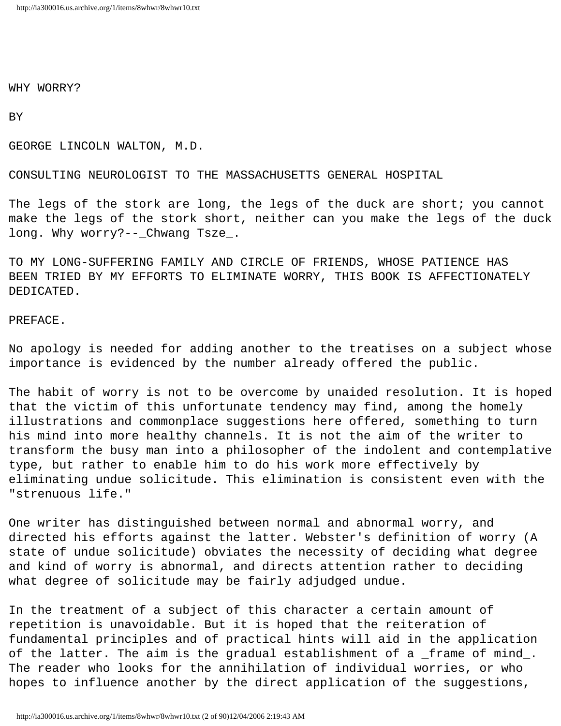WHY WORRY?

BY

GEORGE LINCOLN WALTON, M.D.

CONSULTING NEUROLOGIST TO THE MASSACHUSETTS GENERAL HOSPITAL

The legs of the stork are long, the legs of the duck are short; you cannot make the legs of the stork short, neither can you make the legs of the duck long. Why worry?--\_Chwang Tsze\_.

TO MY LONG-SUFFERING FAMILY AND CIRCLE OF FRIENDS, WHOSE PATIENCE HAS BEEN TRIED BY MY EFFORTS TO ELIMINATE WORRY, THIS BOOK IS AFFECTIONATELY DEDICATED.

# PREFACE.

No apology is needed for adding another to the treatises on a subject whose importance is evidenced by the number already offered the public.

The habit of worry is not to be overcome by unaided resolution. It is hoped that the victim of this unfortunate tendency may find, among the homely illustrations and commonplace suggestions here offered, something to turn his mind into more healthy channels. It is not the aim of the writer to transform the busy man into a philosopher of the indolent and contemplative type, but rather to enable him to do his work more effectively by eliminating undue solicitude. This elimination is consistent even with the "strenuous life."

One writer has distinguished between normal and abnormal worry, and directed his efforts against the latter. Webster's definition of worry (A state of undue solicitude) obviates the necessity of deciding what degree and kind of worry is abnormal, and directs attention rather to deciding what degree of solicitude may be fairly adjudged undue.

In the treatment of a subject of this character a certain amount of repetition is unavoidable. But it is hoped that the reiteration of fundamental principles and of practical hints will aid in the application of the latter. The aim is the gradual establishment of a \_frame of mind\_. The reader who looks for the annihilation of individual worries, or who hopes to influence another by the direct application of the suggestions,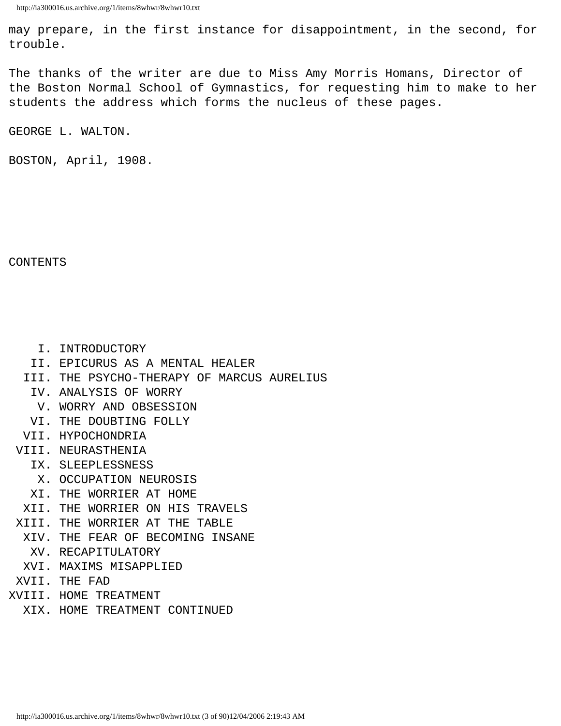may prepare, in the first instance for disappointment, in the second, for trouble.

The thanks of the writer are due to Miss Amy Morris Homans, Director of the Boston Normal School of Gymnastics, for requesting him to make to her students the address which forms the nucleus of these pages.

GEORGE L. WALTON.

BOSTON, April, 1908.

CONTENTS

I. INTRODUCTORY

- II. EPICURUS AS A MENTAL HEALER
- III. THE PSYCHO-THERAPY OF MARCUS AURELIUS
	- IV. ANALYSIS OF WORRY
	- V. WORRY AND OBSESSION
	- VI. THE DOUBTING FOLLY
- VII. HYPOCHONDRIA
- VIII. NEURASTHENIA
	- IX. SLEEPLESSNESS
		- X. OCCUPATION NEUROSIS
		- XI. THE WORRIER AT HOME
	- XII. THE WORRIER ON HIS TRAVELS
- XIII. THE WORRIER AT THE TABLE
	- XIV. THE FEAR OF BECOMING INSANE
		- XV. RECAPITULATORY
	- XVI. MAXIMS MISAPPLIED
- XVII. THE FAD
- XVIII. HOME TREATMENT
	- XIX. HOME TREATMENT CONTINUED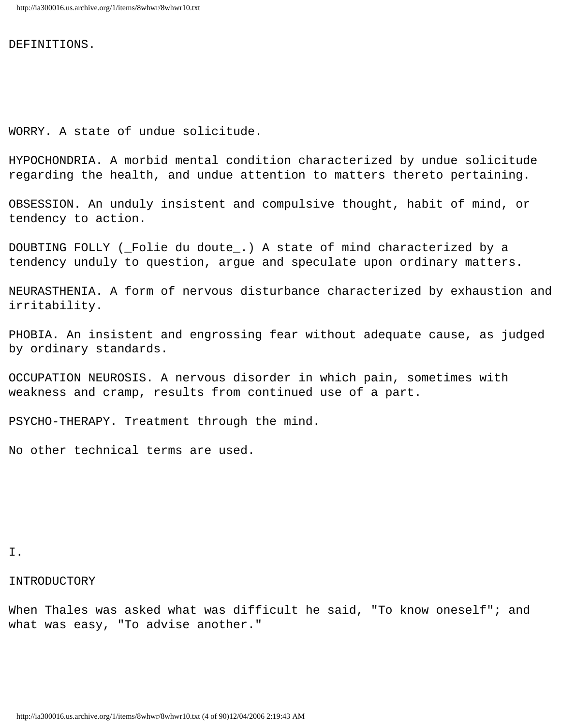DEFINITIONS.

WORRY. A state of undue solicitude.

HYPOCHONDRIA. A morbid mental condition characterized by undue solicitude regarding the health, and undue attention to matters thereto pertaining.

OBSESSION. An unduly insistent and compulsive thought, habit of mind, or tendency to action.

DOUBTING FOLLY (\_Folie du doute\_.) A state of mind characterized by a tendency unduly to question, argue and speculate upon ordinary matters.

NEURASTHENIA. A form of nervous disturbance characterized by exhaustion and irritability.

PHOBIA. An insistent and engrossing fear without adequate cause, as judged by ordinary standards.

OCCUPATION NEUROSIS. A nervous disorder in which pain, sometimes with weakness and cramp, results from continued use of a part.

PSYCHO-THERAPY. Treatment through the mind.

No other technical terms are used.

# I.

### INTRODUCTORY

When Thales was asked what was difficult he said, "To know oneself"; and what was easy, "To advise another."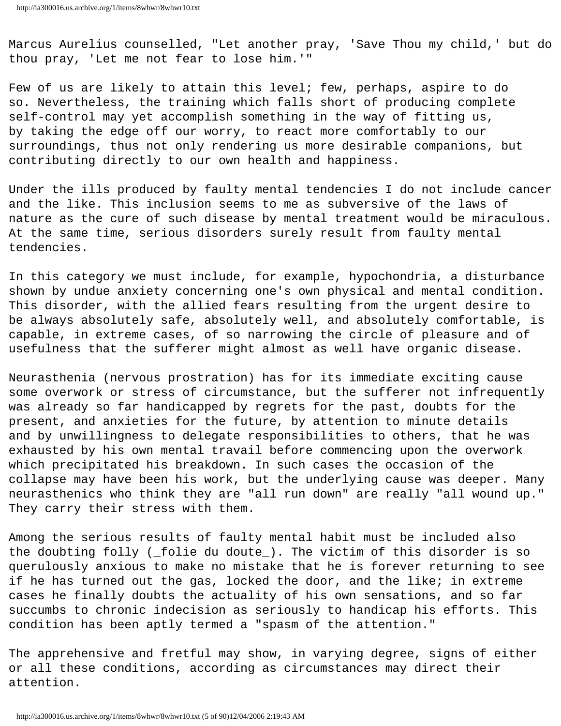Marcus Aurelius counselled, "Let another pray, 'Save Thou my child,' but do thou pray, 'Let me not fear to lose him.'"

Few of us are likely to attain this level; few, perhaps, aspire to do so. Nevertheless, the training which falls short of producing complete self-control may yet accomplish something in the way of fitting us, by taking the edge off our worry, to react more comfortably to our surroundings, thus not only rendering us more desirable companions, but contributing directly to our own health and happiness.

Under the ills produced by faulty mental tendencies I do not include cancer and the like. This inclusion seems to me as subversive of the laws of nature as the cure of such disease by mental treatment would be miraculous. At the same time, serious disorders surely result from faulty mental tendencies.

In this category we must include, for example, hypochondria, a disturbance shown by undue anxiety concerning one's own physical and mental condition. This disorder, with the allied fears resulting from the urgent desire to be always absolutely safe, absolutely well, and absolutely comfortable, is capable, in extreme cases, of so narrowing the circle of pleasure and of usefulness that the sufferer might almost as well have organic disease.

Neurasthenia (nervous prostration) has for its immediate exciting cause some overwork or stress of circumstance, but the sufferer not infrequently was already so far handicapped by regrets for the past, doubts for the present, and anxieties for the future, by attention to minute details and by unwillingness to delegate responsibilities to others, that he was exhausted by his own mental travail before commencing upon the overwork which precipitated his breakdown. In such cases the occasion of the collapse may have been his work, but the underlying cause was deeper. Many neurasthenics who think they are "all run down" are really "all wound up." They carry their stress with them.

Among the serious results of faulty mental habit must be included also the doubting folly (\_folie du doute\_). The victim of this disorder is so querulously anxious to make no mistake that he is forever returning to see if he has turned out the gas, locked the door, and the like; in extreme cases he finally doubts the actuality of his own sensations, and so far succumbs to chronic indecision as seriously to handicap his efforts. This condition has been aptly termed a "spasm of the attention."

The apprehensive and fretful may show, in varying degree, signs of either or all these conditions, according as circumstances may direct their attention.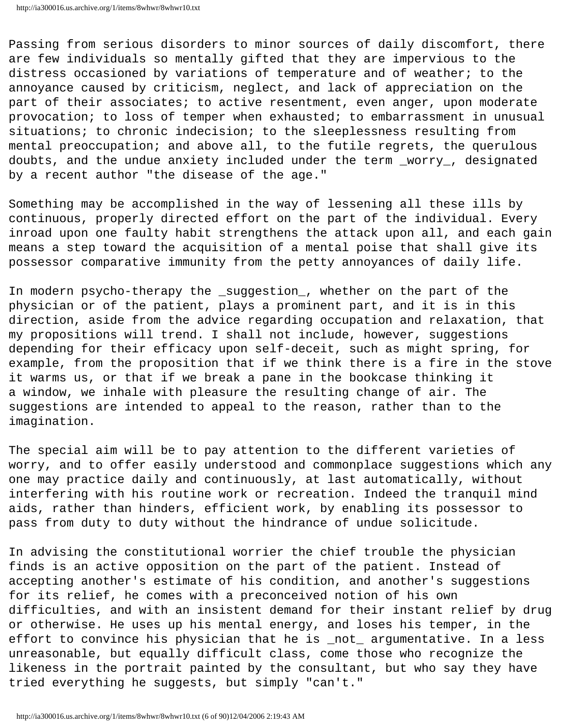```
http://ia300016.us.archive.org/1/items/8whwr/8whwr10.txt
```
Passing from serious disorders to minor sources of daily discomfort, there are few individuals so mentally gifted that they are impervious to the distress occasioned by variations of temperature and of weather; to the annoyance caused by criticism, neglect, and lack of appreciation on the part of their associates; to active resentment, even anger, upon moderate provocation; to loss of temper when exhausted; to embarrassment in unusual situations; to chronic indecision; to the sleeplessness resulting from mental preoccupation; and above all, to the futile regrets, the querulous doubts, and the undue anxiety included under the term \_worry\_, designated by a recent author "the disease of the age."

Something may be accomplished in the way of lessening all these ills by continuous, properly directed effort on the part of the individual. Every inroad upon one faulty habit strengthens the attack upon all, and each gain means a step toward the acquisition of a mental poise that shall give its possessor comparative immunity from the petty annoyances of daily life.

In modern psycho-therapy the \_suggestion\_, whether on the part of the physician or of the patient, plays a prominent part, and it is in this direction, aside from the advice regarding occupation and relaxation, that my propositions will trend. I shall not include, however, suggestions depending for their efficacy upon self-deceit, such as might spring, for example, from the proposition that if we think there is a fire in the stove it warms us, or that if we break a pane in the bookcase thinking it a window, we inhale with pleasure the resulting change of air. The suggestions are intended to appeal to the reason, rather than to the imagination.

The special aim will be to pay attention to the different varieties of worry, and to offer easily understood and commonplace suggestions which any one may practice daily and continuously, at last automatically, without interfering with his routine work or recreation. Indeed the tranquil mind aids, rather than hinders, efficient work, by enabling its possessor to pass from duty to duty without the hindrance of undue solicitude.

In advising the constitutional worrier the chief trouble the physician finds is an active opposition on the part of the patient. Instead of accepting another's estimate of his condition, and another's suggestions for its relief, he comes with a preconceived notion of his own difficulties, and with an insistent demand for their instant relief by drug or otherwise. He uses up his mental energy, and loses his temper, in the effort to convince his physician that he is \_not\_ argumentative. In a less unreasonable, but equally difficult class, come those who recognize the likeness in the portrait painted by the consultant, but who say they have tried everything he suggests, but simply "can't."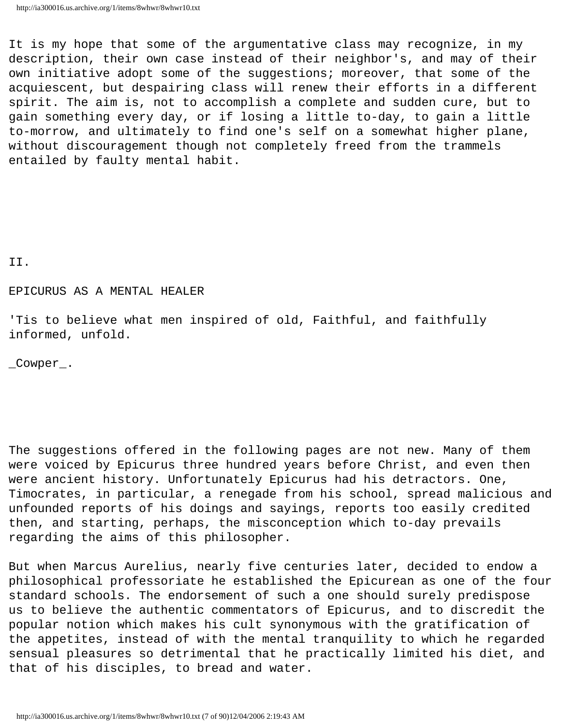It is my hope that some of the argumentative class may recognize, in my description, their own case instead of their neighbor's, and may of their own initiative adopt some of the suggestions; moreover, that some of the acquiescent, but despairing class will renew their efforts in a different spirit. The aim is, not to accomplish a complete and sudden cure, but to gain something every day, or if losing a little to-day, to gain a little to-morrow, and ultimately to find one's self on a somewhat higher plane, without discouragement though not completely freed from the trammels entailed by faulty mental habit.

II.

## EPICURUS AS A MENTAL HEALER

'Tis to believe what men inspired of old, Faithful, and faithfully informed, unfold.

\_Cowper\_.

The suggestions offered in the following pages are not new. Many of them were voiced by Epicurus three hundred years before Christ, and even then were ancient history. Unfortunately Epicurus had his detractors. One, Timocrates, in particular, a renegade from his school, spread malicious and unfounded reports of his doings and sayings, reports too easily credited then, and starting, perhaps, the misconception which to-day prevails regarding the aims of this philosopher.

But when Marcus Aurelius, nearly five centuries later, decided to endow a philosophical professoriate he established the Epicurean as one of the four standard schools. The endorsement of such a one should surely predispose us to believe the authentic commentators of Epicurus, and to discredit the popular notion which makes his cult synonymous with the gratification of the appetites, instead of with the mental tranquility to which he regarded sensual pleasures so detrimental that he practically limited his diet, and that of his disciples, to bread and water.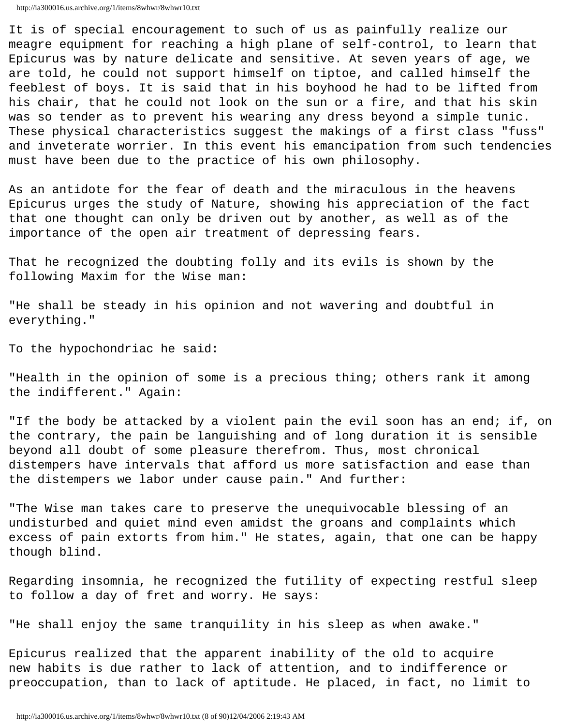```
http://ia300016.us.archive.org/1/items/8whwr/8whwr10.txt
```
It is of special encouragement to such of us as painfully realize our meagre equipment for reaching a high plane of self-control, to learn that Epicurus was by nature delicate and sensitive. At seven years of age, we are told, he could not support himself on tiptoe, and called himself the feeblest of boys. It is said that in his boyhood he had to be lifted from his chair, that he could not look on the sun or a fire, and that his skin was so tender as to prevent his wearing any dress beyond a simple tunic. These physical characteristics suggest the makings of a first class "fuss" and inveterate worrier. In this event his emancipation from such tendencies must have been due to the practice of his own philosophy.

As an antidote for the fear of death and the miraculous in the heavens Epicurus urges the study of Nature, showing his appreciation of the fact that one thought can only be driven out by another, as well as of the importance of the open air treatment of depressing fears.

That he recognized the doubting folly and its evils is shown by the following Maxim for the Wise man:

"He shall be steady in his opinion and not wavering and doubtful in everything."

To the hypochondriac he said:

"Health in the opinion of some is a precious thing; others rank it among the indifferent." Again:

"If the body be attacked by a violent pain the evil soon has an end; if, on the contrary, the pain be languishing and of long duration it is sensible beyond all doubt of some pleasure therefrom. Thus, most chronical distempers have intervals that afford us more satisfaction and ease than the distempers we labor under cause pain." And further:

"The Wise man takes care to preserve the unequivocable blessing of an undisturbed and quiet mind even amidst the groans and complaints which excess of pain extorts from him." He states, again, that one can be happy though blind.

Regarding insomnia, he recognized the futility of expecting restful sleep to follow a day of fret and worry. He says:

"He shall enjoy the same tranquility in his sleep as when awake."

Epicurus realized that the apparent inability of the old to acquire new habits is due rather to lack of attention, and to indifference or preoccupation, than to lack of aptitude. He placed, in fact, no limit to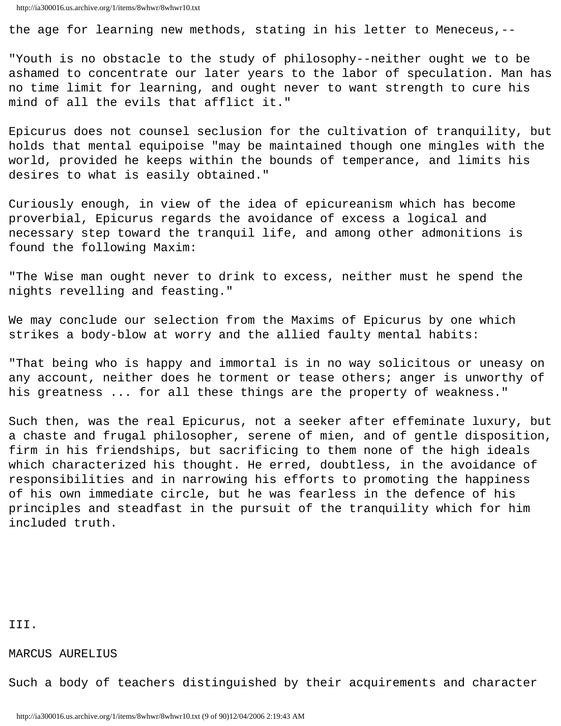the age for learning new methods, stating in his letter to Meneceus,--

"Youth is no obstacle to the study of philosophy--neither ought we to be ashamed to concentrate our later years to the labor of speculation. Man has no time limit for learning, and ought never to want strength to cure his mind of all the evils that afflict it."

Epicurus does not counsel seclusion for the cultivation of tranquility, but holds that mental equipoise "may be maintained though one mingles with the world, provided he keeps within the bounds of temperance, and limits his desires to what is easily obtained."

Curiously enough, in view of the idea of epicureanism which has become proverbial, Epicurus regards the avoidance of excess a logical and necessary step toward the tranquil life, and among other admonitions is found the following Maxim:

"The Wise man ought never to drink to excess, neither must he spend the nights revelling and feasting."

We may conclude our selection from the Maxims of Epicurus by one which strikes a body-blow at worry and the allied faulty mental habits:

"That being who is happy and immortal is in no way solicitous or uneasy on any account, neither does he torment or tease others; anger is unworthy of his greatness ... for all these things are the property of weakness."

Such then, was the real Epicurus, not a seeker after effeminate luxury, but a chaste and frugal philosopher, serene of mien, and of gentle disposition, firm in his friendships, but sacrificing to them none of the high ideals which characterized his thought. He erred, doubtless, in the avoidance of responsibilities and in narrowing his efforts to promoting the happiness of his own immediate circle, but he was fearless in the defence of his principles and steadfast in the pursuit of the tranquility which for him included truth.

III.

MARCUS AURELIUS

Such a body of teachers distinguished by their acquirements and character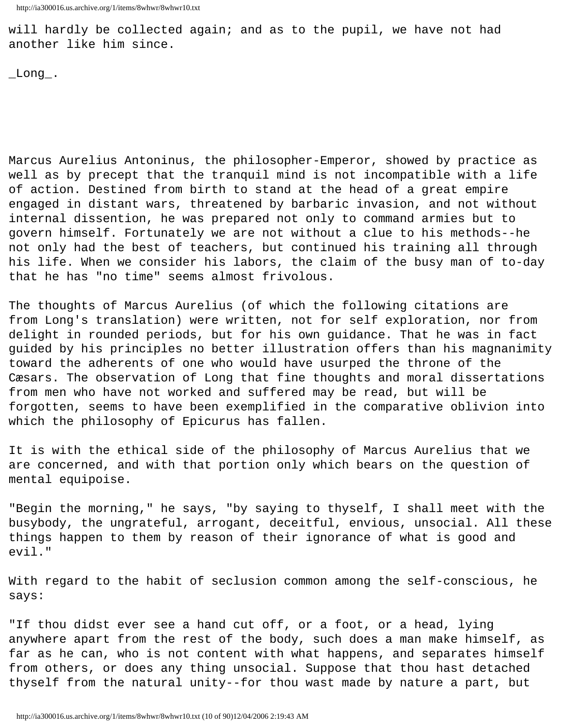will hardly be collected again; and as to the pupil, we have not had another like him since.

 $\_Long$ .

Marcus Aurelius Antoninus, the philosopher-Emperor, showed by practice as well as by precept that the tranquil mind is not incompatible with a life of action. Destined from birth to stand at the head of a great empire engaged in distant wars, threatened by barbaric invasion, and not without internal dissention, he was prepared not only to command armies but to govern himself. Fortunately we are not without a clue to his methods--he not only had the best of teachers, but continued his training all through his life. When we consider his labors, the claim of the busy man of to-day that he has "no time" seems almost frivolous.

The thoughts of Marcus Aurelius (of which the following citations are from Long's translation) were written, not for self exploration, nor from delight in rounded periods, but for his own guidance. That he was in fact guided by his principles no better illustration offers than his magnanimity toward the adherents of one who would have usurped the throne of the Cæsars. The observation of Long that fine thoughts and moral dissertations from men who have not worked and suffered may be read, but will be forgotten, seems to have been exemplified in the comparative oblivion into which the philosophy of Epicurus has fallen.

It is with the ethical side of the philosophy of Marcus Aurelius that we are concerned, and with that portion only which bears on the question of mental equipoise.

"Begin the morning," he says, "by saying to thyself, I shall meet with the busybody, the ungrateful, arrogant, deceitful, envious, unsocial. All these things happen to them by reason of their ignorance of what is good and evil."

With regard to the habit of seclusion common among the self-conscious, he says:

"If thou didst ever see a hand cut off, or a foot, or a head, lying anywhere apart from the rest of the body, such does a man make himself, as far as he can, who is not content with what happens, and separates himself from others, or does any thing unsocial. Suppose that thou hast detached thyself from the natural unity--for thou wast made by nature a part, but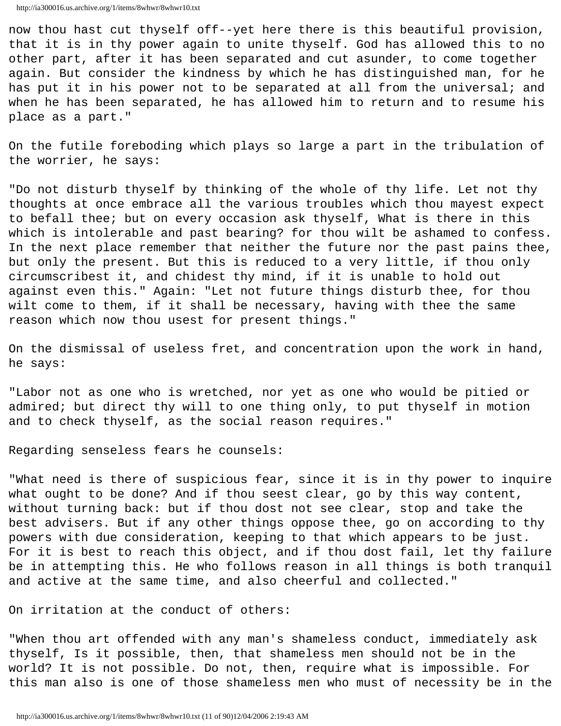now thou hast cut thyself off--yet here there is this beautiful provision, that it is in thy power again to unite thyself. God has allowed this to no other part, after it has been separated and cut asunder, to come together again. But consider the kindness by which he has distinguished man, for he has put it in his power not to be separated at all from the universal; and when he has been separated, he has allowed him to return and to resume his place as a part."

On the futile foreboding which plays so large a part in the tribulation of the worrier, he says:

"Do not disturb thyself by thinking of the whole of thy life. Let not thy thoughts at once embrace all the various troubles which thou mayest expect to befall thee; but on every occasion ask thyself, What is there in this which is intolerable and past bearing? for thou wilt be ashamed to confess. In the next place remember that neither the future nor the past pains thee, but only the present. But this is reduced to a very little, if thou only circumscribest it, and chidest thy mind, if it is unable to hold out against even this." Again: "Let not future things disturb thee, for thou wilt come to them, if it shall be necessary, having with thee the same reason which now thou usest for present things."

On the dismissal of useless fret, and concentration upon the work in hand, he says:

"Labor not as one who is wretched, nor yet as one who would be pitied or admired; but direct thy will to one thing only, to put thyself in motion and to check thyself, as the social reason requires."

Regarding senseless fears he counsels:

"What need is there of suspicious fear, since it is in thy power to inquire what ought to be done? And if thou seest clear, go by this way content, without turning back: but if thou dost not see clear, stop and take the best advisers. But if any other things oppose thee, go on according to thy powers with due consideration, keeping to that which appears to be just. For it is best to reach this object, and if thou dost fail, let thy failure be in attempting this. He who follows reason in all things is both tranquil and active at the same time, and also cheerful and collected."

On irritation at the conduct of others:

"When thou art offended with any man's shameless conduct, immediately ask thyself, Is it possible, then, that shameless men should not be in the world? It is not possible. Do not, then, require what is impossible. For this man also is one of those shameless men who must of necessity be in the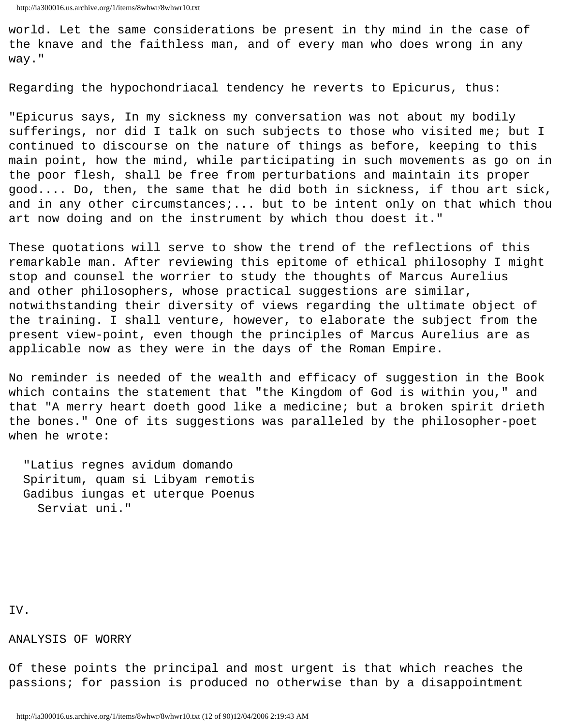world. Let the same considerations be present in thy mind in the case of the knave and the faithless man, and of every man who does wrong in any way."

Regarding the hypochondriacal tendency he reverts to Epicurus, thus:

"Epicurus says, In my sickness my conversation was not about my bodily sufferings, nor did I talk on such subjects to those who visited me; but I continued to discourse on the nature of things as before, keeping to this main point, how the mind, while participating in such movements as go on in the poor flesh, shall be free from perturbations and maintain its proper good.... Do, then, the same that he did both in sickness, if thou art sick, and in any other circumstances;... but to be intent only on that which thou art now doing and on the instrument by which thou doest it."

These quotations will serve to show the trend of the reflections of this remarkable man. After reviewing this epitome of ethical philosophy I might stop and counsel the worrier to study the thoughts of Marcus Aurelius and other philosophers, whose practical suggestions are similar, notwithstanding their diversity of views regarding the ultimate object of the training. I shall venture, however, to elaborate the subject from the present view-point, even though the principles of Marcus Aurelius are as applicable now as they were in the days of the Roman Empire.

No reminder is needed of the wealth and efficacy of suggestion in the Book which contains the statement that "the Kingdom of God is within you," and that "A merry heart doeth good like a medicine; but a broken spirit drieth the bones." One of its suggestions was paralleled by the philosopher-poet when he wrote:

 "Latius regnes avidum domando Spiritum, quam si Libyam remotis Gadibus iungas et uterque Poenus Serviat uni."

IV.

ANALYSIS OF WORRY

Of these points the principal and most urgent is that which reaches the passions; for passion is produced no otherwise than by a disappointment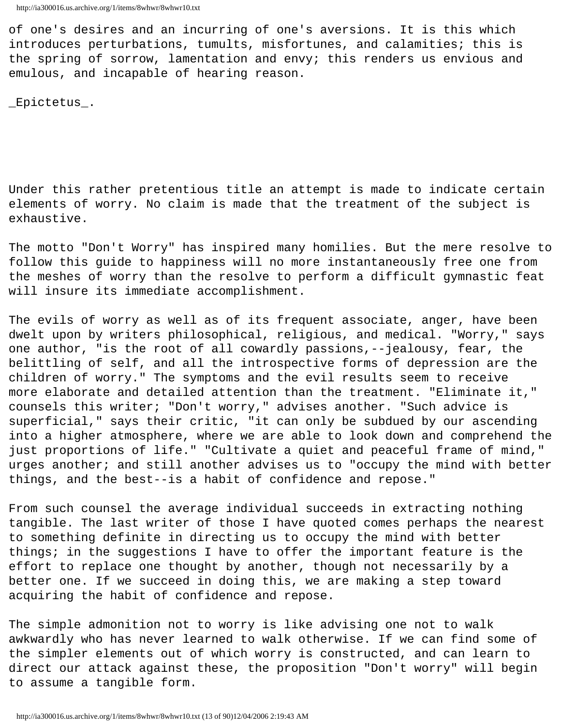of one's desires and an incurring of one's aversions. It is this which introduces perturbations, tumults, misfortunes, and calamities; this is the spring of sorrow, lamentation and envy; this renders us envious and emulous, and incapable of hearing reason.

\_Epictetus\_.

Under this rather pretentious title an attempt is made to indicate certain elements of worry. No claim is made that the treatment of the subject is exhaustive.

The motto "Don't Worry" has inspired many homilies. But the mere resolve to follow this guide to happiness will no more instantaneously free one from the meshes of worry than the resolve to perform a difficult gymnastic feat will insure its immediate accomplishment.

The evils of worry as well as of its frequent associate, anger, have been dwelt upon by writers philosophical, religious, and medical. "Worry," says one author, "is the root of all cowardly passions,--jealousy, fear, the belittling of self, and all the introspective forms of depression are the children of worry." The symptoms and the evil results seem to receive more elaborate and detailed attention than the treatment. "Eliminate it," counsels this writer; "Don't worry," advises another. "Such advice is superficial," says their critic, "it can only be subdued by our ascending into a higher atmosphere, where we are able to look down and comprehend the just proportions of life." "Cultivate a quiet and peaceful frame of mind," urges another; and still another advises us to "occupy the mind with better things, and the best--is a habit of confidence and repose."

From such counsel the average individual succeeds in extracting nothing tangible. The last writer of those I have quoted comes perhaps the nearest to something definite in directing us to occupy the mind with better things; in the suggestions I have to offer the important feature is the effort to replace one thought by another, though not necessarily by a better one. If we succeed in doing this, we are making a step toward acquiring the habit of confidence and repose.

The simple admonition not to worry is like advising one not to walk awkwardly who has never learned to walk otherwise. If we can find some of the simpler elements out of which worry is constructed, and can learn to direct our attack against these, the proposition "Don't worry" will begin to assume a tangible form.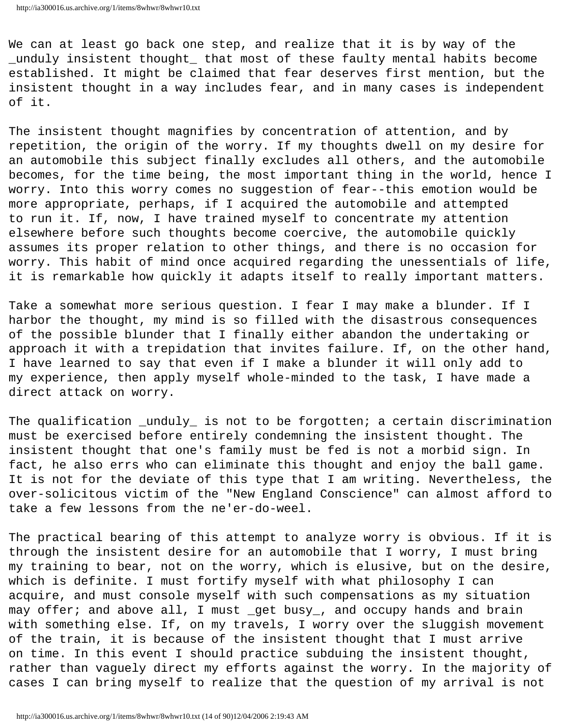We can at least go back one step, and realize that it is by way of the \_unduly insistent thought\_ that most of these faulty mental habits become established. It might be claimed that fear deserves first mention, but the insistent thought in a way includes fear, and in many cases is independent of it.

The insistent thought magnifies by concentration of attention, and by repetition, the origin of the worry. If my thoughts dwell on my desire for an automobile this subject finally excludes all others, and the automobile becomes, for the time being, the most important thing in the world, hence I worry. Into this worry comes no suggestion of fear--this emotion would be more appropriate, perhaps, if I acquired the automobile and attempted to run it. If, now, I have trained myself to concentrate my attention elsewhere before such thoughts become coercive, the automobile quickly assumes its proper relation to other things, and there is no occasion for worry. This habit of mind once acquired regarding the unessentials of life, it is remarkable how quickly it adapts itself to really important matters.

Take a somewhat more serious question. I fear I may make a blunder. If I harbor the thought, my mind is so filled with the disastrous consequences of the possible blunder that I finally either abandon the undertaking or approach it with a trepidation that invites failure. If, on the other hand, I have learned to say that even if I make a blunder it will only add to my experience, then apply myself whole-minded to the task, I have made a direct attack on worry.

The qualification \_unduly\_ is not to be forgotten; a certain discrimination must be exercised before entirely condemning the insistent thought. The insistent thought that one's family must be fed is not a morbid sign. In fact, he also errs who can eliminate this thought and enjoy the ball game. It is not for the deviate of this type that I am writing. Nevertheless, the over-solicitous victim of the "New England Conscience" can almost afford to take a few lessons from the ne'er-do-weel.

The practical bearing of this attempt to analyze worry is obvious. If it is through the insistent desire for an automobile that I worry, I must bring my training to bear, not on the worry, which is elusive, but on the desire, which is definite. I must fortify myself with what philosophy I can acquire, and must console myself with such compensations as my situation may offer; and above all, I must \_get busy\_, and occupy hands and brain with something else. If, on my travels, I worry over the sluggish movement of the train, it is because of the insistent thought that I must arrive on time. In this event I should practice subduing the insistent thought, rather than vaguely direct my efforts against the worry. In the majority of cases I can bring myself to realize that the question of my arrival is not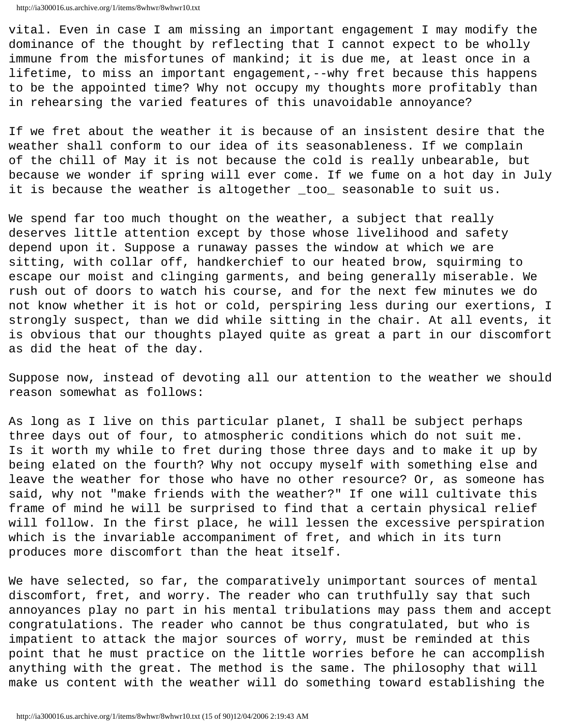vital. Even in case I am missing an important engagement I may modify the dominance of the thought by reflecting that I cannot expect to be wholly immune from the misfortunes of mankind; it is due me, at least once in a lifetime, to miss an important engagement,--why fret because this happens to be the appointed time? Why not occupy my thoughts more profitably than in rehearsing the varied features of this unavoidable annoyance?

If we fret about the weather it is because of an insistent desire that the weather shall conform to our idea of its seasonableness. If we complain of the chill of May it is not because the cold is really unbearable, but because we wonder if spring will ever come. If we fume on a hot day in July it is because the weather is altogether \_too\_ seasonable to suit us.

We spend far too much thought on the weather, a subject that really deserves little attention except by those whose livelihood and safety depend upon it. Suppose a runaway passes the window at which we are sitting, with collar off, handkerchief to our heated brow, squirming to escape our moist and clinging garments, and being generally miserable. We rush out of doors to watch his course, and for the next few minutes we do not know whether it is hot or cold, perspiring less during our exertions, I strongly suspect, than we did while sitting in the chair. At all events, it is obvious that our thoughts played quite as great a part in our discomfort as did the heat of the day.

Suppose now, instead of devoting all our attention to the weather we should reason somewhat as follows:

As long as I live on this particular planet, I shall be subject perhaps three days out of four, to atmospheric conditions which do not suit me. Is it worth my while to fret during those three days and to make it up by being elated on the fourth? Why not occupy myself with something else and leave the weather for those who have no other resource? Or, as someone has said, why not "make friends with the weather?" If one will cultivate this frame of mind he will be surprised to find that a certain physical relief will follow. In the first place, he will lessen the excessive perspiration which is the invariable accompaniment of fret, and which in its turn produces more discomfort than the heat itself.

We have selected, so far, the comparatively unimportant sources of mental discomfort, fret, and worry. The reader who can truthfully say that such annoyances play no part in his mental tribulations may pass them and accept congratulations. The reader who cannot be thus congratulated, but who is impatient to attack the major sources of worry, must be reminded at this point that he must practice on the little worries before he can accomplish anything with the great. The method is the same. The philosophy that will make us content with the weather will do something toward establishing the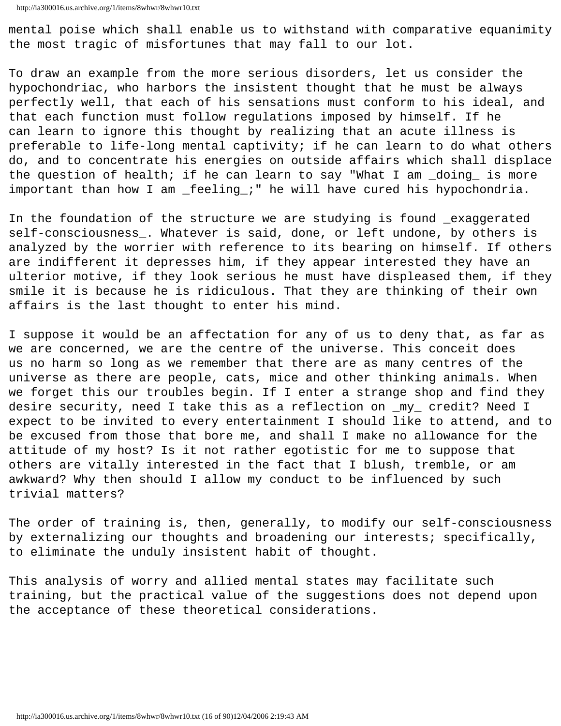mental poise which shall enable us to withstand with comparative equanimity the most tragic of misfortunes that may fall to our lot.

To draw an example from the more serious disorders, let us consider the hypochondriac, who harbors the insistent thought that he must be always perfectly well, that each of his sensations must conform to his ideal, and that each function must follow regulations imposed by himself. If he can learn to ignore this thought by realizing that an acute illness is preferable to life-long mental captivity; if he can learn to do what others do, and to concentrate his energies on outside affairs which shall displace the question of health; if he can learn to say "What I am \_doing\_ is more important than how I am \_feeling\_;" he will have cured his hypochondria.

In the foundation of the structure we are studying is found \_exaggerated self-consciousness\_. Whatever is said, done, or left undone, by others is analyzed by the worrier with reference to its bearing on himself. If others are indifferent it depresses him, if they appear interested they have an ulterior motive, if they look serious he must have displeased them, if they smile it is because he is ridiculous. That they are thinking of their own affairs is the last thought to enter his mind.

I suppose it would be an affectation for any of us to deny that, as far as we are concerned, we are the centre of the universe. This conceit does us no harm so long as we remember that there are as many centres of the universe as there are people, cats, mice and other thinking animals. When we forget this our troubles begin. If I enter a strange shop and find they desire security, need I take this as a reflection on \_my\_ credit? Need I expect to be invited to every entertainment I should like to attend, and to be excused from those that bore me, and shall I make no allowance for the attitude of my host? Is it not rather egotistic for me to suppose that others are vitally interested in the fact that I blush, tremble, or am awkward? Why then should I allow my conduct to be influenced by such trivial matters?

The order of training is, then, generally, to modify our self-consciousness by externalizing our thoughts and broadening our interests; specifically, to eliminate the unduly insistent habit of thought.

This analysis of worry and allied mental states may facilitate such training, but the practical value of the suggestions does not depend upon the acceptance of these theoretical considerations.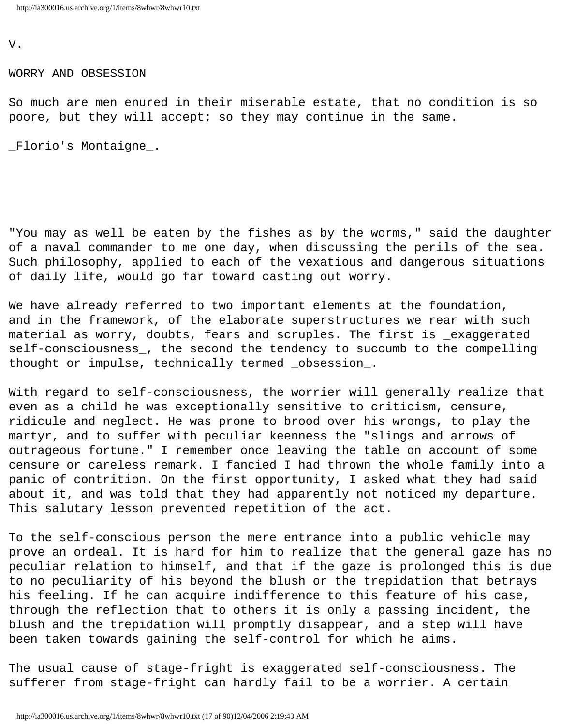V.

WORRY AND OBSESSION

So much are men enured in their miserable estate, that no condition is so poore, but they will accept; so they may continue in the same.

\_Florio's Montaigne\_.

"You may as well be eaten by the fishes as by the worms," said the daughter of a naval commander to me one day, when discussing the perils of the sea. Such philosophy, applied to each of the vexatious and dangerous situations of daily life, would go far toward casting out worry.

We have already referred to two important elements at the foundation, and in the framework, of the elaborate superstructures we rear with such material as worry, doubts, fears and scruples. The first is \_exaggerated self-consciousness\_, the second the tendency to succumb to the compelling thought or impulse, technically termed \_obsession\_.

With regard to self-consciousness, the worrier will generally realize that even as a child he was exceptionally sensitive to criticism, censure, ridicule and neglect. He was prone to brood over his wrongs, to play the martyr, and to suffer with peculiar keenness the "slings and arrows of outrageous fortune." I remember once leaving the table on account of some censure or careless remark. I fancied I had thrown the whole family into a panic of contrition. On the first opportunity, I asked what they had said about it, and was told that they had apparently not noticed my departure. This salutary lesson prevented repetition of the act.

To the self-conscious person the mere entrance into a public vehicle may prove an ordeal. It is hard for him to realize that the general gaze has no peculiar relation to himself, and that if the gaze is prolonged this is due to no peculiarity of his beyond the blush or the trepidation that betrays his feeling. If he can acquire indifference to this feature of his case, through the reflection that to others it is only a passing incident, the blush and the trepidation will promptly disappear, and a step will have been taken towards gaining the self-control for which he aims.

The usual cause of stage-fright is exaggerated self-consciousness. The sufferer from stage-fright can hardly fail to be a worrier. A certain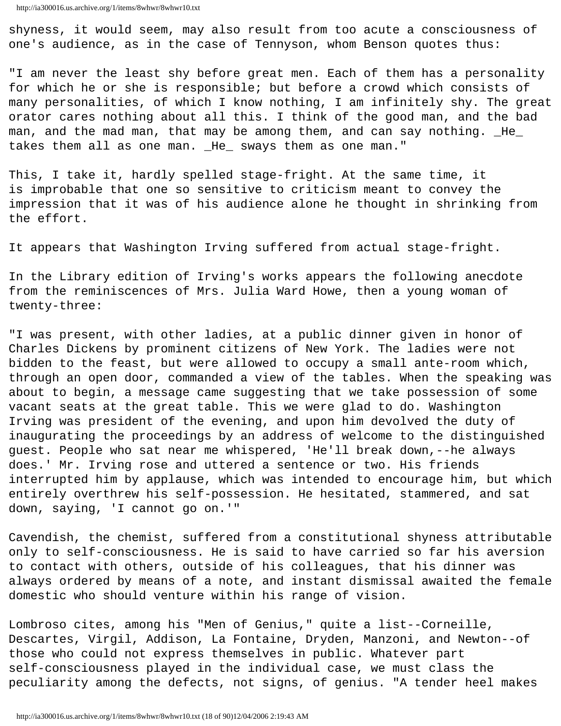shyness, it would seem, may also result from too acute a consciousness of one's audience, as in the case of Tennyson, whom Benson quotes thus:

"I am never the least shy before great men. Each of them has a personality for which he or she is responsible; but before a crowd which consists of many personalities, of which I know nothing, I am infinitely shy. The great orator cares nothing about all this. I think of the good man, and the bad man, and the mad man, that may be among them, and can say nothing. \_He\_ takes them all as one man. \_He\_ sways them as one man."

This, I take it, hardly spelled stage-fright. At the same time, it is improbable that one so sensitive to criticism meant to convey the impression that it was of his audience alone he thought in shrinking from the effort.

It appears that Washington Irving suffered from actual stage-fright.

In the Library edition of Irving's works appears the following anecdote from the reminiscences of Mrs. Julia Ward Howe, then a young woman of twenty-three:

"I was present, with other ladies, at a public dinner given in honor of Charles Dickens by prominent citizens of New York. The ladies were not bidden to the feast, but were allowed to occupy a small ante-room which, through an open door, commanded a view of the tables. When the speaking was about to begin, a message came suggesting that we take possession of some vacant seats at the great table. This we were glad to do. Washington Irving was president of the evening, and upon him devolved the duty of inaugurating the proceedings by an address of welcome to the distinguished guest. People who sat near me whispered, 'He'll break down,--he always does.' Mr. Irving rose and uttered a sentence or two. His friends interrupted him by applause, which was intended to encourage him, but which entirely overthrew his self-possession. He hesitated, stammered, and sat down, saying, 'I cannot go on.'"

Cavendish, the chemist, suffered from a constitutional shyness attributable only to self-consciousness. He is said to have carried so far his aversion to contact with others, outside of his colleagues, that his dinner was always ordered by means of a note, and instant dismissal awaited the female domestic who should venture within his range of vision.

Lombroso cites, among his "Men of Genius," quite a list--Corneille, Descartes, Virgil, Addison, La Fontaine, Dryden, Manzoni, and Newton--of those who could not express themselves in public. Whatever part self-consciousness played in the individual case, we must class the peculiarity among the defects, not signs, of genius. "A tender heel makes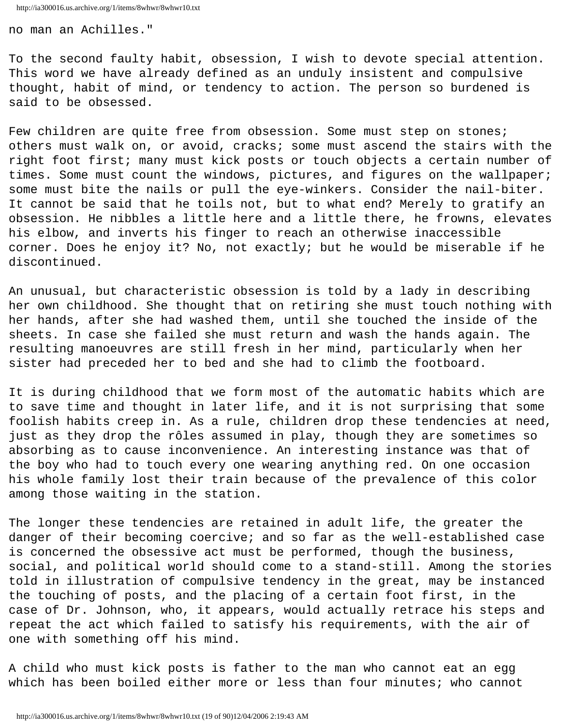no man an Achilles."

To the second faulty habit, obsession, I wish to devote special attention. This word we have already defined as an unduly insistent and compulsive thought, habit of mind, or tendency to action. The person so burdened is said to be obsessed.

Few children are quite free from obsession. Some must step on stones; others must walk on, or avoid, cracks; some must ascend the stairs with the right foot first; many must kick posts or touch objects a certain number of times. Some must count the windows, pictures, and figures on the wallpaper; some must bite the nails or pull the eye-winkers. Consider the nail-biter. It cannot be said that he toils not, but to what end? Merely to gratify an obsession. He nibbles a little here and a little there, he frowns, elevates his elbow, and inverts his finger to reach an otherwise inaccessible corner. Does he enjoy it? No, not exactly; but he would be miserable if he discontinued.

An unusual, but characteristic obsession is told by a lady in describing her own childhood. She thought that on retiring she must touch nothing with her hands, after she had washed them, until she touched the inside of the sheets. In case she failed she must return and wash the hands again. The resulting manoeuvres are still fresh in her mind, particularly when her sister had preceded her to bed and she had to climb the footboard.

It is during childhood that we form most of the automatic habits which are to save time and thought in later life, and it is not surprising that some foolish habits creep in. As a rule, children drop these tendencies at need, just as they drop the rôles assumed in play, though they are sometimes so absorbing as to cause inconvenience. An interesting instance was that of the boy who had to touch every one wearing anything red. On one occasion his whole family lost their train because of the prevalence of this color among those waiting in the station.

The longer these tendencies are retained in adult life, the greater the danger of their becoming coercive; and so far as the well-established case is concerned the obsessive act must be performed, though the business, social, and political world should come to a stand-still. Among the stories told in illustration of compulsive tendency in the great, may be instanced the touching of posts, and the placing of a certain foot first, in the case of Dr. Johnson, who, it appears, would actually retrace his steps and repeat the act which failed to satisfy his requirements, with the air of one with something off his mind.

A child who must kick posts is father to the man who cannot eat an egg which has been boiled either more or less than four minutes; who cannot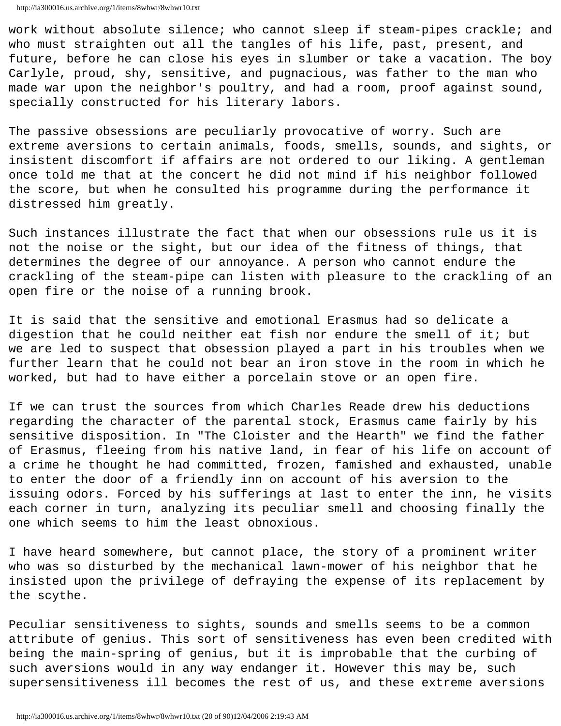work without absolute silence; who cannot sleep if steam-pipes crackle; and who must straighten out all the tangles of his life, past, present, and future, before he can close his eyes in slumber or take a vacation. The boy Carlyle, proud, shy, sensitive, and pugnacious, was father to the man who made war upon the neighbor's poultry, and had a room, proof against sound, specially constructed for his literary labors.

The passive obsessions are peculiarly provocative of worry. Such are extreme aversions to certain animals, foods, smells, sounds, and sights, or insistent discomfort if affairs are not ordered to our liking. A gentleman once told me that at the concert he did not mind if his neighbor followed the score, but when he consulted his programme during the performance it distressed him greatly.

Such instances illustrate the fact that when our obsessions rule us it is not the noise or the sight, but our idea of the fitness of things, that determines the degree of our annoyance. A person who cannot endure the crackling of the steam-pipe can listen with pleasure to the crackling of an open fire or the noise of a running brook.

It is said that the sensitive and emotional Erasmus had so delicate a digestion that he could neither eat fish nor endure the smell of it; but we are led to suspect that obsession played a part in his troubles when we further learn that he could not bear an iron stove in the room in which he worked, but had to have either a porcelain stove or an open fire.

If we can trust the sources from which Charles Reade drew his deductions regarding the character of the parental stock, Erasmus came fairly by his sensitive disposition. In "The Cloister and the Hearth" we find the father of Erasmus, fleeing from his native land, in fear of his life on account of a crime he thought he had committed, frozen, famished and exhausted, unable to enter the door of a friendly inn on account of his aversion to the issuing odors. Forced by his sufferings at last to enter the inn, he visits each corner in turn, analyzing its peculiar smell and choosing finally the one which seems to him the least obnoxious.

I have heard somewhere, but cannot place, the story of a prominent writer who was so disturbed by the mechanical lawn-mower of his neighbor that he insisted upon the privilege of defraying the expense of its replacement by the scythe.

Peculiar sensitiveness to sights, sounds and smells seems to be a common attribute of genius. This sort of sensitiveness has even been credited with being the main-spring of genius, but it is improbable that the curbing of such aversions would in any way endanger it. However this may be, such supersensitiveness ill becomes the rest of us, and these extreme aversions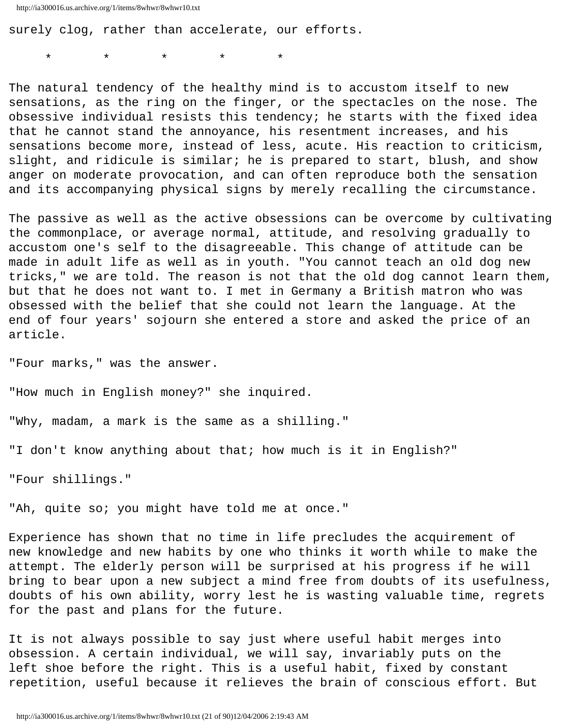surely clog, rather than accelerate, our efforts.

\* \* \* \* \*

The natural tendency of the healthy mind is to accustom itself to new sensations, as the ring on the finger, or the spectacles on the nose. The obsessive individual resists this tendency; he starts with the fixed idea that he cannot stand the annoyance, his resentment increases, and his sensations become more, instead of less, acute. His reaction to criticism, slight, and ridicule is similar; he is prepared to start, blush, and show anger on moderate provocation, and can often reproduce both the sensation and its accompanying physical signs by merely recalling the circumstance.

The passive as well as the active obsessions can be overcome by cultivating the commonplace, or average normal, attitude, and resolving gradually to accustom one's self to the disagreeable. This change of attitude can be made in adult life as well as in youth. "You cannot teach an old dog new tricks," we are told. The reason is not that the old dog cannot learn them, but that he does not want to. I met in Germany a British matron who was obsessed with the belief that she could not learn the language. At the end of four years' sojourn she entered a store and asked the price of an article.

"Four marks," was the answer.

"How much in English money?" she inquired.

"Why, madam, a mark is the same as a shilling."

"I don't know anything about that; how much is it in English?"

"Four shillings."

"Ah, quite so; you might have told me at once."

Experience has shown that no time in life precludes the acquirement of new knowledge and new habits by one who thinks it worth while to make the attempt. The elderly person will be surprised at his progress if he will bring to bear upon a new subject a mind free from doubts of its usefulness, doubts of his own ability, worry lest he is wasting valuable time, regrets for the past and plans for the future.

It is not always possible to say just where useful habit merges into obsession. A certain individual, we will say, invariably puts on the left shoe before the right. This is a useful habit, fixed by constant repetition, useful because it relieves the brain of conscious effort. But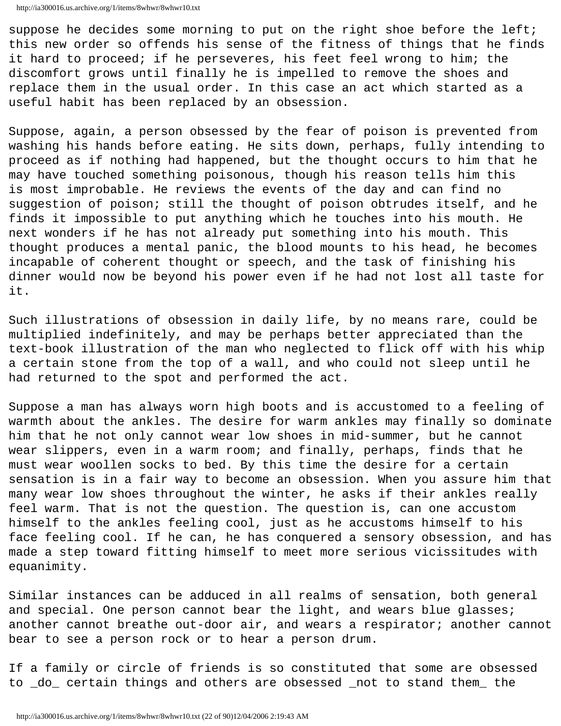suppose he decides some morning to put on the right shoe before the left; this new order so offends his sense of the fitness of things that he finds it hard to proceed; if he perseveres, his feet feel wrong to him; the discomfort grows until finally he is impelled to remove the shoes and replace them in the usual order. In this case an act which started as a useful habit has been replaced by an obsession.

Suppose, again, a person obsessed by the fear of poison is prevented from washing his hands before eating. He sits down, perhaps, fully intending to proceed as if nothing had happened, but the thought occurs to him that he may have touched something poisonous, though his reason tells him this is most improbable. He reviews the events of the day and can find no suggestion of poison; still the thought of poison obtrudes itself, and he finds it impossible to put anything which he touches into his mouth. He next wonders if he has not already put something into his mouth. This thought produces a mental panic, the blood mounts to his head, he becomes incapable of coherent thought or speech, and the task of finishing his dinner would now be beyond his power even if he had not lost all taste for it.

Such illustrations of obsession in daily life, by no means rare, could be multiplied indefinitely, and may be perhaps better appreciated than the text-book illustration of the man who neglected to flick off with his whip a certain stone from the top of a wall, and who could not sleep until he had returned to the spot and performed the act.

Suppose a man has always worn high boots and is accustomed to a feeling of warmth about the ankles. The desire for warm ankles may finally so dominate him that he not only cannot wear low shoes in mid-summer, but he cannot wear slippers, even in a warm room; and finally, perhaps, finds that he must wear woollen socks to bed. By this time the desire for a certain sensation is in a fair way to become an obsession. When you assure him that many wear low shoes throughout the winter, he asks if their ankles really feel warm. That is not the question. The question is, can one accustom himself to the ankles feeling cool, just as he accustoms himself to his face feeling cool. If he can, he has conquered a sensory obsession, and has made a step toward fitting himself to meet more serious vicissitudes with equanimity.

Similar instances can be adduced in all realms of sensation, both general and special. One person cannot bear the light, and wears blue glasses; another cannot breathe out-door air, and wears a respirator; another cannot bear to see a person rock or to hear a person drum.

If a family or circle of friends is so constituted that some are obsessed to \_do\_ certain things and others are obsessed \_not to stand them\_ the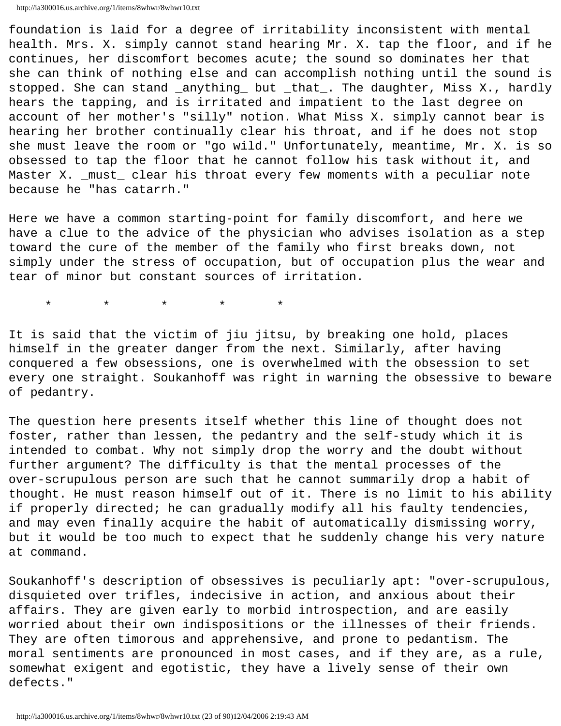http://ia300016.us.archive.org/1/items/8whwr/8whwr10.txt

foundation is laid for a degree of irritability inconsistent with mental health. Mrs. X. simply cannot stand hearing Mr. X. tap the floor, and if he continues, her discomfort becomes acute; the sound so dominates her that she can think of nothing else and can accomplish nothing until the sound is stopped. She can stand \_anything\_ but \_that\_. The daughter, Miss X., hardly hears the tapping, and is irritated and impatient to the last degree on account of her mother's "silly" notion. What Miss X. simply cannot bear is hearing her brother continually clear his throat, and if he does not stop she must leave the room or "go wild." Unfortunately, meantime, Mr. X. is so obsessed to tap the floor that he cannot follow his task without it, and Master X. \_must\_ clear his throat every few moments with a peculiar note because he "has catarrh."

Here we have a common starting-point for family discomfort, and here we have a clue to the advice of the physician who advises isolation as a step toward the cure of the member of the family who first breaks down, not simply under the stress of occupation, but of occupation plus the wear and tear of minor but constant sources of irritation.

\* \* \* \* \*

It is said that the victim of jiu jitsu, by breaking one hold, places himself in the greater danger from the next. Similarly, after having conquered a few obsessions, one is overwhelmed with the obsession to set every one straight. Soukanhoff was right in warning the obsessive to beware of pedantry.

The question here presents itself whether this line of thought does not foster, rather than lessen, the pedantry and the self-study which it is intended to combat. Why not simply drop the worry and the doubt without further argument? The difficulty is that the mental processes of the over-scrupulous person are such that he cannot summarily drop a habit of thought. He must reason himself out of it. There is no limit to his ability if properly directed; he can gradually modify all his faulty tendencies, and may even finally acquire the habit of automatically dismissing worry, but it would be too much to expect that he suddenly change his very nature at command.

Soukanhoff's description of obsessives is peculiarly apt: "over-scrupulous, disquieted over trifles, indecisive in action, and anxious about their affairs. They are given early to morbid introspection, and are easily worried about their own indispositions or the illnesses of their friends. They are often timorous and apprehensive, and prone to pedantism. The moral sentiments are pronounced in most cases, and if they are, as a rule, somewhat exigent and egotistic, they have a lively sense of their own defects."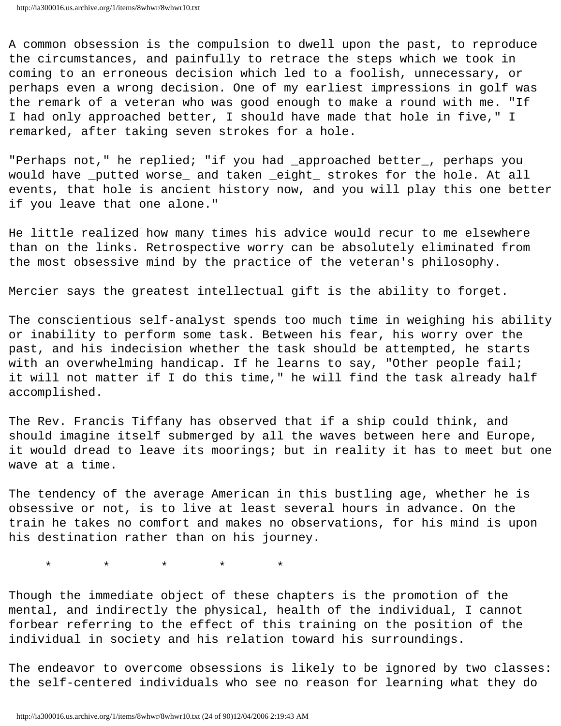A common obsession is the compulsion to dwell upon the past, to reproduce the circumstances, and painfully to retrace the steps which we took in coming to an erroneous decision which led to a foolish, unnecessary, or perhaps even a wrong decision. One of my earliest impressions in golf was the remark of a veteran who was good enough to make a round with me. "If I had only approached better, I should have made that hole in five," I remarked, after taking seven strokes for a hole.

"Perhaps not," he replied; "if you had \_approached better\_, perhaps you would have \_putted worse\_ and taken \_eight\_ strokes for the hole. At all events, that hole is ancient history now, and you will play this one better if you leave that one alone."

He little realized how many times his advice would recur to me elsewhere than on the links. Retrospective worry can be absolutely eliminated from the most obsessive mind by the practice of the veteran's philosophy.

Mercier says the greatest intellectual gift is the ability to forget.

The conscientious self-analyst spends too much time in weighing his ability or inability to perform some task. Between his fear, his worry over the past, and his indecision whether the task should be attempted, he starts with an overwhelming handicap. If he learns to say, "Other people fail; it will not matter if I do this time," he will find the task already half accomplished.

The Rev. Francis Tiffany has observed that if a ship could think, and should imagine itself submerged by all the waves between here and Europe, it would dread to leave its moorings; but in reality it has to meet but one wave at a time.

The tendency of the average American in this bustling age, whether he is obsessive or not, is to live at least several hours in advance. On the train he takes no comfort and makes no observations, for his mind is upon his destination rather than on his journey.

\* \* \* \* \*

Though the immediate object of these chapters is the promotion of the mental, and indirectly the physical, health of the individual, I cannot forbear referring to the effect of this training on the position of the individual in society and his relation toward his surroundings.

The endeavor to overcome obsessions is likely to be ignored by two classes: the self-centered individuals who see no reason for learning what they do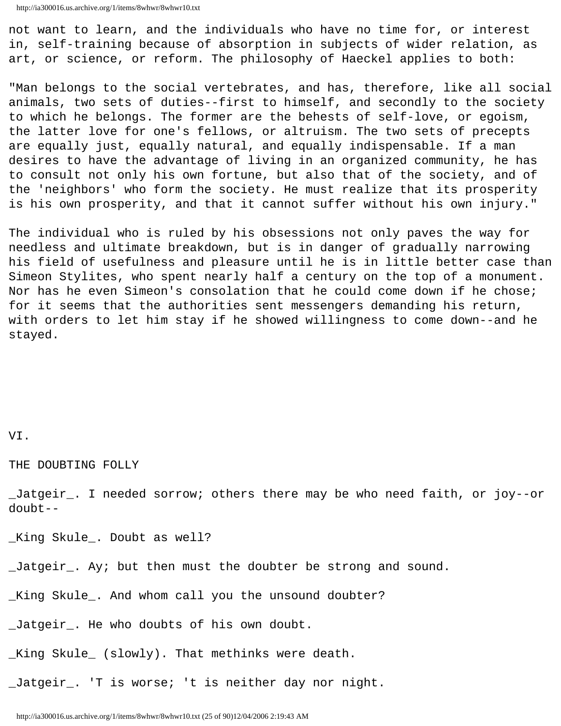not want to learn, and the individuals who have no time for, or interest in, self-training because of absorption in subjects of wider relation, as art, or science, or reform. The philosophy of Haeckel applies to both:

"Man belongs to the social vertebrates, and has, therefore, like all social animals, two sets of duties--first to himself, and secondly to the society to which he belongs. The former are the behests of self-love, or egoism, the latter love for one's fellows, or altruism. The two sets of precepts are equally just, equally natural, and equally indispensable. If a man desires to have the advantage of living in an organized community, he has to consult not only his own fortune, but also that of the society, and of the 'neighbors' who form the society. He must realize that its prosperity is his own prosperity, and that it cannot suffer without his own injury."

The individual who is ruled by his obsessions not only paves the way for needless and ultimate breakdown, but is in danger of gradually narrowing his field of usefulness and pleasure until he is in little better case than Simeon Stylites, who spent nearly half a century on the top of a monument. Nor has he even Simeon's consolation that he could come down if he chose; for it seems that the authorities sent messengers demanding his return, with orders to let him stay if he showed willingness to come down--and he stayed.

## VI.

THE DOUBTING FOLLY

\_Jatgeir\_. I needed sorrow; others there may be who need faith, or joy--or doubt--

\_King Skule\_. Doubt as well?

\_Jatgeir\_. Ay; but then must the doubter be strong and sound.

\_King Skule\_. And whom call you the unsound doubter?

\_Jatgeir\_. He who doubts of his own doubt.

\_King Skule\_ (slowly). That methinks were death.

\_Jatgeir\_. 'T is worse; 't is neither day nor night.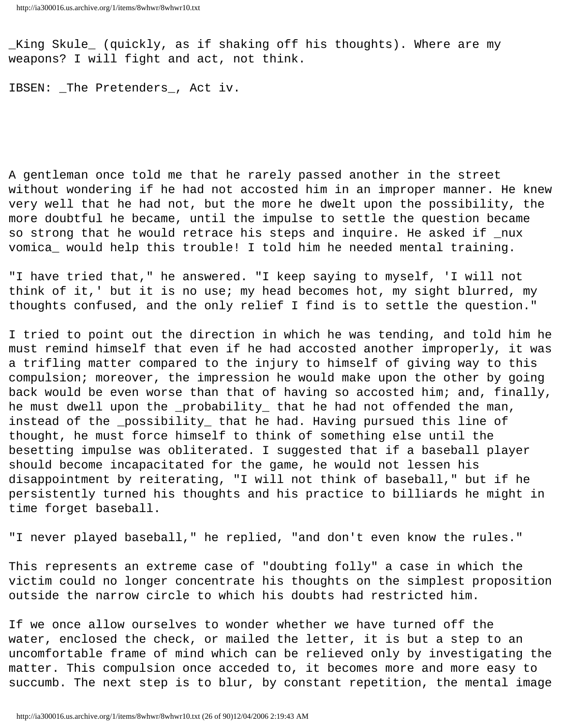\_King Skule\_ (quickly, as if shaking off his thoughts). Where are my weapons? I will fight and act, not think.

IBSEN: \_The Pretenders\_, Act iv.

A gentleman once told me that he rarely passed another in the street without wondering if he had not accosted him in an improper manner. He knew very well that he had not, but the more he dwelt upon the possibility, the more doubtful he became, until the impulse to settle the question became so strong that he would retrace his steps and inquire. He asked if \_nux vomica\_ would help this trouble! I told him he needed mental training.

"I have tried that," he answered. "I keep saying to myself, 'I will not think of it,' but it is no use; my head becomes hot, my sight blurred, my thoughts confused, and the only relief I find is to settle the question."

I tried to point out the direction in which he was tending, and told him he must remind himself that even if he had accosted another improperly, it was a trifling matter compared to the injury to himself of giving way to this compulsion; moreover, the impression he would make upon the other by going back would be even worse than that of having so accosted him; and, finally, he must dwell upon the \_probability\_ that he had not offended the man, instead of the \_possibility\_ that he had. Having pursued this line of thought, he must force himself to think of something else until the besetting impulse was obliterated. I suggested that if a baseball player should become incapacitated for the game, he would not lessen his disappointment by reiterating, "I will not think of baseball," but if he persistently turned his thoughts and his practice to billiards he might in time forget baseball.

"I never played baseball," he replied, "and don't even know the rules."

This represents an extreme case of "doubting folly" a case in which the victim could no longer concentrate his thoughts on the simplest proposition outside the narrow circle to which his doubts had restricted him.

If we once allow ourselves to wonder whether we have turned off the water, enclosed the check, or mailed the letter, it is but a step to an uncomfortable frame of mind which can be relieved only by investigating the matter. This compulsion once acceded to, it becomes more and more easy to succumb. The next step is to blur, by constant repetition, the mental image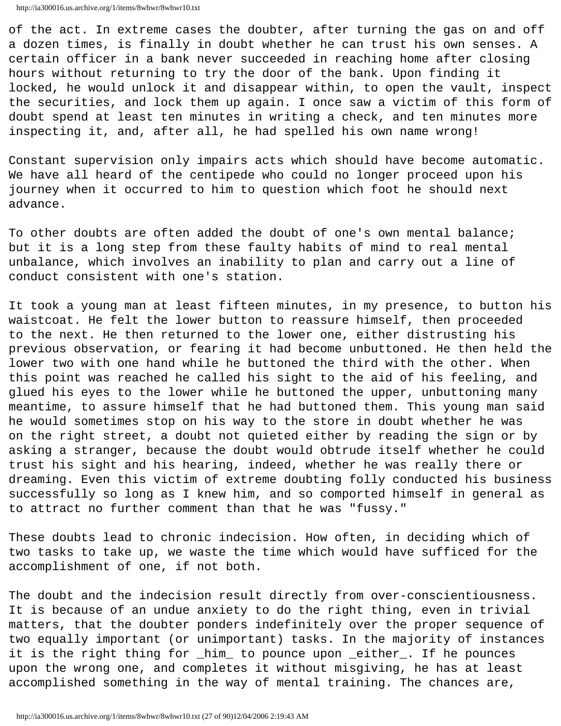```
http://ia300016.us.archive.org/1/items/8whwr/8whwr10.txt
```
of the act. In extreme cases the doubter, after turning the gas on and off a dozen times, is finally in doubt whether he can trust his own senses. A certain officer in a bank never succeeded in reaching home after closing hours without returning to try the door of the bank. Upon finding it locked, he would unlock it and disappear within, to open the vault, inspect the securities, and lock them up again. I once saw a victim of this form of doubt spend at least ten minutes in writing a check, and ten minutes more inspecting it, and, after all, he had spelled his own name wrong!

Constant supervision only impairs acts which should have become automatic. We have all heard of the centipede who could no longer proceed upon his journey when it occurred to him to question which foot he should next advance.

To other doubts are often added the doubt of one's own mental balance; but it is a long step from these faulty habits of mind to real mental unbalance, which involves an inability to plan and carry out a line of conduct consistent with one's station.

It took a young man at least fifteen minutes, in my presence, to button his waistcoat. He felt the lower button to reassure himself, then proceeded to the next. He then returned to the lower one, either distrusting his previous observation, or fearing it had become unbuttoned. He then held the lower two with one hand while he buttoned the third with the other. When this point was reached he called his sight to the aid of his feeling, and glued his eyes to the lower while he buttoned the upper, unbuttoning many meantime, to assure himself that he had buttoned them. This young man said he would sometimes stop on his way to the store in doubt whether he was on the right street, a doubt not quieted either by reading the sign or by asking a stranger, because the doubt would obtrude itself whether he could trust his sight and his hearing, indeed, whether he was really there or dreaming. Even this victim of extreme doubting folly conducted his business successfully so long as I knew him, and so comported himself in general as to attract no further comment than that he was "fussy."

These doubts lead to chronic indecision. How often, in deciding which of two tasks to take up, we waste the time which would have sufficed for the accomplishment of one, if not both.

The doubt and the indecision result directly from over-conscientiousness. It is because of an undue anxiety to do the right thing, even in trivial matters, that the doubter ponders indefinitely over the proper sequence of two equally important (or unimportant) tasks. In the majority of instances it is the right thing for \_him\_ to pounce upon \_either\_. If he pounces upon the wrong one, and completes it without misgiving, he has at least accomplished something in the way of mental training. The chances are,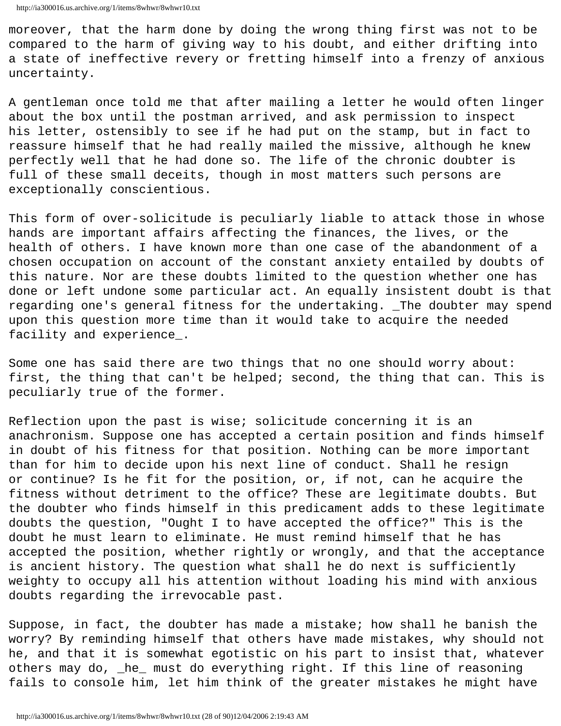moreover, that the harm done by doing the wrong thing first was not to be compared to the harm of giving way to his doubt, and either drifting into a state of ineffective revery or fretting himself into a frenzy of anxious uncertainty.

A gentleman once told me that after mailing a letter he would often linger about the box until the postman arrived, and ask permission to inspect his letter, ostensibly to see if he had put on the stamp, but in fact to reassure himself that he had really mailed the missive, although he knew perfectly well that he had done so. The life of the chronic doubter is full of these small deceits, though in most matters such persons are exceptionally conscientious.

This form of over-solicitude is peculiarly liable to attack those in whose hands are important affairs affecting the finances, the lives, or the health of others. I have known more than one case of the abandonment of a chosen occupation on account of the constant anxiety entailed by doubts of this nature. Nor are these doubts limited to the question whether one has done or left undone some particular act. An equally insistent doubt is that regarding one's general fitness for the undertaking. \_The doubter may spend upon this question more time than it would take to acquire the needed facility and experience\_.

Some one has said there are two things that no one should worry about: first, the thing that can't be helped; second, the thing that can. This is peculiarly true of the former.

Reflection upon the past is wise; solicitude concerning it is an anachronism. Suppose one has accepted a certain position and finds himself in doubt of his fitness for that position. Nothing can be more important than for him to decide upon his next line of conduct. Shall he resign or continue? Is he fit for the position, or, if not, can he acquire the fitness without detriment to the office? These are legitimate doubts. But the doubter who finds himself in this predicament adds to these legitimate doubts the question, "Ought I to have accepted the office?" This is the doubt he must learn to eliminate. He must remind himself that he has accepted the position, whether rightly or wrongly, and that the acceptance is ancient history. The question what shall he do next is sufficiently weighty to occupy all his attention without loading his mind with anxious doubts regarding the irrevocable past.

Suppose, in fact, the doubter has made a mistake; how shall he banish the worry? By reminding himself that others have made mistakes, why should not he, and that it is somewhat egotistic on his part to insist that, whatever others may do, \_he\_ must do everything right. If this line of reasoning fails to console him, let him think of the greater mistakes he might have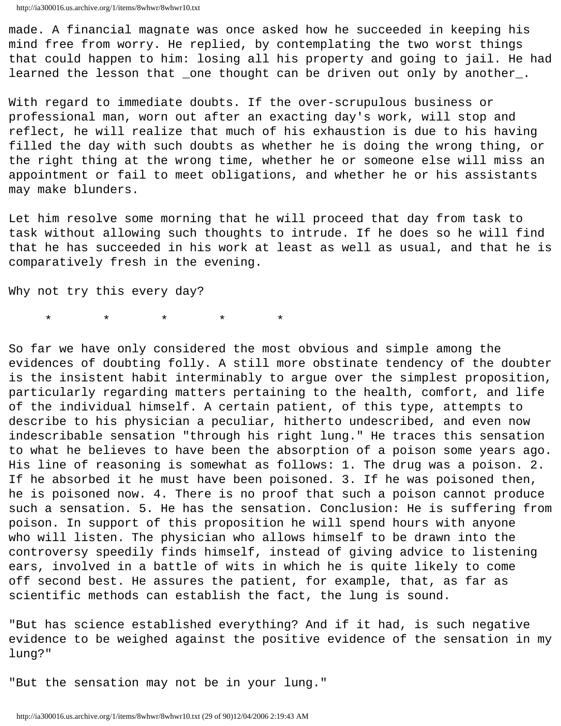made. A financial magnate was once asked how he succeeded in keeping his mind free from worry. He replied, by contemplating the two worst things that could happen to him: losing all his property and going to jail. He had learned the lesson that \_one thought can be driven out only by another\_.

With regard to immediate doubts. If the over-scrupulous business or professional man, worn out after an exacting day's work, will stop and reflect, he will realize that much of his exhaustion is due to his having filled the day with such doubts as whether he is doing the wrong thing, or the right thing at the wrong time, whether he or someone else will miss an appointment or fail to meet obligations, and whether he or his assistants may make blunders.

Let him resolve some morning that he will proceed that day from task to task without allowing such thoughts to intrude. If he does so he will find that he has succeeded in his work at least as well as usual, and that he is comparatively fresh in the evening.

Why not try this every day?

\* \* \* \* \*

So far we have only considered the most obvious and simple among the evidences of doubting folly. A still more obstinate tendency of the doubter is the insistent habit interminably to argue over the simplest proposition, particularly regarding matters pertaining to the health, comfort, and life of the individual himself. A certain patient, of this type, attempts to describe to his physician a peculiar, hitherto undescribed, and even now indescribable sensation "through his right lung." He traces this sensation to what he believes to have been the absorption of a poison some years ago. His line of reasoning is somewhat as follows: 1. The drug was a poison. 2. If he absorbed it he must have been poisoned. 3. If he was poisoned then, he is poisoned now. 4. There is no proof that such a poison cannot produce such a sensation. 5. He has the sensation. Conclusion: He is suffering from poison. In support of this proposition he will spend hours with anyone who will listen. The physician who allows himself to be drawn into the controversy speedily finds himself, instead of giving advice to listening ears, involved in a battle of wits in which he is quite likely to come off second best. He assures the patient, for example, that, as far as scientific methods can establish the fact, the lung is sound.

"But has science established everything? And if it had, is such negative evidence to be weighed against the positive evidence of the sensation in my lung?"

"But the sensation may not be in your lung."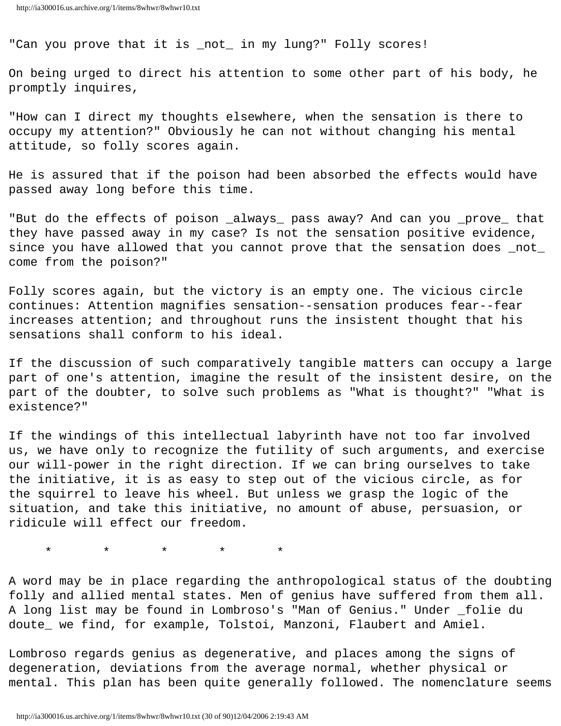"Can you prove that it is \_not\_ in my lung?" Folly scores!

On being urged to direct his attention to some other part of his body, he promptly inquires,

"How can I direct my thoughts elsewhere, when the sensation is there to occupy my attention?" Obviously he can not without changing his mental attitude, so folly scores again.

He is assured that if the poison had been absorbed the effects would have passed away long before this time.

"But do the effects of poison \_always\_ pass away? And can you \_prove\_ that they have passed away in my case? Is not the sensation positive evidence, since you have allowed that you cannot prove that the sensation does \_not\_ come from the poison?"

Folly scores again, but the victory is an empty one. The vicious circle continues: Attention magnifies sensation--sensation produces fear--fear increases attention; and throughout runs the insistent thought that his sensations shall conform to his ideal.

If the discussion of such comparatively tangible matters can occupy a large part of one's attention, imagine the result of the insistent desire, on the part of the doubter, to solve such problems as "What is thought?" "What is existence?"

If the windings of this intellectual labyrinth have not too far involved us, we have only to recognize the futility of such arguments, and exercise our will-power in the right direction. If we can bring ourselves to take the initiative, it is as easy to step out of the vicious circle, as for the squirrel to leave his wheel. But unless we grasp the logic of the situation, and take this initiative, no amount of abuse, persuasion, or ridicule will effect our freedom.

\* \* \* \* \*

A word may be in place regarding the anthropological status of the doubting folly and allied mental states. Men of genius have suffered from them all. A long list may be found in Lombroso's "Man of Genius." Under \_folie du doute\_ we find, for example, Tolstoi, Manzoni, Flaubert and Amiel.

Lombroso regards genius as degenerative, and places among the signs of degeneration, deviations from the average normal, whether physical or mental. This plan has been quite generally followed. The nomenclature seems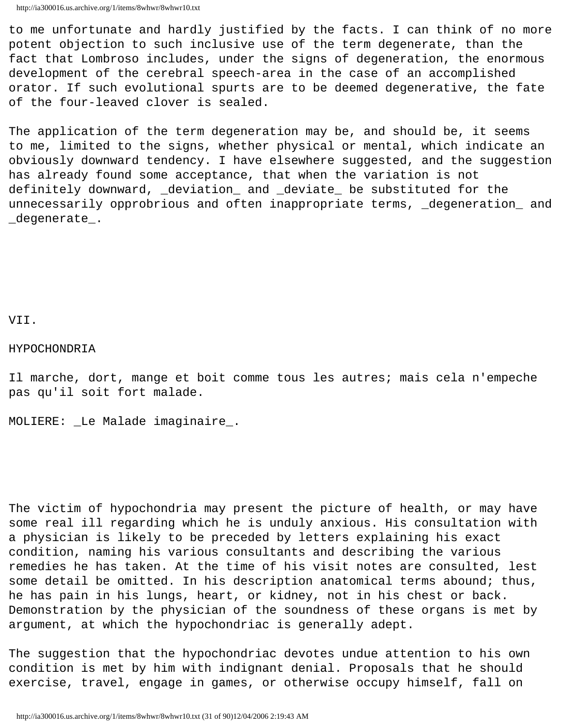to me unfortunate and hardly justified by the facts. I can think of no more potent objection to such inclusive use of the term degenerate, than the fact that Lombroso includes, under the signs of degeneration, the enormous development of the cerebral speech-area in the case of an accomplished orator. If such evolutional spurts are to be deemed degenerative, the fate of the four-leaved clover is sealed.

The application of the term degeneration may be, and should be, it seems to me, limited to the signs, whether physical or mental, which indicate an obviously downward tendency. I have elsewhere suggested, and the suggestion has already found some acceptance, that when the variation is not definitely downward, \_deviation\_ and \_deviate\_ be substituted for the unnecessarily opprobrious and often inappropriate terms, \_degeneration\_ and \_degenerate\_.

VII.

#### HYPOCHONDRIA

Il marche, dort, mange et boit comme tous les autres; mais cela n'empeche pas qu'il soit fort malade.

MOLIERE: \_Le Malade imaginaire\_.

The victim of hypochondria may present the picture of health, or may have some real ill regarding which he is unduly anxious. His consultation with a physician is likely to be preceded by letters explaining his exact condition, naming his various consultants and describing the various remedies he has taken. At the time of his visit notes are consulted, lest some detail be omitted. In his description anatomical terms abound; thus, he has pain in his lungs, heart, or kidney, not in his chest or back. Demonstration by the physician of the soundness of these organs is met by argument, at which the hypochondriac is generally adept.

The suggestion that the hypochondriac devotes undue attention to his own condition is met by him with indignant denial. Proposals that he should exercise, travel, engage in games, or otherwise occupy himself, fall on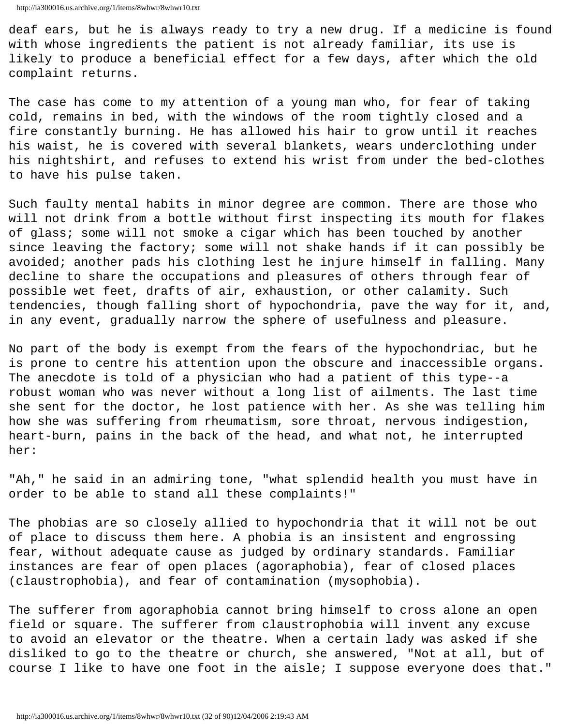deaf ears, but he is always ready to try a new drug. If a medicine is found with whose ingredients the patient is not already familiar, its use is likely to produce a beneficial effect for a few days, after which the old complaint returns.

The case has come to my attention of a young man who, for fear of taking cold, remains in bed, with the windows of the room tightly closed and a fire constantly burning. He has allowed his hair to grow until it reaches his waist, he is covered with several blankets, wears underclothing under his nightshirt, and refuses to extend his wrist from under the bed-clothes to have his pulse taken.

Such faulty mental habits in minor degree are common. There are those who will not drink from a bottle without first inspecting its mouth for flakes of glass; some will not smoke a cigar which has been touched by another since leaving the factory; some will not shake hands if it can possibly be avoided; another pads his clothing lest he injure himself in falling. Many decline to share the occupations and pleasures of others through fear of possible wet feet, drafts of air, exhaustion, or other calamity. Such tendencies, though falling short of hypochondria, pave the way for it, and, in any event, gradually narrow the sphere of usefulness and pleasure.

No part of the body is exempt from the fears of the hypochondriac, but he is prone to centre his attention upon the obscure and inaccessible organs. The anecdote is told of a physician who had a patient of this type--a robust woman who was never without a long list of ailments. The last time she sent for the doctor, he lost patience with her. As she was telling him how she was suffering from rheumatism, sore throat, nervous indigestion, heart-burn, pains in the back of the head, and what not, he interrupted her:

"Ah," he said in an admiring tone, "what splendid health you must have in order to be able to stand all these complaints!"

The phobias are so closely allied to hypochondria that it will not be out of place to discuss them here. A phobia is an insistent and engrossing fear, without adequate cause as judged by ordinary standards. Familiar instances are fear of open places (agoraphobia), fear of closed places (claustrophobia), and fear of contamination (mysophobia).

The sufferer from agoraphobia cannot bring himself to cross alone an open field or square. The sufferer from claustrophobia will invent any excuse to avoid an elevator or the theatre. When a certain lady was asked if she disliked to go to the theatre or church, she answered, "Not at all, but of course I like to have one foot in the aisle; I suppose everyone does that."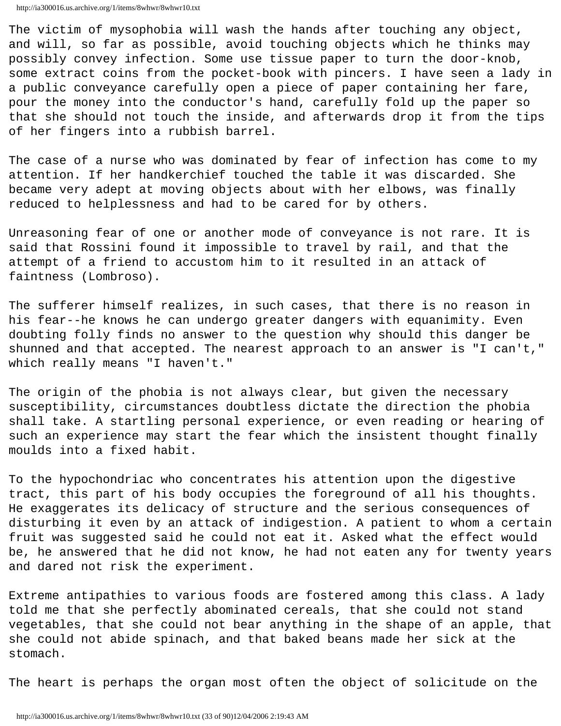http://ia300016.us.archive.org/1/items/8whwr/8whwr10.txt

The victim of mysophobia will wash the hands after touching any object, and will, so far as possible, avoid touching objects which he thinks may possibly convey infection. Some use tissue paper to turn the door-knob, some extract coins from the pocket-book with pincers. I have seen a lady in a public conveyance carefully open a piece of paper containing her fare, pour the money into the conductor's hand, carefully fold up the paper so that she should not touch the inside, and afterwards drop it from the tips of her fingers into a rubbish barrel.

The case of a nurse who was dominated by fear of infection has come to my attention. If her handkerchief touched the table it was discarded. She became very adept at moving objects about with her elbows, was finally reduced to helplessness and had to be cared for by others.

Unreasoning fear of one or another mode of conveyance is not rare. It is said that Rossini found it impossible to travel by rail, and that the attempt of a friend to accustom him to it resulted in an attack of faintness (Lombroso).

The sufferer himself realizes, in such cases, that there is no reason in his fear--he knows he can undergo greater dangers with equanimity. Even doubting folly finds no answer to the question why should this danger be shunned and that accepted. The nearest approach to an answer is "I can't," which really means "I haven't."

The origin of the phobia is not always clear, but given the necessary susceptibility, circumstances doubtless dictate the direction the phobia shall take. A startling personal experience, or even reading or hearing of such an experience may start the fear which the insistent thought finally moulds into a fixed habit.

To the hypochondriac who concentrates his attention upon the digestive tract, this part of his body occupies the foreground of all his thoughts. He exaggerates its delicacy of structure and the serious consequences of disturbing it even by an attack of indigestion. A patient to whom a certain fruit was suggested said he could not eat it. Asked what the effect would be, he answered that he did not know, he had not eaten any for twenty years and dared not risk the experiment.

Extreme antipathies to various foods are fostered among this class. A lady told me that she perfectly abominated cereals, that she could not stand vegetables, that she could not bear anything in the shape of an apple, that she could not abide spinach, and that baked beans made her sick at the stomach.

The heart is perhaps the organ most often the object of solicitude on the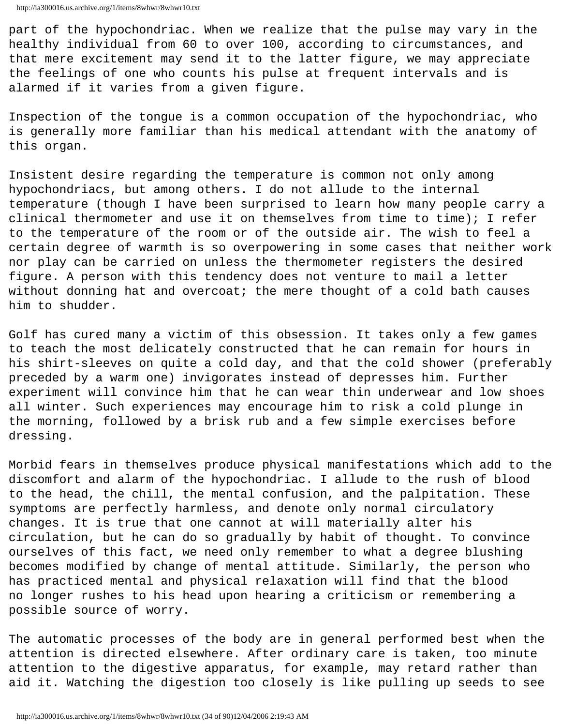part of the hypochondriac. When we realize that the pulse may vary in the healthy individual from 60 to over 100, according to circumstances, and that mere excitement may send it to the latter figure, we may appreciate the feelings of one who counts his pulse at frequent intervals and is alarmed if it varies from a given figure.

Inspection of the tongue is a common occupation of the hypochondriac, who is generally more familiar than his medical attendant with the anatomy of this organ.

Insistent desire regarding the temperature is common not only among hypochondriacs, but among others. I do not allude to the internal temperature (though I have been surprised to learn how many people carry a clinical thermometer and use it on themselves from time to time); I refer to the temperature of the room or of the outside air. The wish to feel a certain degree of warmth is so overpowering in some cases that neither work nor play can be carried on unless the thermometer registers the desired figure. A person with this tendency does not venture to mail a letter without donning hat and overcoat; the mere thought of a cold bath causes him to shudder.

Golf has cured many a victim of this obsession. It takes only a few games to teach the most delicately constructed that he can remain for hours in his shirt-sleeves on quite a cold day, and that the cold shower (preferably preceded by a warm one) invigorates instead of depresses him. Further experiment will convince him that he can wear thin underwear and low shoes all winter. Such experiences may encourage him to risk a cold plunge in the morning, followed by a brisk rub and a few simple exercises before dressing.

Morbid fears in themselves produce physical manifestations which add to the discomfort and alarm of the hypochondriac. I allude to the rush of blood to the head, the chill, the mental confusion, and the palpitation. These symptoms are perfectly harmless, and denote only normal circulatory changes. It is true that one cannot at will materially alter his circulation, but he can do so gradually by habit of thought. To convince ourselves of this fact, we need only remember to what a degree blushing becomes modified by change of mental attitude. Similarly, the person who has practiced mental and physical relaxation will find that the blood no longer rushes to his head upon hearing a criticism or remembering a possible source of worry.

The automatic processes of the body are in general performed best when the attention is directed elsewhere. After ordinary care is taken, too minute attention to the digestive apparatus, for example, may retard rather than aid it. Watching the digestion too closely is like pulling up seeds to see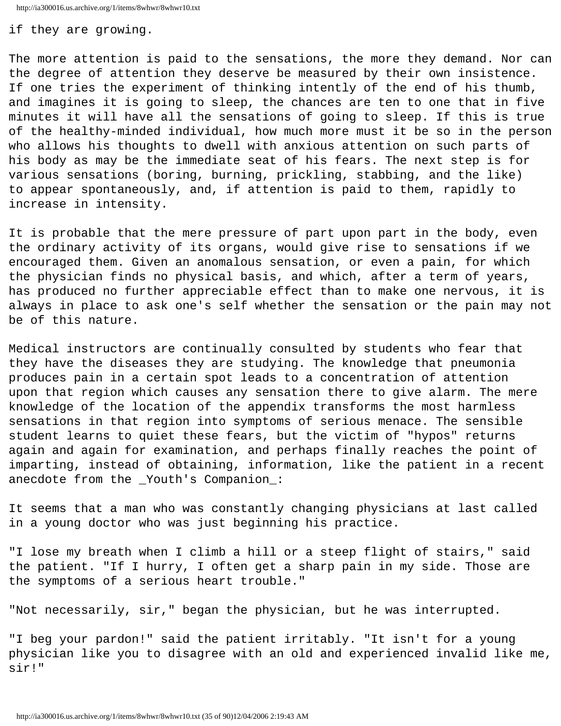http://ia300016.us.archive.org/1/items/8whwr/8whwr10.txt

# if they are growing.

The more attention is paid to the sensations, the more they demand. Nor can the degree of attention they deserve be measured by their own insistence. If one tries the experiment of thinking intently of the end of his thumb, and imagines it is going to sleep, the chances are ten to one that in five minutes it will have all the sensations of going to sleep. If this is true of the healthy-minded individual, how much more must it be so in the person who allows his thoughts to dwell with anxious attention on such parts of his body as may be the immediate seat of his fears. The next step is for various sensations (boring, burning, prickling, stabbing, and the like) to appear spontaneously, and, if attention is paid to them, rapidly to increase in intensity.

It is probable that the mere pressure of part upon part in the body, even the ordinary activity of its organs, would give rise to sensations if we encouraged them. Given an anomalous sensation, or even a pain, for which the physician finds no physical basis, and which, after a term of years, has produced no further appreciable effect than to make one nervous, it is always in place to ask one's self whether the sensation or the pain may not be of this nature.

Medical instructors are continually consulted by students who fear that they have the diseases they are studying. The knowledge that pneumonia produces pain in a certain spot leads to a concentration of attention upon that region which causes any sensation there to give alarm. The mere knowledge of the location of the appendix transforms the most harmless sensations in that region into symptoms of serious menace. The sensible student learns to quiet these fears, but the victim of "hypos" returns again and again for examination, and perhaps finally reaches the point of imparting, instead of obtaining, information, like the patient in a recent anecdote from the \_Youth's Companion\_:

It seems that a man who was constantly changing physicians at last called in a young doctor who was just beginning his practice.

"I lose my breath when I climb a hill or a steep flight of stairs," said the patient. "If I hurry, I often get a sharp pain in my side. Those are the symptoms of a serious heart trouble."

"Not necessarily, sir," began the physician, but he was interrupted.

"I beg your pardon!" said the patient irritably. "It isn't for a young physician like you to disagree with an old and experienced invalid like me, sir!"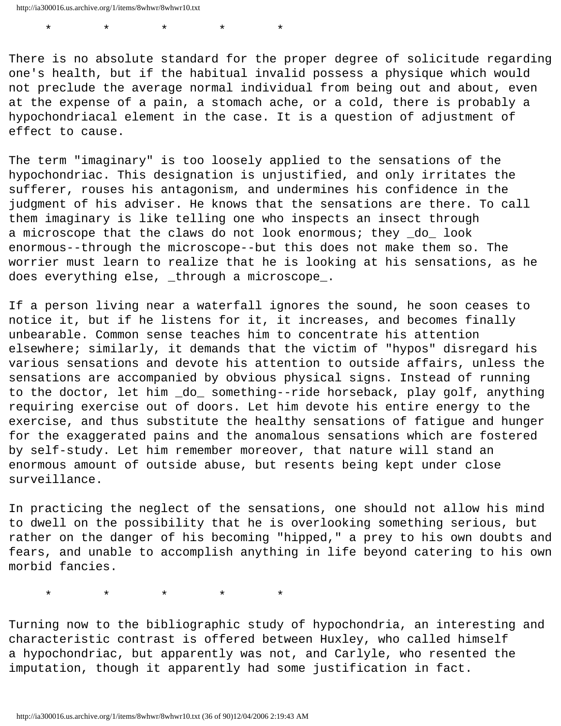\* \* \* \* \*

There is no absolute standard for the proper degree of solicitude regarding one's health, but if the habitual invalid possess a physique which would not preclude the average normal individual from being out and about, even at the expense of a pain, a stomach ache, or a cold, there is probably a hypochondriacal element in the case. It is a question of adjustment of effect to cause.

The term "imaginary" is too loosely applied to the sensations of the hypochondriac. This designation is unjustified, and only irritates the sufferer, rouses his antagonism, and undermines his confidence in the judgment of his adviser. He knows that the sensations are there. To call them imaginary is like telling one who inspects an insect through a microscope that the claws do not look enormous; they do look enormous--through the microscope--but this does not make them so. The worrier must learn to realize that he is looking at his sensations, as he does everything else, \_through a microscope\_.

If a person living near a waterfall ignores the sound, he soon ceases to notice it, but if he listens for it, it increases, and becomes finally unbearable. Common sense teaches him to concentrate his attention elsewhere; similarly, it demands that the victim of "hypos" disregard his various sensations and devote his attention to outside affairs, unless the sensations are accompanied by obvious physical signs. Instead of running to the doctor, let him \_do\_ something--ride horseback, play golf, anything requiring exercise out of doors. Let him devote his entire energy to the exercise, and thus substitute the healthy sensations of fatigue and hunger for the exaggerated pains and the anomalous sensations which are fostered by self-study. Let him remember moreover, that nature will stand an enormous amount of outside abuse, but resents being kept under close surveillance.

In practicing the neglect of the sensations, one should not allow his mind to dwell on the possibility that he is overlooking something serious, but rather on the danger of his becoming "hipped," a prey to his own doubts and fears, and unable to accomplish anything in life beyond catering to his own morbid fancies.

\* \* \* \* \*

Turning now to the bibliographic study of hypochondria, an interesting and characteristic contrast is offered between Huxley, who called himself a hypochondriac, but apparently was not, and Carlyle, who resented the imputation, though it apparently had some justification in fact.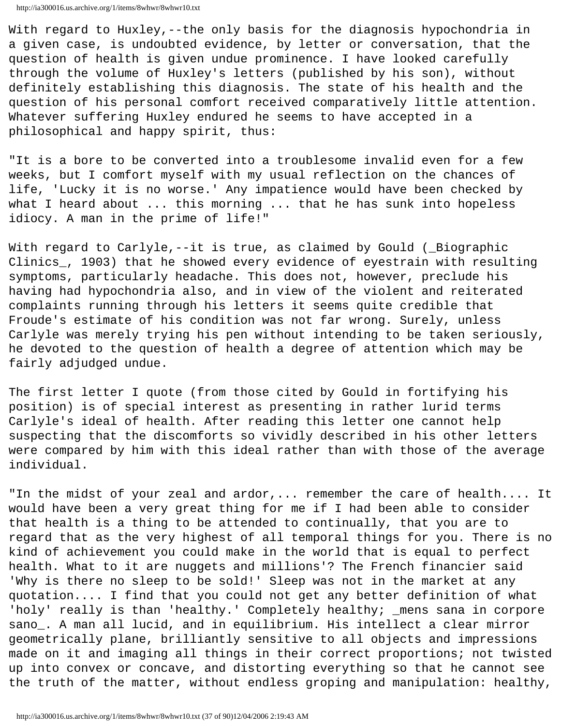http://ia300016.us.archive.org/1/items/8whwr/8whwr10.txt

With regard to Huxley,--the only basis for the diagnosis hypochondria in a given case, is undoubted evidence, by letter or conversation, that the question of health is given undue prominence. I have looked carefully through the volume of Huxley's letters (published by his son), without definitely establishing this diagnosis. The state of his health and the question of his personal comfort received comparatively little attention. Whatever suffering Huxley endured he seems to have accepted in a philosophical and happy spirit, thus:

"It is a bore to be converted into a troublesome invalid even for a few weeks, but I comfort myself with my usual reflection on the chances of life, 'Lucky it is no worse.' Any impatience would have been checked by what I heard about ... this morning ... that he has sunk into hopeless idiocy. A man in the prime of life!"

With regard to Carlyle,--it is true, as claimed by Gould (\_Biographic Clinics\_, 1903) that he showed every evidence of eyestrain with resulting symptoms, particularly headache. This does not, however, preclude his having had hypochondria also, and in view of the violent and reiterated complaints running through his letters it seems quite credible that Froude's estimate of his condition was not far wrong. Surely, unless Carlyle was merely trying his pen without intending to be taken seriously, he devoted to the question of health a degree of attention which may be fairly adjudged undue.

The first letter I quote (from those cited by Gould in fortifying his position) is of special interest as presenting in rather lurid terms Carlyle's ideal of health. After reading this letter one cannot help suspecting that the discomforts so vividly described in his other letters were compared by him with this ideal rather than with those of the average individual.

"In the midst of your zeal and ardor, ... remember the care of health.... It would have been a very great thing for me if I had been able to consider that health is a thing to be attended to continually, that you are to regard that as the very highest of all temporal things for you. There is no kind of achievement you could make in the world that is equal to perfect health. What to it are nuggets and millions'? The French financier said 'Why is there no sleep to be sold!' Sleep was not in the market at any quotation.... I find that you could not get any better definition of what 'holy' really is than 'healthy.' Completely healthy; \_mens sana in corpore sano\_. A man all lucid, and in equilibrium. His intellect a clear mirror geometrically plane, brilliantly sensitive to all objects and impressions made on it and imaging all things in their correct proportions; not twisted up into convex or concave, and distorting everything so that he cannot see the truth of the matter, without endless groping and manipulation: healthy,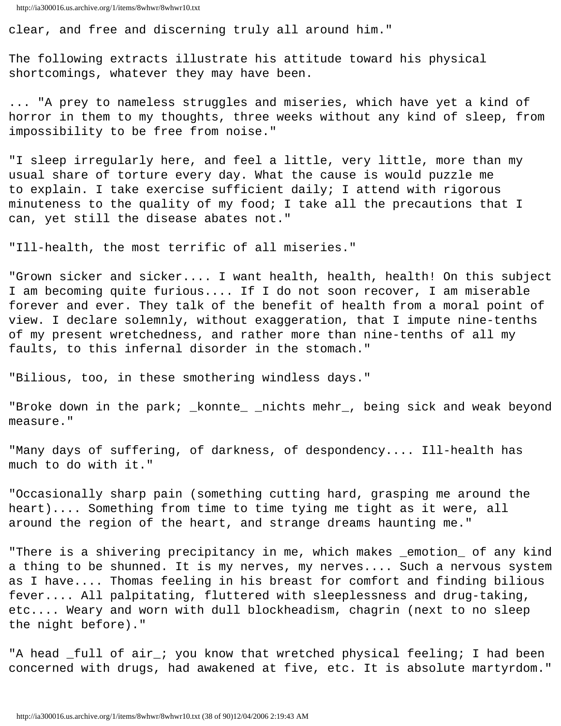```
http://ia300016.us.archive.org/1/items/8whwr/8whwr10.txt
```
clear, and free and discerning truly all around him."

The following extracts illustrate his attitude toward his physical shortcomings, whatever they may have been.

... "A prey to nameless struggles and miseries, which have yet a kind of horror in them to my thoughts, three weeks without any kind of sleep, from impossibility to be free from noise."

"I sleep irregularly here, and feel a little, very little, more than my usual share of torture every day. What the cause is would puzzle me to explain. I take exercise sufficient daily; I attend with rigorous minuteness to the quality of my food; I take all the precautions that I can, yet still the disease abates not."

"Ill-health, the most terrific of all miseries."

"Grown sicker and sicker.... I want health, health, health! On this subject I am becoming quite furious.... If I do not soon recover, I am miserable forever and ever. They talk of the benefit of health from a moral point of view. I declare solemnly, without exaggeration, that I impute nine-tenths of my present wretchedness, and rather more than nine-tenths of all my faults, to this infernal disorder in the stomach."

"Bilious, too, in these smothering windless days."

"Broke down in the park; \_konnte\_ \_nichts mehr\_, being sick and weak beyond measure."

"Many days of suffering, of darkness, of despondency.... Ill-health has much to do with it."

"Occasionally sharp pain (something cutting hard, grasping me around the heart).... Something from time to time tying me tight as it were, all around the region of the heart, and strange dreams haunting me."

"There is a shivering precipitancy in me, which makes \_emotion\_ of any kind a thing to be shunned. It is my nerves, my nerves.... Such a nervous system as I have.... Thomas feeling in his breast for comfort and finding bilious fever.... All palpitating, fluttered with sleeplessness and drug-taking, etc.... Weary and worn with dull blockheadism, chagrin (next to no sleep the night before)."

"A head \_full of air\_; you know that wretched physical feeling; I had been concerned with drugs, had awakened at five, etc. It is absolute martyrdom."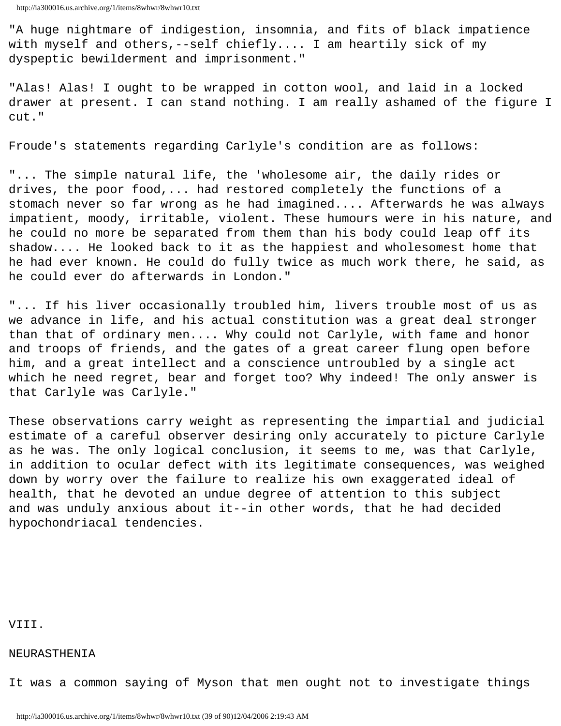"A huge nightmare of indigestion, insomnia, and fits of black impatience with myself and others,--self chiefly.... I am heartily sick of my dyspeptic bewilderment and imprisonment."

"Alas! Alas! I ought to be wrapped in cotton wool, and laid in a locked drawer at present. I can stand nothing. I am really ashamed of the figure I cut."

Froude's statements regarding Carlyle's condition are as follows:

"... The simple natural life, the 'wholesome air, the daily rides or drives, the poor food,... had restored completely the functions of a stomach never so far wrong as he had imagined.... Afterwards he was always impatient, moody, irritable, violent. These humours were in his nature, and he could no more be separated from them than his body could leap off its shadow.... He looked back to it as the happiest and wholesomest home that he had ever known. He could do fully twice as much work there, he said, as he could ever do afterwards in London."

"... If his liver occasionally troubled him, livers trouble most of us as we advance in life, and his actual constitution was a great deal stronger than that of ordinary men.... Why could not Carlyle, with fame and honor and troops of friends, and the gates of a great career flung open before him, and a great intellect and a conscience untroubled by a single act which he need regret, bear and forget too? Why indeed! The only answer is that Carlyle was Carlyle."

These observations carry weight as representing the impartial and judicial estimate of a careful observer desiring only accurately to picture Carlyle as he was. The only logical conclusion, it seems to me, was that Carlyle, in addition to ocular defect with its legitimate consequences, was weighed down by worry over the failure to realize his own exaggerated ideal of health, that he devoted an undue degree of attention to this subject and was unduly anxious about it--in other words, that he had decided hypochondriacal tendencies.

VIII.

## NEURASTHENIA

It was a common saying of Myson that men ought not to investigate things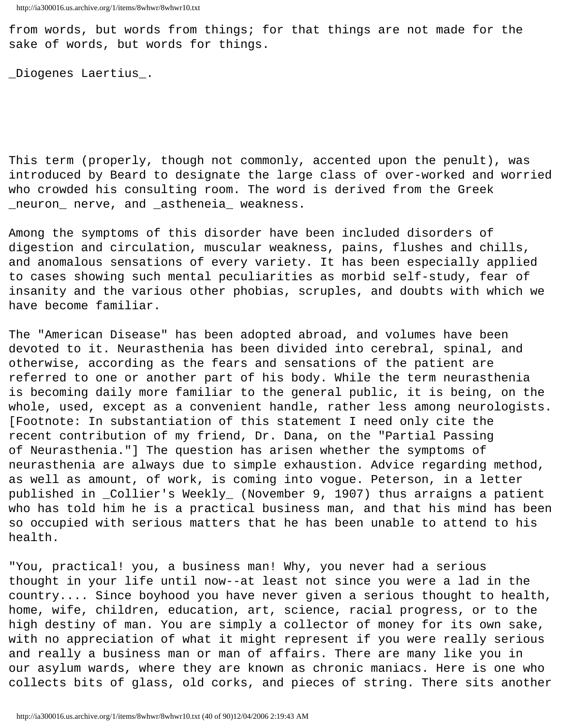from words, but words from things; for that things are not made for the sake of words, but words for things.

\_Diogenes Laertius\_.

This term (properly, though not commonly, accented upon the penult), was introduced by Beard to designate the large class of over-worked and worried who crowded his consulting room. The word is derived from the Greek \_neuron\_ nerve, and \_astheneia\_ weakness.

Among the symptoms of this disorder have been included disorders of digestion and circulation, muscular weakness, pains, flushes and chills, and anomalous sensations of every variety. It has been especially applied to cases showing such mental peculiarities as morbid self-study, fear of insanity and the various other phobias, scruples, and doubts with which we have become familiar.

The "American Disease" has been adopted abroad, and volumes have been devoted to it. Neurasthenia has been divided into cerebral, spinal, and otherwise, according as the fears and sensations of the patient are referred to one or another part of his body. While the term neurasthenia is becoming daily more familiar to the general public, it is being, on the whole, used, except as a convenient handle, rather less among neurologists. [Footnote: In substantiation of this statement I need only cite the recent contribution of my friend, Dr. Dana, on the "Partial Passing of Neurasthenia."] The question has arisen whether the symptoms of neurasthenia are always due to simple exhaustion. Advice regarding method, as well as amount, of work, is coming into vogue. Peterson, in a letter published in \_Collier's Weekly\_ (November 9, 1907) thus arraigns a patient who has told him he is a practical business man, and that his mind has been so occupied with serious matters that he has been unable to attend to his health.

"You, practical! you, a business man! Why, you never had a serious thought in your life until now--at least not since you were a lad in the country.... Since boyhood you have never given a serious thought to health, home, wife, children, education, art, science, racial progress, or to the high destiny of man. You are simply a collector of money for its own sake, with no appreciation of what it might represent if you were really serious and really a business man or man of affairs. There are many like you in our asylum wards, where they are known as chronic maniacs. Here is one who collects bits of glass, old corks, and pieces of string. There sits another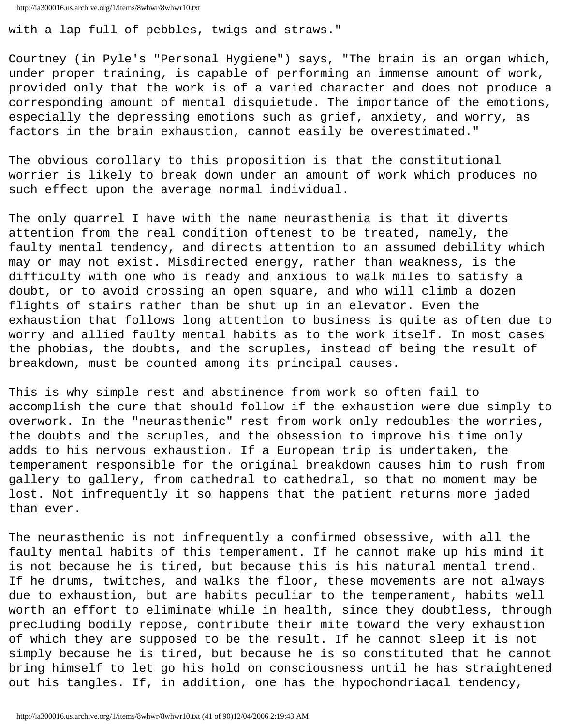http://ia300016.us.archive.org/1/items/8whwr/8whwr10.txt

with a lap full of pebbles, twigs and straws."

Courtney (in Pyle's "Personal Hygiene") says, "The brain is an organ which, under proper training, is capable of performing an immense amount of work, provided only that the work is of a varied character and does not produce a corresponding amount of mental disquietude. The importance of the emotions, especially the depressing emotions such as grief, anxiety, and worry, as factors in the brain exhaustion, cannot easily be overestimated."

The obvious corollary to this proposition is that the constitutional worrier is likely to break down under an amount of work which produces no such effect upon the average normal individual.

The only quarrel I have with the name neurasthenia is that it diverts attention from the real condition oftenest to be treated, namely, the faulty mental tendency, and directs attention to an assumed debility which may or may not exist. Misdirected energy, rather than weakness, is the difficulty with one who is ready and anxious to walk miles to satisfy a doubt, or to avoid crossing an open square, and who will climb a dozen flights of stairs rather than be shut up in an elevator. Even the exhaustion that follows long attention to business is quite as often due to worry and allied faulty mental habits as to the work itself. In most cases the phobias, the doubts, and the scruples, instead of being the result of breakdown, must be counted among its principal causes.

This is why simple rest and abstinence from work so often fail to accomplish the cure that should follow if the exhaustion were due simply to overwork. In the "neurasthenic" rest from work only redoubles the worries, the doubts and the scruples, and the obsession to improve his time only adds to his nervous exhaustion. If a European trip is undertaken, the temperament responsible for the original breakdown causes him to rush from gallery to gallery, from cathedral to cathedral, so that no moment may be lost. Not infrequently it so happens that the patient returns more jaded than ever.

The neurasthenic is not infrequently a confirmed obsessive, with all the faulty mental habits of this temperament. If he cannot make up his mind it is not because he is tired, but because this is his natural mental trend. If he drums, twitches, and walks the floor, these movements are not always due to exhaustion, but are habits peculiar to the temperament, habits well worth an effort to eliminate while in health, since they doubtless, through precluding bodily repose, contribute their mite toward the very exhaustion of which they are supposed to be the result. If he cannot sleep it is not simply because he is tired, but because he is so constituted that he cannot bring himself to let go his hold on consciousness until he has straightened out his tangles. If, in addition, one has the hypochondriacal tendency,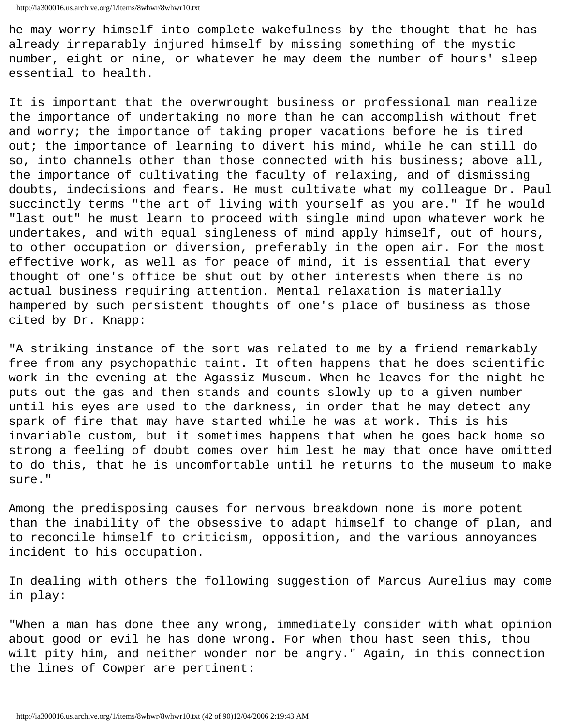he may worry himself into complete wakefulness by the thought that he has already irreparably injured himself by missing something of the mystic number, eight or nine, or whatever he may deem the number of hours' sleep essential to health.

It is important that the overwrought business or professional man realize the importance of undertaking no more than he can accomplish without fret and worry; the importance of taking proper vacations before he is tired out; the importance of learning to divert his mind, while he can still do so, into channels other than those connected with his business; above all, the importance of cultivating the faculty of relaxing, and of dismissing doubts, indecisions and fears. He must cultivate what my colleague Dr. Paul succinctly terms "the art of living with yourself as you are." If he would "last out" he must learn to proceed with single mind upon whatever work he undertakes, and with equal singleness of mind apply himself, out of hours, to other occupation or diversion, preferably in the open air. For the most effective work, as well as for peace of mind, it is essential that every thought of one's office be shut out by other interests when there is no actual business requiring attention. Mental relaxation is materially hampered by such persistent thoughts of one's place of business as those cited by Dr. Knapp:

"A striking instance of the sort was related to me by a friend remarkably free from any psychopathic taint. It often happens that he does scientific work in the evening at the Agassiz Museum. When he leaves for the night he puts out the gas and then stands and counts slowly up to a given number until his eyes are used to the darkness, in order that he may detect any spark of fire that may have started while he was at work. This is his invariable custom, but it sometimes happens that when he goes back home so strong a feeling of doubt comes over him lest he may that once have omitted to do this, that he is uncomfortable until he returns to the museum to make sure."

Among the predisposing causes for nervous breakdown none is more potent than the inability of the obsessive to adapt himself to change of plan, and to reconcile himself to criticism, opposition, and the various annoyances incident to his occupation.

In dealing with others the following suggestion of Marcus Aurelius may come in play:

"When a man has done thee any wrong, immediately consider with what opinion about good or evil he has done wrong. For when thou hast seen this, thou wilt pity him, and neither wonder nor be angry." Again, in this connection the lines of Cowper are pertinent: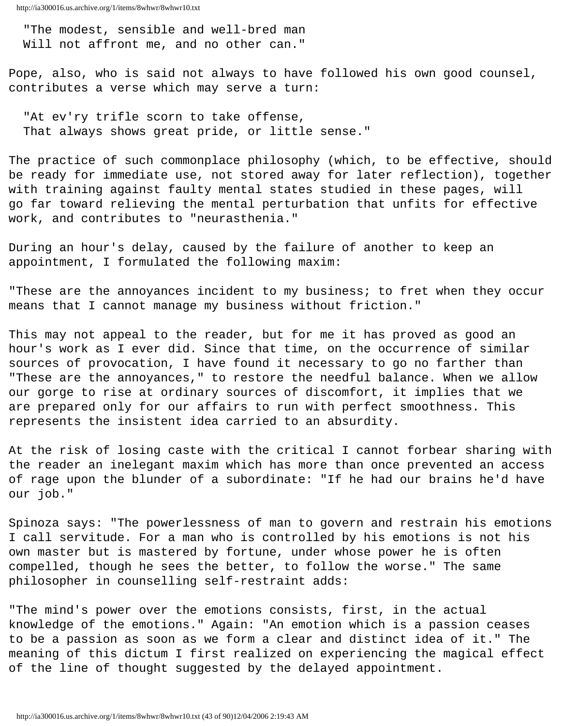"The modest, sensible and well-bred man Will not affront me, and no other can."

Pope, also, who is said not always to have followed his own good counsel, contributes a verse which may serve a turn:

 "At ev'ry trifle scorn to take offense, That always shows great pride, or little sense."

The practice of such commonplace philosophy (which, to be effective, should be ready for immediate use, not stored away for later reflection), together with training against faulty mental states studied in these pages, will go far toward relieving the mental perturbation that unfits for effective work, and contributes to "neurasthenia."

During an hour's delay, caused by the failure of another to keep an appointment, I formulated the following maxim:

"These are the annoyances incident to my business; to fret when they occur means that I cannot manage my business without friction."

This may not appeal to the reader, but for me it has proved as good an hour's work as I ever did. Since that time, on the occurrence of similar sources of provocation, I have found it necessary to go no farther than "These are the annoyances," to restore the needful balance. When we allow our gorge to rise at ordinary sources of discomfort, it implies that we are prepared only for our affairs to run with perfect smoothness. This represents the insistent idea carried to an absurdity.

At the risk of losing caste with the critical I cannot forbear sharing with the reader an inelegant maxim which has more than once prevented an access of rage upon the blunder of a subordinate: "If he had our brains he'd have our job."

Spinoza says: "The powerlessness of man to govern and restrain his emotions I call servitude. For a man who is controlled by his emotions is not his own master but is mastered by fortune, under whose power he is often compelled, though he sees the better, to follow the worse." The same philosopher in counselling self-restraint adds:

"The mind's power over the emotions consists, first, in the actual knowledge of the emotions." Again: "An emotion which is a passion ceases to be a passion as soon as we form a clear and distinct idea of it." The meaning of this dictum I first realized on experiencing the magical effect of the line of thought suggested by the delayed appointment.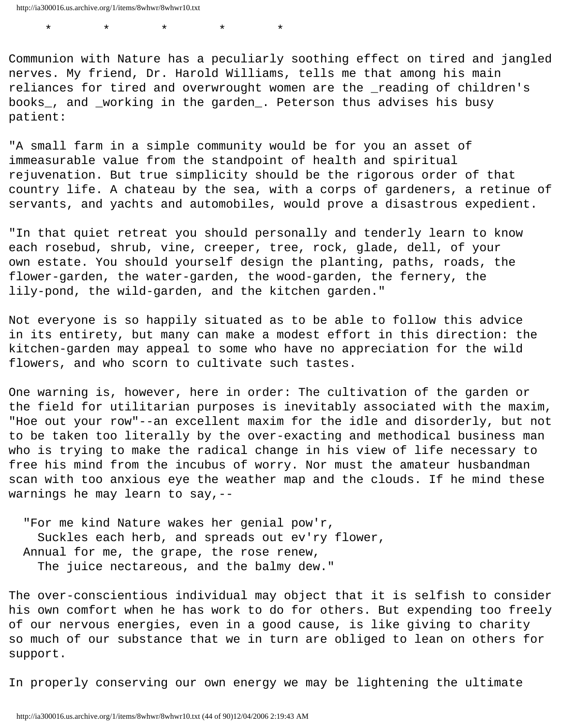\* \* \* \* \*

Communion with Nature has a peculiarly soothing effect on tired and jangled nerves. My friend, Dr. Harold Williams, tells me that among his main reliances for tired and overwrought women are the \_reading of children's books\_, and \_working in the garden\_. Peterson thus advises his busy patient:

"A small farm in a simple community would be for you an asset of immeasurable value from the standpoint of health and spiritual rejuvenation. But true simplicity should be the rigorous order of that country life. A chateau by the sea, with a corps of gardeners, a retinue of servants, and yachts and automobiles, would prove a disastrous expedient.

"In that quiet retreat you should personally and tenderly learn to know each rosebud, shrub, vine, creeper, tree, rock, glade, dell, of your own estate. You should yourself design the planting, paths, roads, the flower-garden, the water-garden, the wood-garden, the fernery, the lily-pond, the wild-garden, and the kitchen garden."

Not everyone is so happily situated as to be able to follow this advice in its entirety, but many can make a modest effort in this direction: the kitchen-garden may appeal to some who have no appreciation for the wild flowers, and who scorn to cultivate such tastes.

One warning is, however, here in order: The cultivation of the garden or the field for utilitarian purposes is inevitably associated with the maxim, "Hoe out your row"--an excellent maxim for the idle and disorderly, but not to be taken too literally by the over-exacting and methodical business man who is trying to make the radical change in his view of life necessary to free his mind from the incubus of worry. Nor must the amateur husbandman scan with too anxious eye the weather map and the clouds. If he mind these warnings he may learn to say,--

 "For me kind Nature wakes her genial pow'r, Suckles each herb, and spreads out ev'ry flower, Annual for me, the grape, the rose renew, The juice nectareous, and the balmy dew."

The over-conscientious individual may object that it is selfish to consider his own comfort when he has work to do for others. But expending too freely of our nervous energies, even in a good cause, is like giving to charity so much of our substance that we in turn are obliged to lean on others for support.

In properly conserving our own energy we may be lightening the ultimate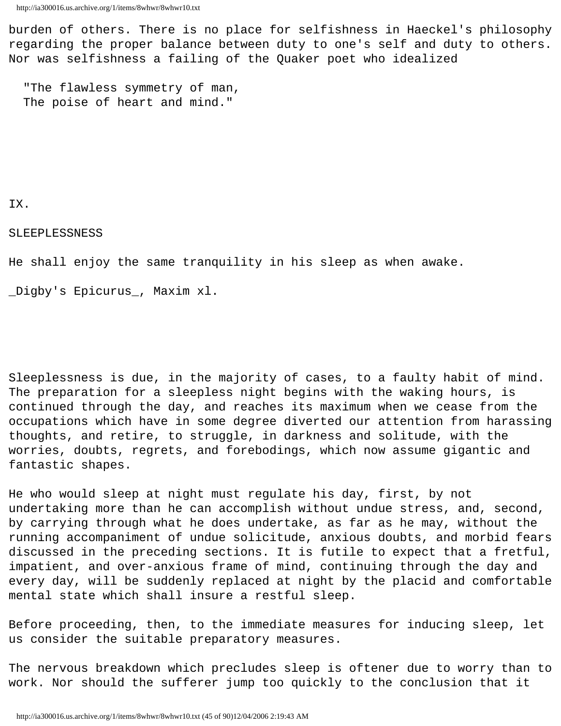burden of others. There is no place for selfishness in Haeckel's philosophy regarding the proper balance between duty to one's self and duty to others. Nor was selfishness a failing of the Quaker poet who idealized

 "The flawless symmetry of man, The poise of heart and mind."

# IX.

## SLEEPLESSNESS

He shall enjoy the same tranquility in his sleep as when awake.

\_Digby's Epicurus\_, Maxim xl.

Sleeplessness is due, in the majority of cases, to a faulty habit of mind. The preparation for a sleepless night begins with the waking hours, is continued through the day, and reaches its maximum when we cease from the occupations which have in some degree diverted our attention from harassing thoughts, and retire, to struggle, in darkness and solitude, with the worries, doubts, regrets, and forebodings, which now assume gigantic and fantastic shapes.

He who would sleep at night must regulate his day, first, by not undertaking more than he can accomplish without undue stress, and, second, by carrying through what he does undertake, as far as he may, without the running accompaniment of undue solicitude, anxious doubts, and morbid fears discussed in the preceding sections. It is futile to expect that a fretful, impatient, and over-anxious frame of mind, continuing through the day and every day, will be suddenly replaced at night by the placid and comfortable mental state which shall insure a restful sleep.

Before proceeding, then, to the immediate measures for inducing sleep, let us consider the suitable preparatory measures.

The nervous breakdown which precludes sleep is oftener due to worry than to work. Nor should the sufferer jump too quickly to the conclusion that it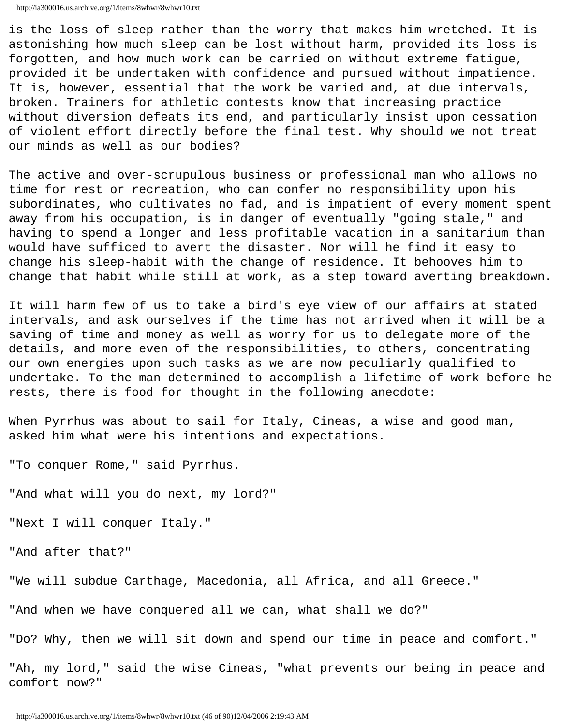```
http://ia300016.us.archive.org/1/items/8whwr/8whwr10.txt
```
is the loss of sleep rather than the worry that makes him wretched. It is astonishing how much sleep can be lost without harm, provided its loss is forgotten, and how much work can be carried on without extreme fatigue, provided it be undertaken with confidence and pursued without impatience. It is, however, essential that the work be varied and, at due intervals, broken. Trainers for athletic contests know that increasing practice without diversion defeats its end, and particularly insist upon cessation of violent effort directly before the final test. Why should we not treat our minds as well as our bodies?

The active and over-scrupulous business or professional man who allows no time for rest or recreation, who can confer no responsibility upon his subordinates, who cultivates no fad, and is impatient of every moment spent away from his occupation, is in danger of eventually "going stale," and having to spend a longer and less profitable vacation in a sanitarium than would have sufficed to avert the disaster. Nor will he find it easy to change his sleep-habit with the change of residence. It behooves him to change that habit while still at work, as a step toward averting breakdown.

It will harm few of us to take a bird's eye view of our affairs at stated intervals, and ask ourselves if the time has not arrived when it will be a saving of time and money as well as worry for us to delegate more of the details, and more even of the responsibilities, to others, concentrating our own energies upon such tasks as we are now peculiarly qualified to undertake. To the man determined to accomplish a lifetime of work before he rests, there is food for thought in the following anecdote:

When Pyrrhus was about to sail for Italy, Cineas, a wise and good man, asked him what were his intentions and expectations.

"To conquer Rome," said Pyrrhus.

"And what will you do next, my lord?"

"Next I will conquer Italy."

"And after that?"

"We will subdue Carthage, Macedonia, all Africa, and all Greece."

"And when we have conquered all we can, what shall we do?"

"Do? Why, then we will sit down and spend our time in peace and comfort."

"Ah, my lord," said the wise Cineas, "what prevents our being in peace and comfort now?"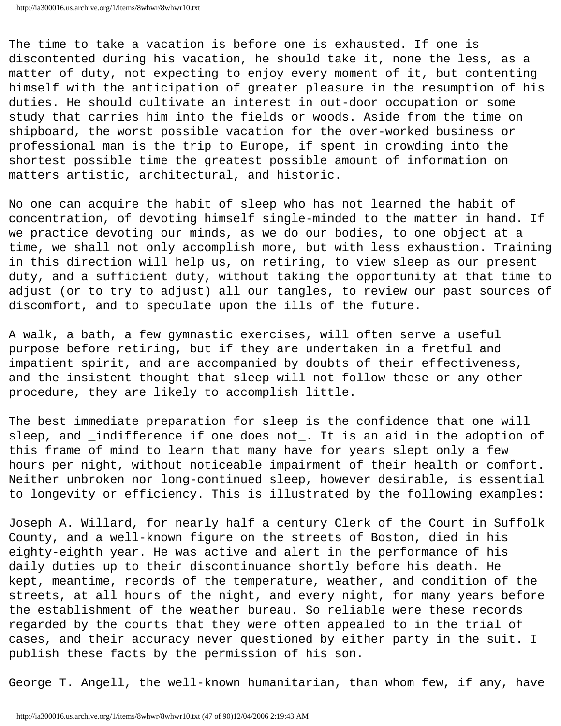The time to take a vacation is before one is exhausted. If one is discontented during his vacation, he should take it, none the less, as a matter of duty, not expecting to enjoy every moment of it, but contenting himself with the anticipation of greater pleasure in the resumption of his duties. He should cultivate an interest in out-door occupation or some study that carries him into the fields or woods. Aside from the time on shipboard, the worst possible vacation for the over-worked business or professional man is the trip to Europe, if spent in crowding into the shortest possible time the greatest possible amount of information on matters artistic, architectural, and historic.

No one can acquire the habit of sleep who has not learned the habit of concentration, of devoting himself single-minded to the matter in hand. If we practice devoting our minds, as we do our bodies, to one object at a time, we shall not only accomplish more, but with less exhaustion. Training in this direction will help us, on retiring, to view sleep as our present duty, and a sufficient duty, without taking the opportunity at that time to adjust (or to try to adjust) all our tangles, to review our past sources of discomfort, and to speculate upon the ills of the future.

A walk, a bath, a few gymnastic exercises, will often serve a useful purpose before retiring, but if they are undertaken in a fretful and impatient spirit, and are accompanied by doubts of their effectiveness, and the insistent thought that sleep will not follow these or any other procedure, they are likely to accomplish little.

The best immediate preparation for sleep is the confidence that one will sleep, and \_indifference if one does not\_. It is an aid in the adoption of this frame of mind to learn that many have for years slept only a few hours per night, without noticeable impairment of their health or comfort. Neither unbroken nor long-continued sleep, however desirable, is essential to longevity or efficiency. This is illustrated by the following examples:

Joseph A. Willard, for nearly half a century Clerk of the Court in Suffolk County, and a well-known figure on the streets of Boston, died in his eighty-eighth year. He was active and alert in the performance of his daily duties up to their discontinuance shortly before his death. He kept, meantime, records of the temperature, weather, and condition of the streets, at all hours of the night, and every night, for many years before the establishment of the weather bureau. So reliable were these records regarded by the courts that they were often appealed to in the trial of cases, and their accuracy never questioned by either party in the suit. I publish these facts by the permission of his son.

George T. Angell, the well-known humanitarian, than whom few, if any, have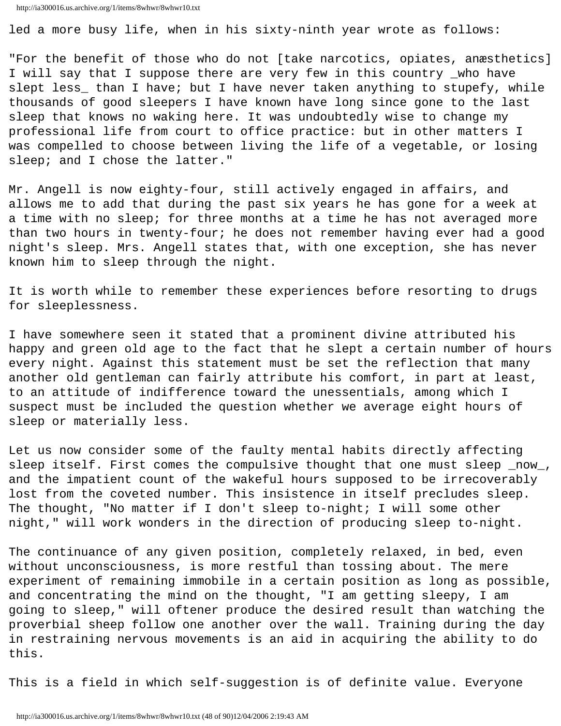```
http://ia300016.us.archive.org/1/items/8whwr/8whwr10.txt
```
led a more busy life, when in his sixty-ninth year wrote as follows:

"For the benefit of those who do not [take narcotics, opiates, anæsthetics] I will say that I suppose there are very few in this country \_who have slept less\_ than I have; but I have never taken anything to stupefy, while thousands of good sleepers I have known have long since gone to the last sleep that knows no waking here. It was undoubtedly wise to change my professional life from court to office practice: but in other matters I was compelled to choose between living the life of a vegetable, or losing sleep; and I chose the latter."

Mr. Angell is now eighty-four, still actively engaged in affairs, and allows me to add that during the past six years he has gone for a week at a time with no sleep; for three months at a time he has not averaged more than two hours in twenty-four; he does not remember having ever had a good night's sleep. Mrs. Angell states that, with one exception, she has never known him to sleep through the night.

It is worth while to remember these experiences before resorting to drugs for sleeplessness.

I have somewhere seen it stated that a prominent divine attributed his happy and green old age to the fact that he slept a certain number of hours every night. Against this statement must be set the reflection that many another old gentleman can fairly attribute his comfort, in part at least, to an attitude of indifference toward the unessentials, among which I suspect must be included the question whether we average eight hours of sleep or materially less.

Let us now consider some of the faulty mental habits directly affecting sleep itself. First comes the compulsive thought that one must sleep now, and the impatient count of the wakeful hours supposed to be irrecoverably lost from the coveted number. This insistence in itself precludes sleep. The thought, "No matter if I don't sleep to-night; I will some other night," will work wonders in the direction of producing sleep to-night.

The continuance of any given position, completely relaxed, in bed, even without unconsciousness, is more restful than tossing about. The mere experiment of remaining immobile in a certain position as long as possible, and concentrating the mind on the thought, "I am getting sleepy, I am going to sleep," will oftener produce the desired result than watching the proverbial sheep follow one another over the wall. Training during the day in restraining nervous movements is an aid in acquiring the ability to do this.

This is a field in which self-suggestion is of definite value. Everyone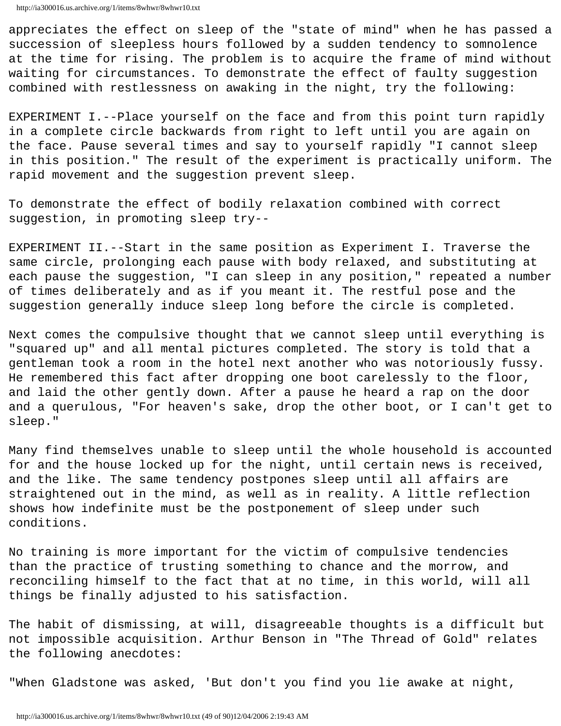appreciates the effect on sleep of the "state of mind" when he has passed a succession of sleepless hours followed by a sudden tendency to somnolence at the time for rising. The problem is to acquire the frame of mind without waiting for circumstances. To demonstrate the effect of faulty suggestion combined with restlessness on awaking in the night, try the following:

EXPERIMENT I.--Place yourself on the face and from this point turn rapidly in a complete circle backwards from right to left until you are again on the face. Pause several times and say to yourself rapidly "I cannot sleep in this position." The result of the experiment is practically uniform. The rapid movement and the suggestion prevent sleep.

To demonstrate the effect of bodily relaxation combined with correct suggestion, in promoting sleep try--

EXPERIMENT II.--Start in the same position as Experiment I. Traverse the same circle, prolonging each pause with body relaxed, and substituting at each pause the suggestion, "I can sleep in any position," repeated a number of times deliberately and as if you meant it. The restful pose and the suggestion generally induce sleep long before the circle is completed.

Next comes the compulsive thought that we cannot sleep until everything is "squared up" and all mental pictures completed. The story is told that a gentleman took a room in the hotel next another who was notoriously fussy. He remembered this fact after dropping one boot carelessly to the floor, and laid the other gently down. After a pause he heard a rap on the door and a querulous, "For heaven's sake, drop the other boot, or I can't get to sleep."

Many find themselves unable to sleep until the whole household is accounted for and the house locked up for the night, until certain news is received, and the like. The same tendency postpones sleep until all affairs are straightened out in the mind, as well as in reality. A little reflection shows how indefinite must be the postponement of sleep under such conditions.

No training is more important for the victim of compulsive tendencies than the practice of trusting something to chance and the morrow, and reconciling himself to the fact that at no time, in this world, will all things be finally adjusted to his satisfaction.

The habit of dismissing, at will, disagreeable thoughts is a difficult but not impossible acquisition. Arthur Benson in "The Thread of Gold" relates the following anecdotes:

"When Gladstone was asked, 'But don't you find you lie awake at night,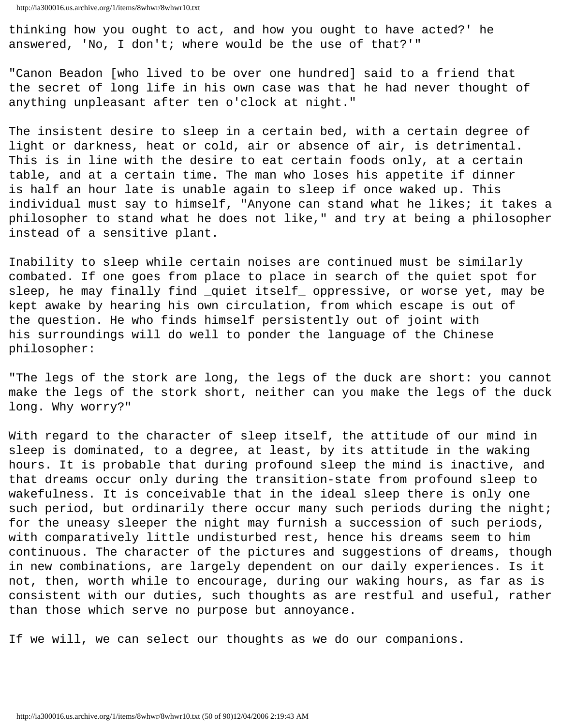thinking how you ought to act, and how you ought to have acted?' he answered, 'No, I don't; where would be the use of that?'"

"Canon Beadon [who lived to be over one hundred] said to a friend that the secret of long life in his own case was that he had never thought of anything unpleasant after ten o'clock at night."

The insistent desire to sleep in a certain bed, with a certain degree of light or darkness, heat or cold, air or absence of air, is detrimental. This is in line with the desire to eat certain foods only, at a certain table, and at a certain time. The man who loses his appetite if dinner is half an hour late is unable again to sleep if once waked up. This individual must say to himself, "Anyone can stand what he likes; it takes a philosopher to stand what he does not like," and try at being a philosopher instead of a sensitive plant.

Inability to sleep while certain noises are continued must be similarly combated. If one goes from place to place in search of the quiet spot for sleep, he may finally find \_quiet itself\_ oppressive, or worse yet, may be kept awake by hearing his own circulation, from which escape is out of the question. He who finds himself persistently out of joint with his surroundings will do well to ponder the language of the Chinese philosopher:

"The legs of the stork are long, the legs of the duck are short: you cannot make the legs of the stork short, neither can you make the legs of the duck long. Why worry?"

With regard to the character of sleep itself, the attitude of our mind in sleep is dominated, to a degree, at least, by its attitude in the waking hours. It is probable that during profound sleep the mind is inactive, and that dreams occur only during the transition-state from profound sleep to wakefulness. It is conceivable that in the ideal sleep there is only one such period, but ordinarily there occur many such periods during the night; for the uneasy sleeper the night may furnish a succession of such periods, with comparatively little undisturbed rest, hence his dreams seem to him continuous. The character of the pictures and suggestions of dreams, though in new combinations, are largely dependent on our daily experiences. Is it not, then, worth while to encourage, during our waking hours, as far as is consistent with our duties, such thoughts as are restful and useful, rather than those which serve no purpose but annoyance.

If we will, we can select our thoughts as we do our companions.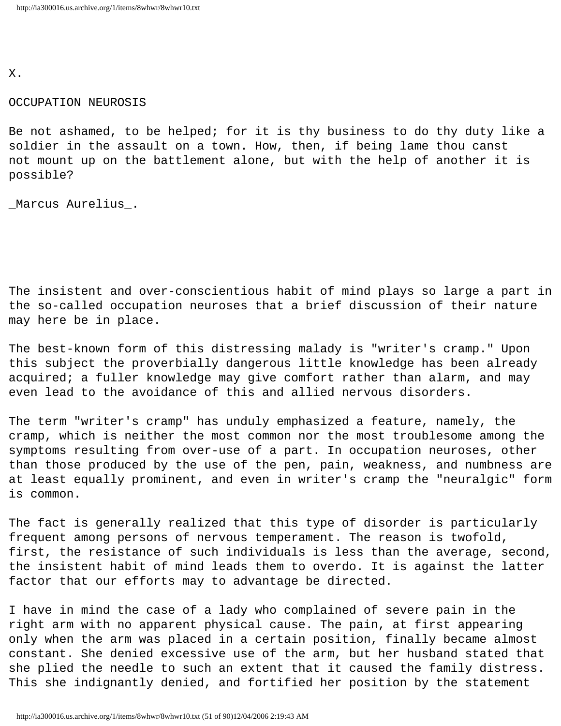X.

## OCCUPATION NEUROSIS

Be not ashamed, to be helped; for it is thy business to do thy duty like a soldier in the assault on a town. How, then, if being lame thou canst not mount up on the battlement alone, but with the help of another it is possible?

\_Marcus Aurelius\_.

The insistent and over-conscientious habit of mind plays so large a part in the so-called occupation neuroses that a brief discussion of their nature may here be in place.

The best-known form of this distressing malady is "writer's cramp." Upon this subject the proverbially dangerous little knowledge has been already acquired; a fuller knowledge may give comfort rather than alarm, and may even lead to the avoidance of this and allied nervous disorders.

The term "writer's cramp" has unduly emphasized a feature, namely, the cramp, which is neither the most common nor the most troublesome among the symptoms resulting from over-use of a part. In occupation neuroses, other than those produced by the use of the pen, pain, weakness, and numbness are at least equally prominent, and even in writer's cramp the "neuralgic" form is common.

The fact is generally realized that this type of disorder is particularly frequent among persons of nervous temperament. The reason is twofold, first, the resistance of such individuals is less than the average, second, the insistent habit of mind leads them to overdo. It is against the latter factor that our efforts may to advantage be directed.

I have in mind the case of a lady who complained of severe pain in the right arm with no apparent physical cause. The pain, at first appearing only when the arm was placed in a certain position, finally became almost constant. She denied excessive use of the arm, but her husband stated that she plied the needle to such an extent that it caused the family distress. This she indignantly denied, and fortified her position by the statement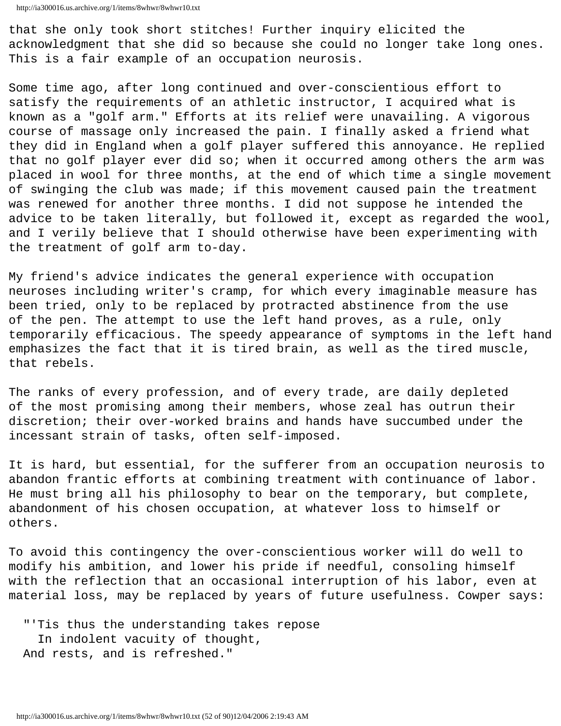that she only took short stitches! Further inquiry elicited the acknowledgment that she did so because she could no longer take long ones. This is a fair example of an occupation neurosis.

Some time ago, after long continued and over-conscientious effort to satisfy the requirements of an athletic instructor, I acquired what is known as a "golf arm." Efforts at its relief were unavailing. A vigorous course of massage only increased the pain. I finally asked a friend what they did in England when a golf player suffered this annoyance. He replied that no golf player ever did so; when it occurred among others the arm was placed in wool for three months, at the end of which time a single movement of swinging the club was made; if this movement caused pain the treatment was renewed for another three months. I did not suppose he intended the advice to be taken literally, but followed it, except as regarded the wool, and I verily believe that I should otherwise have been experimenting with the treatment of golf arm to-day.

My friend's advice indicates the general experience with occupation neuroses including writer's cramp, for which every imaginable measure has been tried, only to be replaced by protracted abstinence from the use of the pen. The attempt to use the left hand proves, as a rule, only temporarily efficacious. The speedy appearance of symptoms in the left hand emphasizes the fact that it is tired brain, as well as the tired muscle, that rebels.

The ranks of every profession, and of every trade, are daily depleted of the most promising among their members, whose zeal has outrun their discretion; their over-worked brains and hands have succumbed under the incessant strain of tasks, often self-imposed.

It is hard, but essential, for the sufferer from an occupation neurosis to abandon frantic efforts at combining treatment with continuance of labor. He must bring all his philosophy to bear on the temporary, but complete, abandonment of his chosen occupation, at whatever loss to himself or others.

To avoid this contingency the over-conscientious worker will do well to modify his ambition, and lower his pride if needful, consoling himself with the reflection that an occasional interruption of his labor, even at material loss, may be replaced by years of future usefulness. Cowper says:

 "'Tis thus the understanding takes repose In indolent vacuity of thought, And rests, and is refreshed."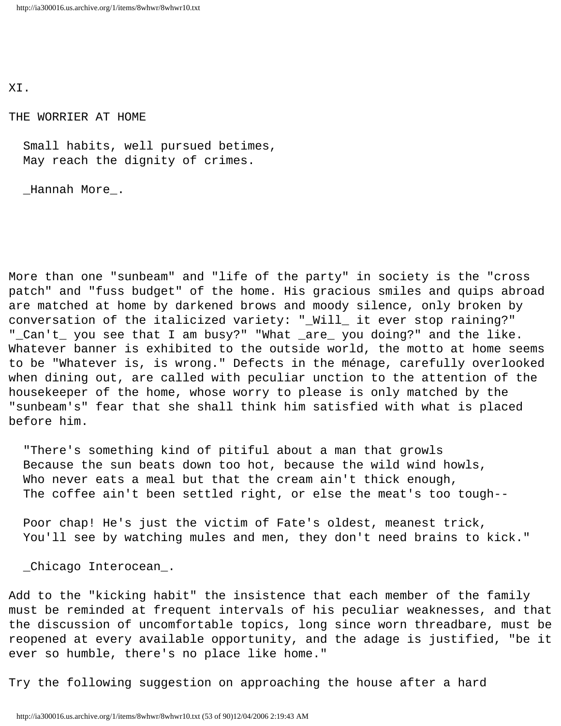XI.

THE WORRIER AT HOME

 Small habits, well pursued betimes, May reach the dignity of crimes.

\_Hannah More\_.

More than one "sunbeam" and "life of the party" in society is the "cross patch" and "fuss budget" of the home. His gracious smiles and quips abroad are matched at home by darkened brows and moody silence, only broken by conversation of the italicized variety: "\_Will\_ it ever stop raining?" "\_Can't\_ you see that I am busy?" "What \_are\_ you doing?" and the like. Whatever banner is exhibited to the outside world, the motto at home seems to be "Whatever is, is wrong." Defects in the ménage, carefully overlooked when dining out, are called with peculiar unction to the attention of the housekeeper of the home, whose worry to please is only matched by the "sunbeam's" fear that she shall think him satisfied with what is placed before him.

 "There's something kind of pitiful about a man that growls Because the sun beats down too hot, because the wild wind howls, Who never eats a meal but that the cream ain't thick enough, The coffee ain't been settled right, or else the meat's too tough--

 Poor chap! He's just the victim of Fate's oldest, meanest trick, You'll see by watching mules and men, they don't need brains to kick."

\_Chicago Interocean\_.

Add to the "kicking habit" the insistence that each member of the family must be reminded at frequent intervals of his peculiar weaknesses, and that the discussion of uncomfortable topics, long since worn threadbare, must be reopened at every available opportunity, and the adage is justified, "be it ever so humble, there's no place like home."

Try the following suggestion on approaching the house after a hard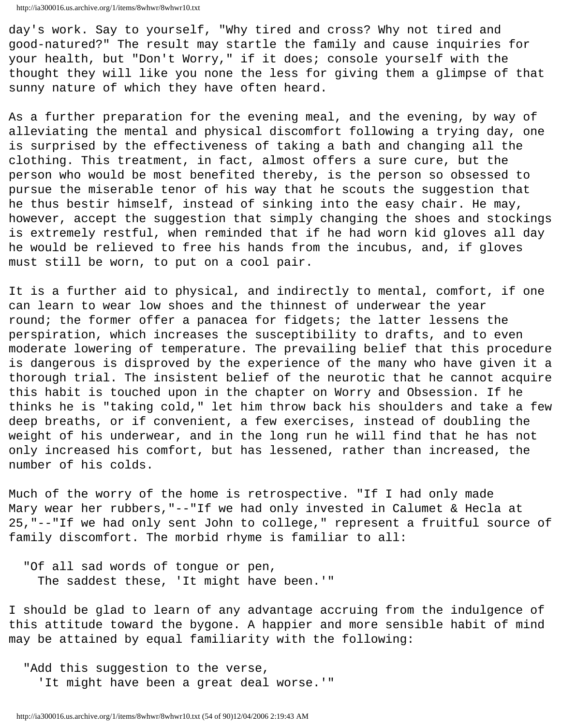day's work. Say to yourself, "Why tired and cross? Why not tired and good-natured?" The result may startle the family and cause inquiries for your health, but "Don't Worry," if it does; console yourself with the thought they will like you none the less for giving them a glimpse of that sunny nature of which they have often heard.

As a further preparation for the evening meal, and the evening, by way of alleviating the mental and physical discomfort following a trying day, one is surprised by the effectiveness of taking a bath and changing all the clothing. This treatment, in fact, almost offers a sure cure, but the person who would be most benefited thereby, is the person so obsessed to pursue the miserable tenor of his way that he scouts the suggestion that he thus bestir himself, instead of sinking into the easy chair. He may, however, accept the suggestion that simply changing the shoes and stockings is extremely restful, when reminded that if he had worn kid gloves all day he would be relieved to free his hands from the incubus, and, if gloves must still be worn, to put on a cool pair.

It is a further aid to physical, and indirectly to mental, comfort, if one can learn to wear low shoes and the thinnest of underwear the year round; the former offer a panacea for fidgets; the latter lessens the perspiration, which increases the susceptibility to drafts, and to even moderate lowering of temperature. The prevailing belief that this procedure is dangerous is disproved by the experience of the many who have given it a thorough trial. The insistent belief of the neurotic that he cannot acquire this habit is touched upon in the chapter on Worry and Obsession. If he thinks he is "taking cold," let him throw back his shoulders and take a few deep breaths, or if convenient, a few exercises, instead of doubling the weight of his underwear, and in the long run he will find that he has not only increased his comfort, but has lessened, rather than increased, the number of his colds.

Much of the worry of the home is retrospective. "If I had only made Mary wear her rubbers,"--"If we had only invested in Calumet & Hecla at 25,"--"If we had only sent John to college," represent a fruitful source of family discomfort. The morbid rhyme is familiar to all:

 "Of all sad words of tongue or pen, The saddest these, 'It might have been.'"

I should be glad to learn of any advantage accruing from the indulgence of this attitude toward the bygone. A happier and more sensible habit of mind may be attained by equal familiarity with the following:

 "Add this suggestion to the verse, 'It might have been a great deal worse.'"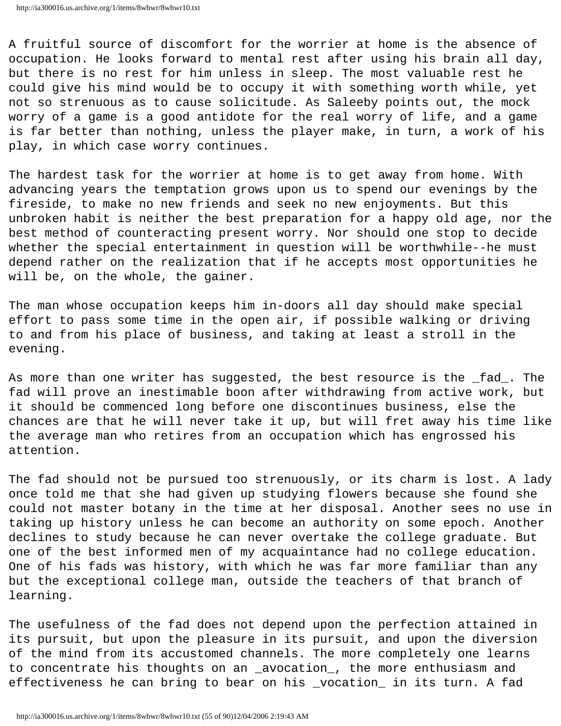```
http://ia300016.us.archive.org/1/items/8whwr/8whwr10.txt
```
A fruitful source of discomfort for the worrier at home is the absence of occupation. He looks forward to mental rest after using his brain all day, but there is no rest for him unless in sleep. The most valuable rest he could give his mind would be to occupy it with something worth while, yet not so strenuous as to cause solicitude. As Saleeby points out, the mock worry of a game is a good antidote for the real worry of life, and a game is far better than nothing, unless the player make, in turn, a work of his play, in which case worry continues.

The hardest task for the worrier at home is to get away from home. With advancing years the temptation grows upon us to spend our evenings by the fireside, to make no new friends and seek no new enjoyments. But this unbroken habit is neither the best preparation for a happy old age, nor the best method of counteracting present worry. Nor should one stop to decide whether the special entertainment in question will be worthwhile--he must depend rather on the realization that if he accepts most opportunities he will be, on the whole, the gainer.

The man whose occupation keeps him in-doors all day should make special effort to pass some time in the open air, if possible walking or driving to and from his place of business, and taking at least a stroll in the evening.

As more than one writer has suggested, the best resource is the \_fad\_. The fad will prove an inestimable boon after withdrawing from active work, but it should be commenced long before one discontinues business, else the chances are that he will never take it up, but will fret away his time like the average man who retires from an occupation which has engrossed his attention.

The fad should not be pursued too strenuously, or its charm is lost. A lady once told me that she had given up studying flowers because she found she could not master botany in the time at her disposal. Another sees no use in taking up history unless he can become an authority on some epoch. Another declines to study because he can never overtake the college graduate. But one of the best informed men of my acquaintance had no college education. One of his fads was history, with which he was far more familiar than any but the exceptional college man, outside the teachers of that branch of learning.

The usefulness of the fad does not depend upon the perfection attained in its pursuit, but upon the pleasure in its pursuit, and upon the diversion of the mind from its accustomed channels. The more completely one learns to concentrate his thoughts on an \_avocation\_, the more enthusiasm and effectiveness he can bring to bear on his \_vocation\_ in its turn. A fad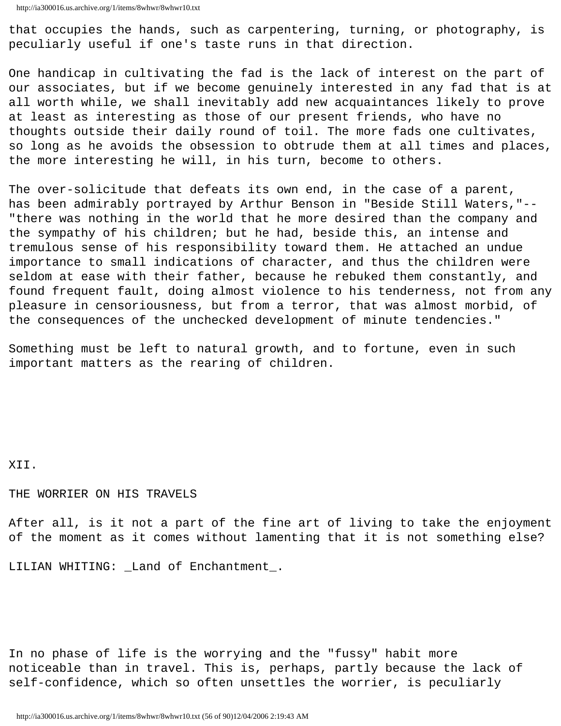that occupies the hands, such as carpentering, turning, or photography, is peculiarly useful if one's taste runs in that direction.

One handicap in cultivating the fad is the lack of interest on the part of our associates, but if we become genuinely interested in any fad that is at all worth while, we shall inevitably add new acquaintances likely to prove at least as interesting as those of our present friends, who have no thoughts outside their daily round of toil. The more fads one cultivates, so long as he avoids the obsession to obtrude them at all times and places, the more interesting he will, in his turn, become to others.

The over-solicitude that defeats its own end, in the case of a parent, has been admirably portrayed by Arthur Benson in "Beside Still Waters,"-- "there was nothing in the world that he more desired than the company and the sympathy of his children; but he had, beside this, an intense and tremulous sense of his responsibility toward them. He attached an undue importance to small indications of character, and thus the children were seldom at ease with their father, because he rebuked them constantly, and found frequent fault, doing almost violence to his tenderness, not from any pleasure in censoriousness, but from a terror, that was almost morbid, of the consequences of the unchecked development of minute tendencies."

Something must be left to natural growth, and to fortune, even in such important matters as the rearing of children.

XII.

#### THE WORRIER ON HIS TRAVELS

After all, is it not a part of the fine art of living to take the enjoyment of the moment as it comes without lamenting that it is not something else?

LILIAN WHITING: \_Land of Enchantment\_.

In no phase of life is the worrying and the "fussy" habit more noticeable than in travel. This is, perhaps, partly because the lack of self-confidence, which so often unsettles the worrier, is peculiarly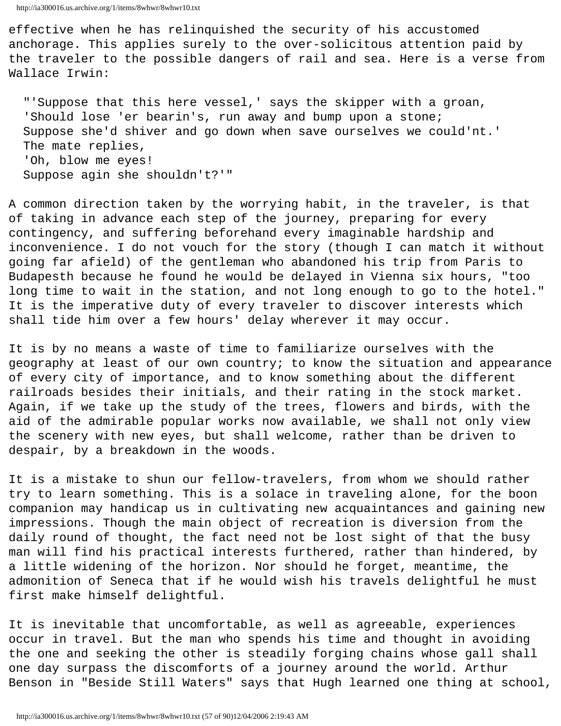```
http://ia300016.us.archive.org/1/items/8whwr/8whwr10.txt
```
effective when he has relinquished the security of his accustomed anchorage. This applies surely to the over-solicitous attention paid by the traveler to the possible dangers of rail and sea. Here is a verse from Wallace Irwin:

 "'Suppose that this here vessel,' says the skipper with a groan, 'Should lose 'er bearin's, run away and bump upon a stone; Suppose she'd shiver and go down when save ourselves we could'nt.' The mate replies, 'Oh, blow me eyes! Suppose agin she shouldn't?'"

A common direction taken by the worrying habit, in the traveler, is that of taking in advance each step of the journey, preparing for every contingency, and suffering beforehand every imaginable hardship and inconvenience. I do not vouch for the story (though I can match it without going far afield) of the gentleman who abandoned his trip from Paris to Budapesth because he found he would be delayed in Vienna six hours, "too long time to wait in the station, and not long enough to go to the hotel." It is the imperative duty of every traveler to discover interests which shall tide him over a few hours' delay wherever it may occur.

It is by no means a waste of time to familiarize ourselves with the geography at least of our own country; to know the situation and appearance of every city of importance, and to know something about the different railroads besides their initials, and their rating in the stock market. Again, if we take up the study of the trees, flowers and birds, with the aid of the admirable popular works now available, we shall not only view the scenery with new eyes, but shall welcome, rather than be driven to despair, by a breakdown in the woods.

It is a mistake to shun our fellow-travelers, from whom we should rather try to learn something. This is a solace in traveling alone, for the boon companion may handicap us in cultivating new acquaintances and gaining new impressions. Though the main object of recreation is diversion from the daily round of thought, the fact need not be lost sight of that the busy man will find his practical interests furthered, rather than hindered, by a little widening of the horizon. Nor should he forget, meantime, the admonition of Seneca that if he would wish his travels delightful he must first make himself delightful.

It is inevitable that uncomfortable, as well as agreeable, experiences occur in travel. But the man who spends his time and thought in avoiding the one and seeking the other is steadily forging chains whose gall shall one day surpass the discomforts of a journey around the world. Arthur Benson in "Beside Still Waters" says that Hugh learned one thing at school,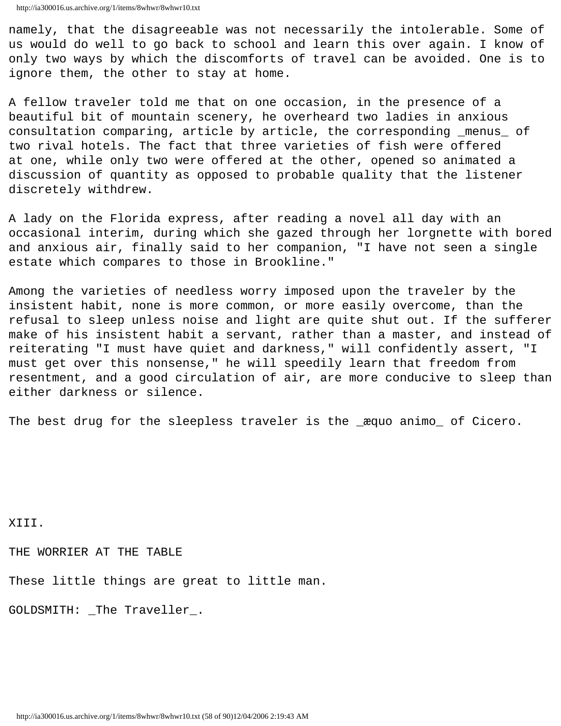namely, that the disagreeable was not necessarily the intolerable. Some of us would do well to go back to school and learn this over again. I know of only two ways by which the discomforts of travel can be avoided. One is to ignore them, the other to stay at home.

A fellow traveler told me that on one occasion, in the presence of a beautiful bit of mountain scenery, he overheard two ladies in anxious consultation comparing, article by article, the corresponding \_menus\_ of two rival hotels. The fact that three varieties of fish were offered at one, while only two were offered at the other, opened so animated a discussion of quantity as opposed to probable quality that the listener discretely withdrew.

A lady on the Florida express, after reading a novel all day with an occasional interim, during which she gazed through her lorgnette with bored and anxious air, finally said to her companion, "I have not seen a single estate which compares to those in Brookline."

Among the varieties of needless worry imposed upon the traveler by the insistent habit, none is more common, or more easily overcome, than the refusal to sleep unless noise and light are quite shut out. If the sufferer make of his insistent habit a servant, rather than a master, and instead of reiterating "I must have quiet and darkness," will confidently assert, "I must get over this nonsense," he will speedily learn that freedom from resentment, and a good circulation of air, are more conducive to sleep than either darkness or silence.

The best drug for the sleepless traveler is the \_æquo animo\_ of Cicero.

XIII.

THE WORRIER AT THE TABLE

These little things are great to little man.

GOLDSMITH: \_The Traveller\_.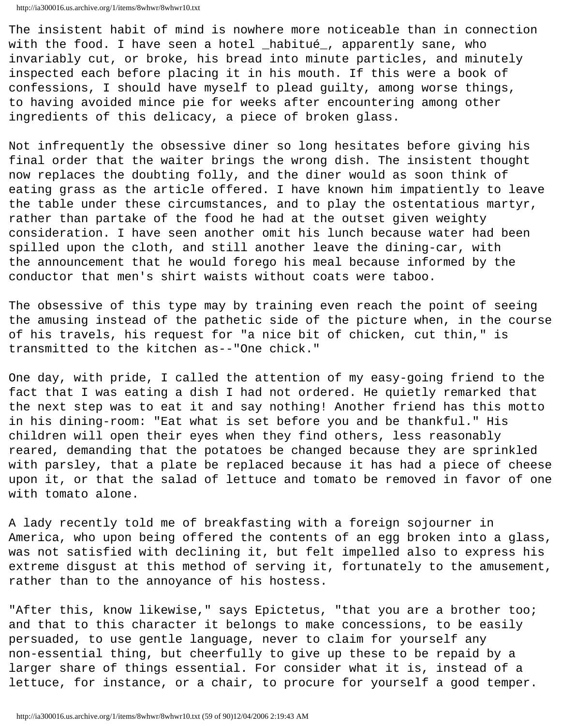The insistent habit of mind is nowhere more noticeable than in connection with the food. I have seen a hotel \_habitué\_, apparently sane, who invariably cut, or broke, his bread into minute particles, and minutely inspected each before placing it in his mouth. If this were a book of confessions, I should have myself to plead guilty, among worse things, to having avoided mince pie for weeks after encountering among other ingredients of this delicacy, a piece of broken glass.

Not infrequently the obsessive diner so long hesitates before giving his final order that the waiter brings the wrong dish. The insistent thought now replaces the doubting folly, and the diner would as soon think of eating grass as the article offered. I have known him impatiently to leave the table under these circumstances, and to play the ostentatious martyr, rather than partake of the food he had at the outset given weighty consideration. I have seen another omit his lunch because water had been spilled upon the cloth, and still another leave the dining-car, with the announcement that he would forego his meal because informed by the conductor that men's shirt waists without coats were taboo.

The obsessive of this type may by training even reach the point of seeing the amusing instead of the pathetic side of the picture when, in the course of his travels, his request for "a nice bit of chicken, cut thin," is transmitted to the kitchen as--"One chick."

One day, with pride, I called the attention of my easy-going friend to the fact that I was eating a dish I had not ordered. He quietly remarked that the next step was to eat it and say nothing! Another friend has this motto in his dining-room: "Eat what is set before you and be thankful." His children will open their eyes when they find others, less reasonably reared, demanding that the potatoes be changed because they are sprinkled with parsley, that a plate be replaced because it has had a piece of cheese upon it, or that the salad of lettuce and tomato be removed in favor of one with tomato alone.

A lady recently told me of breakfasting with a foreign sojourner in America, who upon being offered the contents of an egg broken into a glass, was not satisfied with declining it, but felt impelled also to express his extreme disgust at this method of serving it, fortunately to the amusement, rather than to the annoyance of his hostess.

"After this, know likewise," says Epictetus, "that you are a brother too; and that to this character it belongs to make concessions, to be easily persuaded, to use gentle language, never to claim for yourself any non-essential thing, but cheerfully to give up these to be repaid by a larger share of things essential. For consider what it is, instead of a lettuce, for instance, or a chair, to procure for yourself a good temper.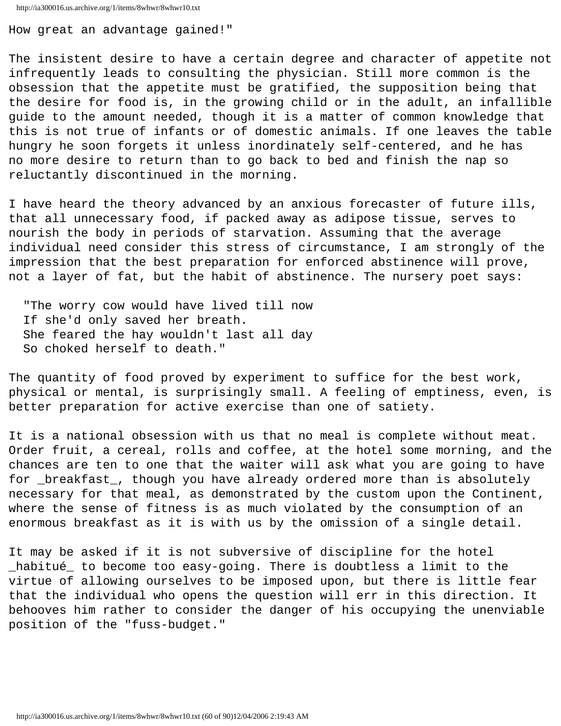```
http://ia300016.us.archive.org/1/items/8whwr/8whwr10.txt
```
How great an advantage gained!"

The insistent desire to have a certain degree and character of appetite not infrequently leads to consulting the physician. Still more common is the obsession that the appetite must be gratified, the supposition being that the desire for food is, in the growing child or in the adult, an infallible guide to the amount needed, though it is a matter of common knowledge that this is not true of infants or of domestic animals. If one leaves the table hungry he soon forgets it unless inordinately self-centered, and he has no more desire to return than to go back to bed and finish the nap so reluctantly discontinued in the morning.

I have heard the theory advanced by an anxious forecaster of future ills, that all unnecessary food, if packed away as adipose tissue, serves to nourish the body in periods of starvation. Assuming that the average individual need consider this stress of circumstance, I am strongly of the impression that the best preparation for enforced abstinence will prove, not a layer of fat, but the habit of abstinence. The nursery poet says:

 "The worry cow would have lived till now If she'd only saved her breath. She feared the hay wouldn't last all day So choked herself to death."

The quantity of food proved by experiment to suffice for the best work, physical or mental, is surprisingly small. A feeling of emptiness, even, is better preparation for active exercise than one of satiety.

It is a national obsession with us that no meal is complete without meat. Order fruit, a cereal, rolls and coffee, at the hotel some morning, and the chances are ten to one that the waiter will ask what you are going to have for \_breakfast\_, though you have already ordered more than is absolutely necessary for that meal, as demonstrated by the custom upon the Continent, where the sense of fitness is as much violated by the consumption of an enormous breakfast as it is with us by the omission of a single detail.

It may be asked if it is not subversive of discipline for the hotel \_habitué\_ to become too easy-going. There is doubtless a limit to the virtue of allowing ourselves to be imposed upon, but there is little fear that the individual who opens the question will err in this direction. It behooves him rather to consider the danger of his occupying the unenviable position of the "fuss-budget."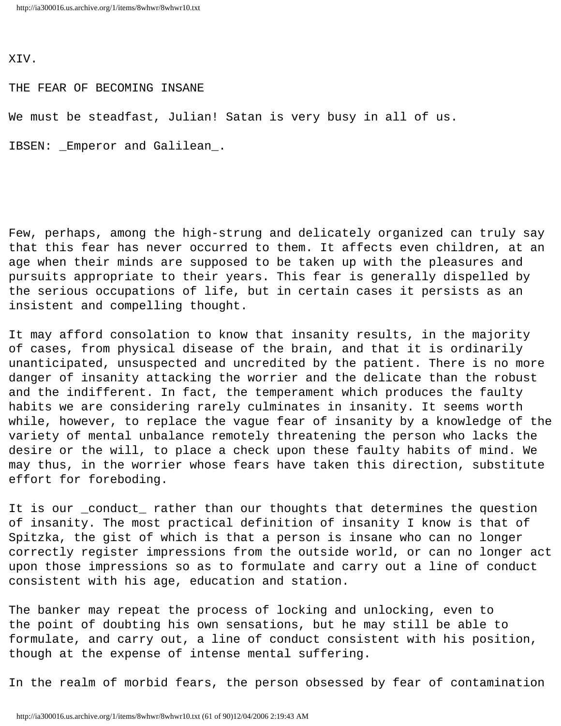XIV.

THE FEAR OF BECOMING INSANE

We must be steadfast, Julian! Satan is very busy in all of us.

IBSEN: \_Emperor and Galilean\_.

Few, perhaps, among the high-strung and delicately organized can truly say that this fear has never occurred to them. It affects even children, at an age when their minds are supposed to be taken up with the pleasures and pursuits appropriate to their years. This fear is generally dispelled by the serious occupations of life, but in certain cases it persists as an insistent and compelling thought.

It may afford consolation to know that insanity results, in the majority of cases, from physical disease of the brain, and that it is ordinarily unanticipated, unsuspected and uncredited by the patient. There is no more danger of insanity attacking the worrier and the delicate than the robust and the indifferent. In fact, the temperament which produces the faulty habits we are considering rarely culminates in insanity. It seems worth while, however, to replace the vague fear of insanity by a knowledge of the variety of mental unbalance remotely threatening the person who lacks the desire or the will, to place a check upon these faulty habits of mind. We may thus, in the worrier whose fears have taken this direction, substitute effort for foreboding.

It is our \_conduct\_ rather than our thoughts that determines the question of insanity. The most practical definition of insanity I know is that of Spitzka, the gist of which is that a person is insane who can no longer correctly register impressions from the outside world, or can no longer act upon those impressions so as to formulate and carry out a line of conduct consistent with his age, education and station.

The banker may repeat the process of locking and unlocking, even to the point of doubting his own sensations, but he may still be able to formulate, and carry out, a line of conduct consistent with his position, though at the expense of intense mental suffering.

In the realm of morbid fears, the person obsessed by fear of contamination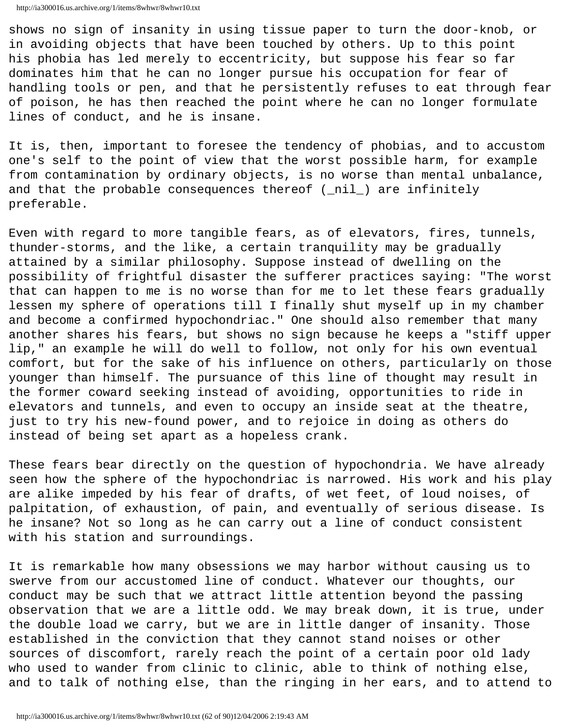shows no sign of insanity in using tissue paper to turn the door-knob, or in avoiding objects that have been touched by others. Up to this point his phobia has led merely to eccentricity, but suppose his fear so far dominates him that he can no longer pursue his occupation for fear of handling tools or pen, and that he persistently refuses to eat through fear of poison, he has then reached the point where he can no longer formulate lines of conduct, and he is insane.

It is, then, important to foresee the tendency of phobias, and to accustom one's self to the point of view that the worst possible harm, for example from contamination by ordinary objects, is no worse than mental unbalance, and that the probable consequences thereof (\_nil\_) are infinitely preferable.

Even with regard to more tangible fears, as of elevators, fires, tunnels, thunder-storms, and the like, a certain tranquility may be gradually attained by a similar philosophy. Suppose instead of dwelling on the possibility of frightful disaster the sufferer practices saying: "The worst that can happen to me is no worse than for me to let these fears gradually lessen my sphere of operations till I finally shut myself up in my chamber and become a confirmed hypochondriac." One should also remember that many another shares his fears, but shows no sign because he keeps a "stiff upper lip," an example he will do well to follow, not only for his own eventual comfort, but for the sake of his influence on others, particularly on those younger than himself. The pursuance of this line of thought may result in the former coward seeking instead of avoiding, opportunities to ride in elevators and tunnels, and even to occupy an inside seat at the theatre, just to try his new-found power, and to rejoice in doing as others do instead of being set apart as a hopeless crank.

These fears bear directly on the question of hypochondria. We have already seen how the sphere of the hypochondriac is narrowed. His work and his play are alike impeded by his fear of drafts, of wet feet, of loud noises, of palpitation, of exhaustion, of pain, and eventually of serious disease. Is he insane? Not so long as he can carry out a line of conduct consistent with his station and surroundings.

It is remarkable how many obsessions we may harbor without causing us to swerve from our accustomed line of conduct. Whatever our thoughts, our conduct may be such that we attract little attention beyond the passing observation that we are a little odd. We may break down, it is true, under the double load we carry, but we are in little danger of insanity. Those established in the conviction that they cannot stand noises or other sources of discomfort, rarely reach the point of a certain poor old lady who used to wander from clinic to clinic, able to think of nothing else, and to talk of nothing else, than the ringing in her ears, and to attend to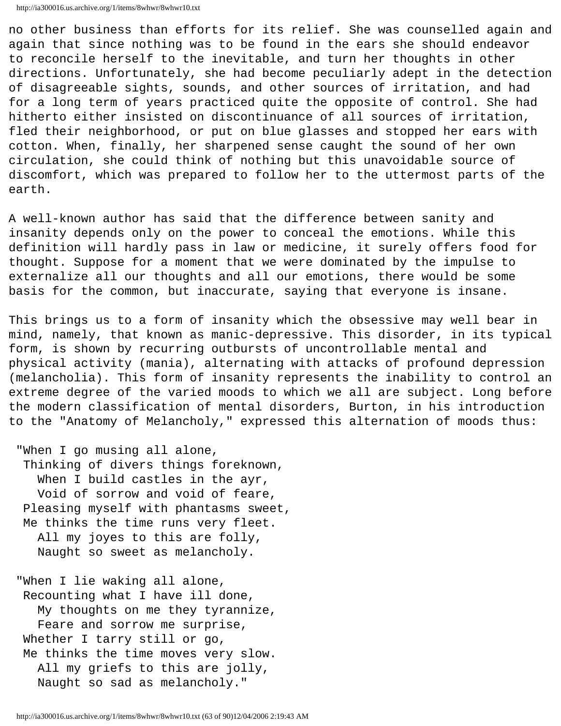```
http://ia300016.us.archive.org/1/items/8whwr/8whwr10.txt
```
no other business than efforts for its relief. She was counselled again and again that since nothing was to be found in the ears she should endeavor to reconcile herself to the inevitable, and turn her thoughts in other directions. Unfortunately, she had become peculiarly adept in the detection of disagreeable sights, sounds, and other sources of irritation, and had for a long term of years practiced quite the opposite of control. She had hitherto either insisted on discontinuance of all sources of irritation, fled their neighborhood, or put on blue glasses and stopped her ears with cotton. When, finally, her sharpened sense caught the sound of her own circulation, she could think of nothing but this unavoidable source of discomfort, which was prepared to follow her to the uttermost parts of the earth.

A well-known author has said that the difference between sanity and insanity depends only on the power to conceal the emotions. While this definition will hardly pass in law or medicine, it surely offers food for thought. Suppose for a moment that we were dominated by the impulse to externalize all our thoughts and all our emotions, there would be some basis for the common, but inaccurate, saying that everyone is insane.

This brings us to a form of insanity which the obsessive may well bear in mind, namely, that known as manic-depressive. This disorder, in its typical form, is shown by recurring outbursts of uncontrollable mental and physical activity (mania), alternating with attacks of profound depression (melancholia). This form of insanity represents the inability to control an extreme degree of the varied moods to which we all are subject. Long before the modern classification of mental disorders, Burton, in his introduction to the "Anatomy of Melancholy," expressed this alternation of moods thus:

 "When I go musing all alone, Thinking of divers things foreknown, When I build castles in the ayr, Void of sorrow and void of feare, Pleasing myself with phantasms sweet, Me thinks the time runs very fleet. All my joyes to this are folly, Naught so sweet as melancholy.

 "When I lie waking all alone, Recounting what I have ill done, My thoughts on me they tyrannize, Feare and sorrow me surprise, Whether I tarry still or go, Me thinks the time moves very slow. All my griefs to this are jolly, Naught so sad as melancholy."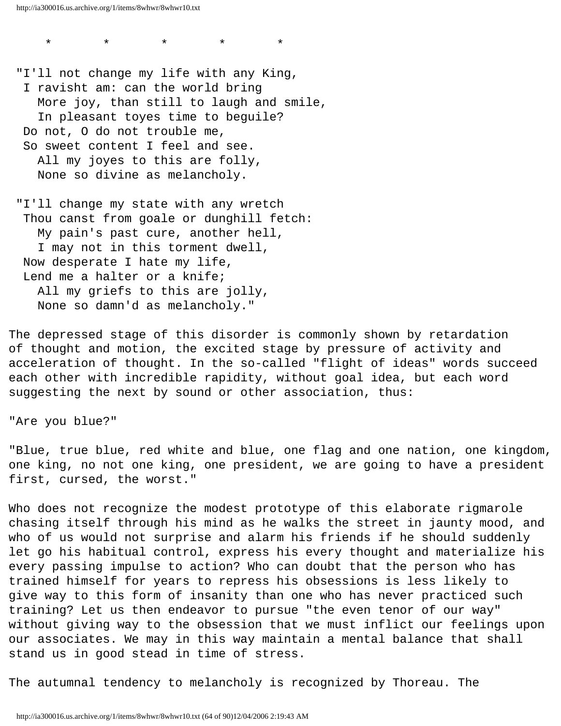http://ia300016.us.archive.org/1/items/8whwr/8whwr10.txt

 "I'll not change my life with any King, I ravisht am: can the world bring More joy, than still to laugh and smile, In pleasant toyes time to beguile? Do not, O do not trouble me, So sweet content I feel and see. All my joyes to this are folly, None so divine as melancholy.

\* \* \* \* \*

 "I'll change my state with any wretch Thou canst from goale or dunghill fetch: My pain's past cure, another hell, I may not in this torment dwell, Now desperate I hate my life, Lend me a halter or a knife; All my griefs to this are jolly, None so damn'd as melancholy."

The depressed stage of this disorder is commonly shown by retardation of thought and motion, the excited stage by pressure of activity and acceleration of thought. In the so-called "flight of ideas" words succeed each other with incredible rapidity, without goal idea, but each word suggesting the next by sound or other association, thus:

"Are you blue?"

"Blue, true blue, red white and blue, one flag and one nation, one kingdom, one king, no not one king, one president, we are going to have a president first, cursed, the worst."

Who does not recognize the modest prototype of this elaborate rigmarole chasing itself through his mind as he walks the street in jaunty mood, and who of us would not surprise and alarm his friends if he should suddenly let go his habitual control, express his every thought and materialize his every passing impulse to action? Who can doubt that the person who has trained himself for years to repress his obsessions is less likely to give way to this form of insanity than one who has never practiced such training? Let us then endeavor to pursue "the even tenor of our way" without giving way to the obsession that we must inflict our feelings upon our associates. We may in this way maintain a mental balance that shall stand us in good stead in time of stress.

The autumnal tendency to melancholy is recognized by Thoreau. The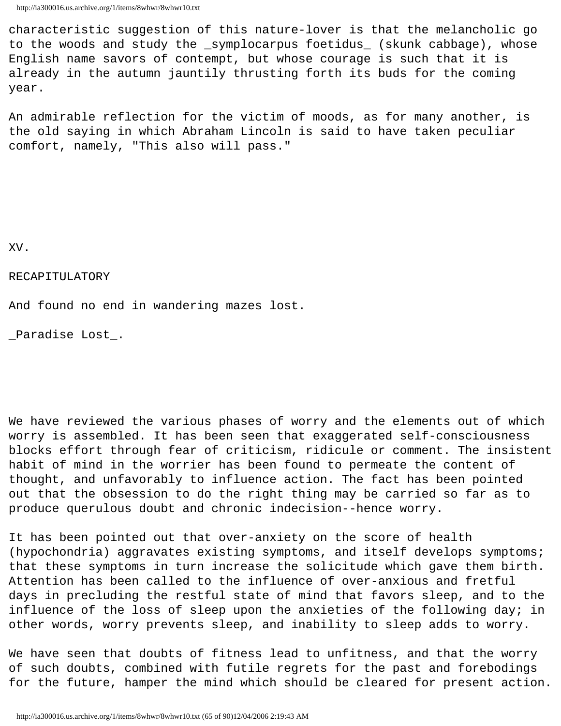characteristic suggestion of this nature-lover is that the melancholic go to the woods and study the \_symplocarpus foetidus\_ (skunk cabbage), whose English name savors of contempt, but whose courage is such that it is already in the autumn jauntily thrusting forth its buds for the coming year.

An admirable reflection for the victim of moods, as for many another, is the old saying in which Abraham Lincoln is said to have taken peculiar comfort, namely, "This also will pass."

XV.

#### RECAPITULATORY

And found no end in wandering mazes lost.

\_Paradise Lost\_.

We have reviewed the various phases of worry and the elements out of which worry is assembled. It has been seen that exaggerated self-consciousness blocks effort through fear of criticism, ridicule or comment. The insistent habit of mind in the worrier has been found to permeate the content of thought, and unfavorably to influence action. The fact has been pointed out that the obsession to do the right thing may be carried so far as to produce querulous doubt and chronic indecision--hence worry.

It has been pointed out that over-anxiety on the score of health (hypochondria) aggravates existing symptoms, and itself develops symptoms; that these symptoms in turn increase the solicitude which gave them birth. Attention has been called to the influence of over-anxious and fretful days in precluding the restful state of mind that favors sleep, and to the influence of the loss of sleep upon the anxieties of the following day; in other words, worry prevents sleep, and inability to sleep adds to worry.

We have seen that doubts of fitness lead to unfitness, and that the worry of such doubts, combined with futile regrets for the past and forebodings for the future, hamper the mind which should be cleared for present action.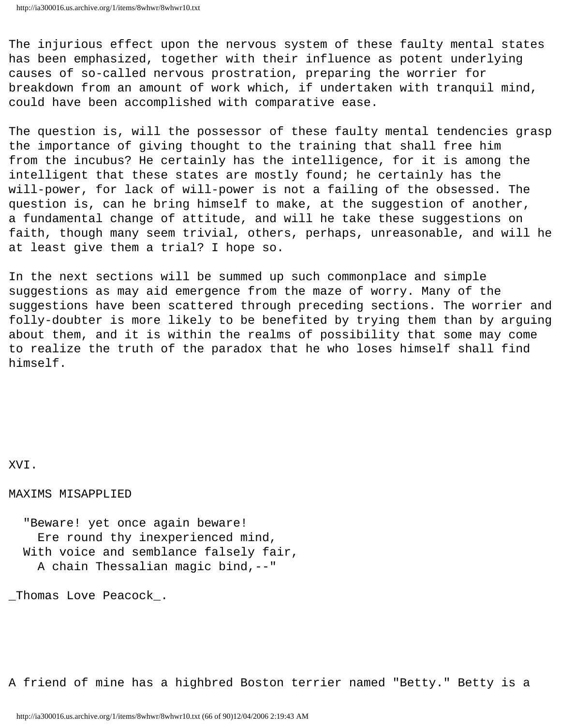The injurious effect upon the nervous system of these faulty mental states has been emphasized, together with their influence as potent underlying causes of so-called nervous prostration, preparing the worrier for breakdown from an amount of work which, if undertaken with tranquil mind, could have been accomplished with comparative ease.

The question is, will the possessor of these faulty mental tendencies grasp the importance of giving thought to the training that shall free him from the incubus? He certainly has the intelligence, for it is among the intelligent that these states are mostly found; he certainly has the will-power, for lack of will-power is not a failing of the obsessed. The question is, can he bring himself to make, at the suggestion of another, a fundamental change of attitude, and will he take these suggestions on faith, though many seem trivial, others, perhaps, unreasonable, and will he at least give them a trial? I hope so.

In the next sections will be summed up such commonplace and simple suggestions as may aid emergence from the maze of worry. Many of the suggestions have been scattered through preceding sections. The worrier and folly-doubter is more likely to be benefited by trying them than by arguing about them, and it is within the realms of possibility that some may come to realize the truth of the paradox that he who loses himself shall find himself.

XVI.

MAXIMS MISAPPLIED

 "Beware! yet once again beware! Ere round thy inexperienced mind, With voice and semblance falsely fair, A chain Thessalian magic bind,--"

\_Thomas Love Peacock\_.

A friend of mine has a highbred Boston terrier named "Betty." Betty is a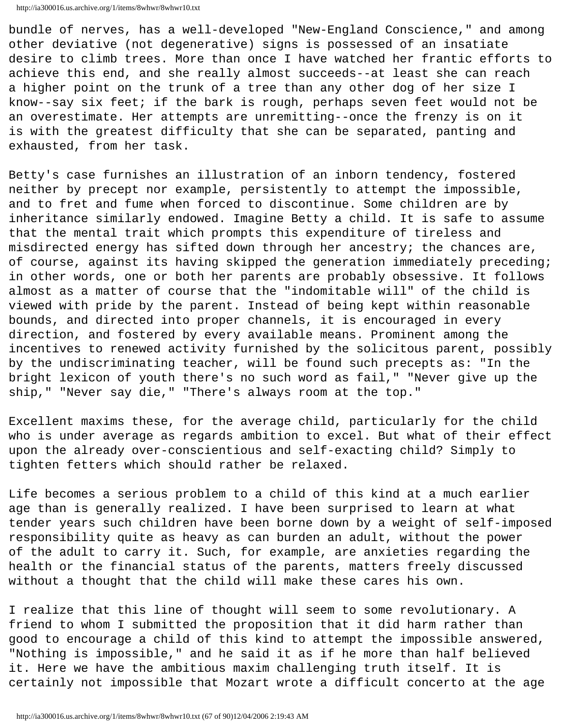http://ia300016.us.archive.org/1/items/8whwr/8whwr10.txt

bundle of nerves, has a well-developed "New-England Conscience," and among other deviative (not degenerative) signs is possessed of an insatiate desire to climb trees. More than once I have watched her frantic efforts to achieve this end, and she really almost succeeds--at least she can reach a higher point on the trunk of a tree than any other dog of her size I know--say six feet; if the bark is rough, perhaps seven feet would not be an overestimate. Her attempts are unremitting--once the frenzy is on it is with the greatest difficulty that she can be separated, panting and exhausted, from her task.

Betty's case furnishes an illustration of an inborn tendency, fostered neither by precept nor example, persistently to attempt the impossible, and to fret and fume when forced to discontinue. Some children are by inheritance similarly endowed. Imagine Betty a child. It is safe to assume that the mental trait which prompts this expenditure of tireless and misdirected energy has sifted down through her ancestry; the chances are, of course, against its having skipped the generation immediately preceding; in other words, one or both her parents are probably obsessive. It follows almost as a matter of course that the "indomitable will" of the child is viewed with pride by the parent. Instead of being kept within reasonable bounds, and directed into proper channels, it is encouraged in every direction, and fostered by every available means. Prominent among the incentives to renewed activity furnished by the solicitous parent, possibly by the undiscriminating teacher, will be found such precepts as: "In the bright lexicon of youth there's no such word as fail," "Never give up the ship," "Never say die," "There's always room at the top."

Excellent maxims these, for the average child, particularly for the child who is under average as regards ambition to excel. But what of their effect upon the already over-conscientious and self-exacting child? Simply to tighten fetters which should rather be relaxed.

Life becomes a serious problem to a child of this kind at a much earlier age than is generally realized. I have been surprised to learn at what tender years such children have been borne down by a weight of self-imposed responsibility quite as heavy as can burden an adult, without the power of the adult to carry it. Such, for example, are anxieties regarding the health or the financial status of the parents, matters freely discussed without a thought that the child will make these cares his own.

I realize that this line of thought will seem to some revolutionary. A friend to whom I submitted the proposition that it did harm rather than good to encourage a child of this kind to attempt the impossible answered, "Nothing is impossible," and he said it as if he more than half believed it. Here we have the ambitious maxim challenging truth itself. It is certainly not impossible that Mozart wrote a difficult concerto at the age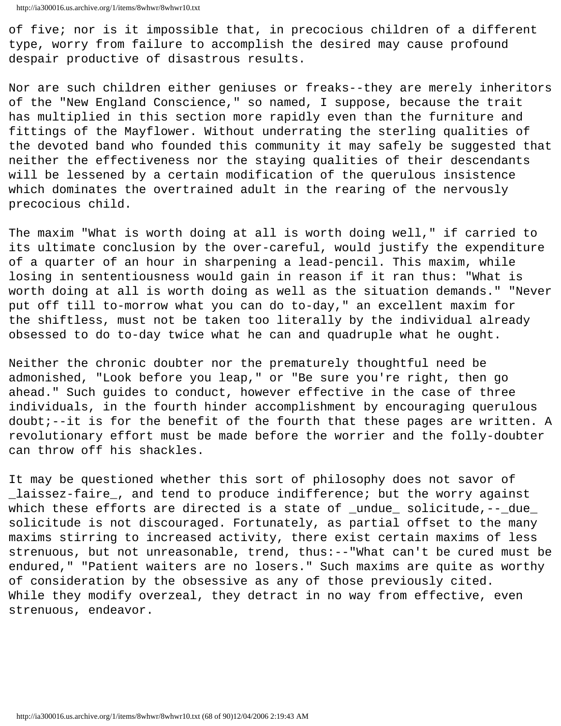of five; nor is it impossible that, in precocious children of a different type, worry from failure to accomplish the desired may cause profound despair productive of disastrous results.

Nor are such children either geniuses or freaks--they are merely inheritors of the "New England Conscience," so named, I suppose, because the trait has multiplied in this section more rapidly even than the furniture and fittings of the Mayflower. Without underrating the sterling qualities of the devoted band who founded this community it may safely be suggested that neither the effectiveness nor the staying qualities of their descendants will be lessened by a certain modification of the querulous insistence which dominates the overtrained adult in the rearing of the nervously precocious child.

The maxim "What is worth doing at all is worth doing well," if carried to its ultimate conclusion by the over-careful, would justify the expenditure of a quarter of an hour in sharpening a lead-pencil. This maxim, while losing in sententiousness would gain in reason if it ran thus: "What is worth doing at all is worth doing as well as the situation demands." "Never put off till to-morrow what you can do to-day," an excellent maxim for the shiftless, must not be taken too literally by the individual already obsessed to do to-day twice what he can and quadruple what he ought.

Neither the chronic doubter nor the prematurely thoughtful need be admonished, "Look before you leap," or "Be sure you're right, then go ahead." Such guides to conduct, however effective in the case of three individuals, in the fourth hinder accomplishment by encouraging querulous doubt;--it is for the benefit of the fourth that these pages are written. A revolutionary effort must be made before the worrier and the folly-doubter can throw off his shackles.

It may be questioned whether this sort of philosophy does not savor of \_laissez-faire\_, and tend to produce indifference; but the worry against which these efforts are directed is a state of \_undue\_ solicitude, --\_due\_ solicitude is not discouraged. Fortunately, as partial offset to the many maxims stirring to increased activity, there exist certain maxims of less strenuous, but not unreasonable, trend, thus:--"What can't be cured must be endured," "Patient waiters are no losers." Such maxims are quite as worthy of consideration by the obsessive as any of those previously cited. While they modify overzeal, they detract in no way from effective, even strenuous, endeavor.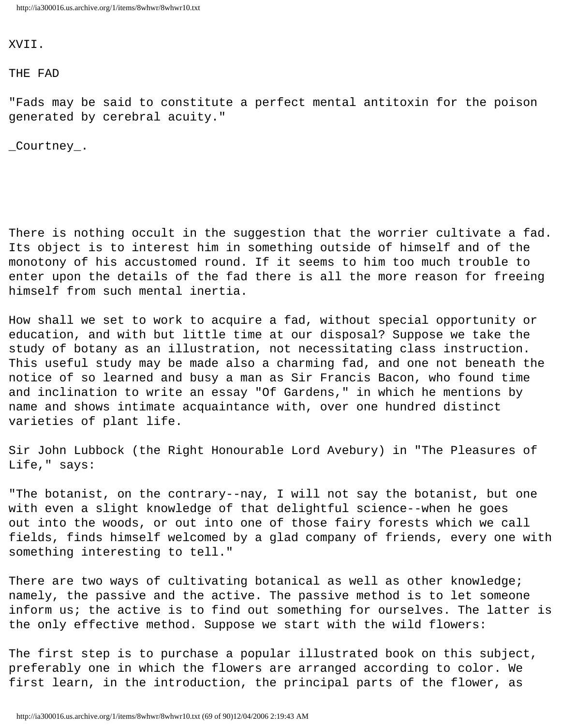XVII.

THE FAD

"Fads may be said to constitute a perfect mental antitoxin for the poison generated by cerebral acuity."

\_Courtney\_.

There is nothing occult in the suggestion that the worrier cultivate a fad. Its object is to interest him in something outside of himself and of the monotony of his accustomed round. If it seems to him too much trouble to enter upon the details of the fad there is all the more reason for freeing himself from such mental inertia.

How shall we set to work to acquire a fad, without special opportunity or education, and with but little time at our disposal? Suppose we take the study of botany as an illustration, not necessitating class instruction. This useful study may be made also a charming fad, and one not beneath the notice of so learned and busy a man as Sir Francis Bacon, who found time and inclination to write an essay "Of Gardens," in which he mentions by name and shows intimate acquaintance with, over one hundred distinct varieties of plant life.

Sir John Lubbock (the Right Honourable Lord Avebury) in "The Pleasures of Life," says:

"The botanist, on the contrary--nay, I will not say the botanist, but one with even a slight knowledge of that delightful science--when he goes out into the woods, or out into one of those fairy forests which we call fields, finds himself welcomed by a glad company of friends, every one with something interesting to tell."

There are two ways of cultivating botanical as well as other knowledge; namely, the passive and the active. The passive method is to let someone inform us; the active is to find out something for ourselves. The latter is the only effective method. Suppose we start with the wild flowers:

The first step is to purchase a popular illustrated book on this subject, preferably one in which the flowers are arranged according to color. We first learn, in the introduction, the principal parts of the flower, as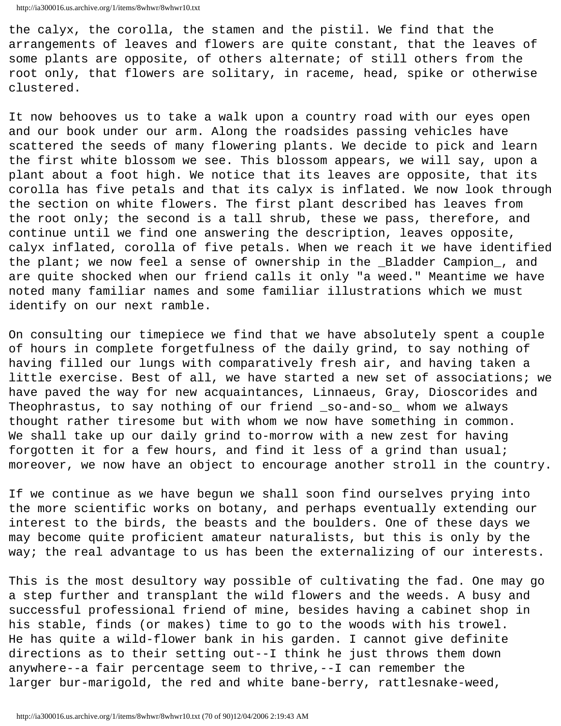the calyx, the corolla, the stamen and the pistil. We find that the arrangements of leaves and flowers are quite constant, that the leaves of some plants are opposite, of others alternate; of still others from the root only, that flowers are solitary, in raceme, head, spike or otherwise clustered.

It now behooves us to take a walk upon a country road with our eyes open and our book under our arm. Along the roadsides passing vehicles have scattered the seeds of many flowering plants. We decide to pick and learn the first white blossom we see. This blossom appears, we will say, upon a plant about a foot high. We notice that its leaves are opposite, that its corolla has five petals and that its calyx is inflated. We now look through the section on white flowers. The first plant described has leaves from the root only; the second is a tall shrub, these we pass, therefore, and continue until we find one answering the description, leaves opposite, calyx inflated, corolla of five petals. When we reach it we have identified the plant; we now feel a sense of ownership in the \_Bladder Campion\_, and are quite shocked when our friend calls it only "a weed." Meantime we have noted many familiar names and some familiar illustrations which we must identify on our next ramble.

On consulting our timepiece we find that we have absolutely spent a couple of hours in complete forgetfulness of the daily grind, to say nothing of having filled our lungs with comparatively fresh air, and having taken a little exercise. Best of all, we have started a new set of associations; we have paved the way for new acquaintances, Linnaeus, Gray, Dioscorides and Theophrastus, to say nothing of our friend \_so-and-so\_ whom we always thought rather tiresome but with whom we now have something in common. We shall take up our daily grind to-morrow with a new zest for having forgotten it for a few hours, and find it less of a grind than usual; moreover, we now have an object to encourage another stroll in the country.

If we continue as we have begun we shall soon find ourselves prying into the more scientific works on botany, and perhaps eventually extending our interest to the birds, the beasts and the boulders. One of these days we may become quite proficient amateur naturalists, but this is only by the way; the real advantage to us has been the externalizing of our interests.

This is the most desultory way possible of cultivating the fad. One may go a step further and transplant the wild flowers and the weeds. A busy and successful professional friend of mine, besides having a cabinet shop in his stable, finds (or makes) time to go to the woods with his trowel. He has quite a wild-flower bank in his garden. I cannot give definite directions as to their setting out--I think he just throws them down anywhere--a fair percentage seem to thrive,--I can remember the larger bur-marigold, the red and white bane-berry, rattlesnake-weed,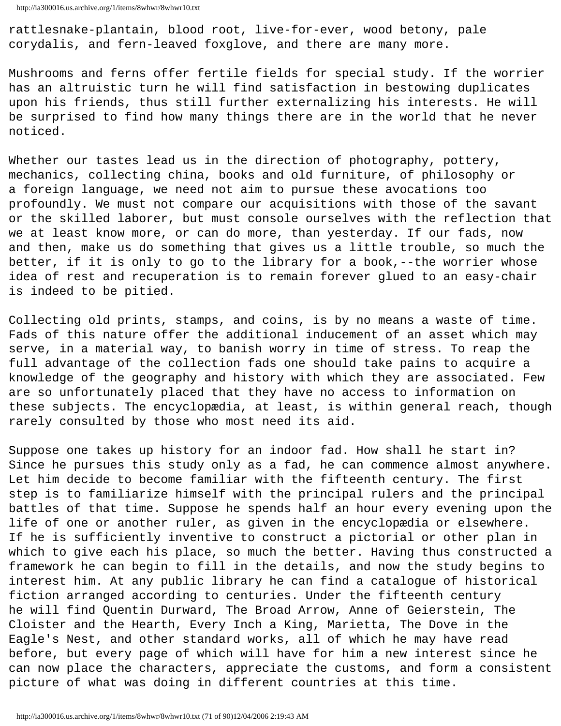rattlesnake-plantain, blood root, live-for-ever, wood betony, pale corydalis, and fern-leaved foxglove, and there are many more.

Mushrooms and ferns offer fertile fields for special study. If the worrier has an altruistic turn he will find satisfaction in bestowing duplicates upon his friends, thus still further externalizing his interests. He will be surprised to find how many things there are in the world that he never noticed.

Whether our tastes lead us in the direction of photography, pottery, mechanics, collecting china, books and old furniture, of philosophy or a foreign language, we need not aim to pursue these avocations too profoundly. We must not compare our acquisitions with those of the savant or the skilled laborer, but must console ourselves with the reflection that we at least know more, or can do more, than yesterday. If our fads, now and then, make us do something that gives us a little trouble, so much the better, if it is only to go to the library for a book,--the worrier whose idea of rest and recuperation is to remain forever glued to an easy-chair is indeed to be pitied.

Collecting old prints, stamps, and coins, is by no means a waste of time. Fads of this nature offer the additional inducement of an asset which may serve, in a material way, to banish worry in time of stress. To reap the full advantage of the collection fads one should take pains to acquire a knowledge of the geography and history with which they are associated. Few are so unfortunately placed that they have no access to information on these subjects. The encyclopædia, at least, is within general reach, though rarely consulted by those who most need its aid.

Suppose one takes up history for an indoor fad. How shall he start in? Since he pursues this study only as a fad, he can commence almost anywhere. Let him decide to become familiar with the fifteenth century. The first step is to familiarize himself with the principal rulers and the principal battles of that time. Suppose he spends half an hour every evening upon the life of one or another ruler, as given in the encyclopædia or elsewhere. If he is sufficiently inventive to construct a pictorial or other plan in which to give each his place, so much the better. Having thus constructed a framework he can begin to fill in the details, and now the study begins to interest him. At any public library he can find a catalogue of historical fiction arranged according to centuries. Under the fifteenth century he will find Quentin Durward, The Broad Arrow, Anne of Geierstein, The Cloister and the Hearth, Every Inch a King, Marietta, The Dove in the Eagle's Nest, and other standard works, all of which he may have read before, but every page of which will have for him a new interest since he can now place the characters, appreciate the customs, and form a consistent picture of what was doing in different countries at this time.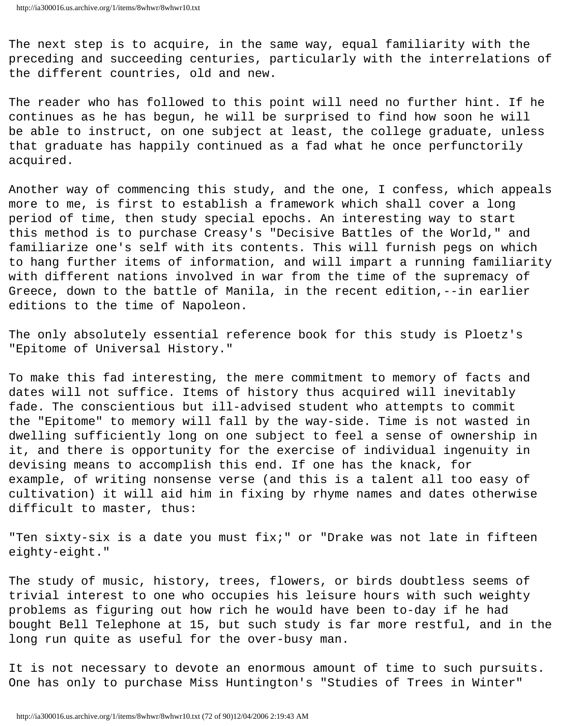The next step is to acquire, in the same way, equal familiarity with the preceding and succeeding centuries, particularly with the interrelations of the different countries, old and new.

The reader who has followed to this point will need no further hint. If he continues as he has begun, he will be surprised to find how soon he will be able to instruct, on one subject at least, the college graduate, unless that graduate has happily continued as a fad what he once perfunctorily acquired.

Another way of commencing this study, and the one, I confess, which appeals more to me, is first to establish a framework which shall cover a long period of time, then study special epochs. An interesting way to start this method is to purchase Creasy's "Decisive Battles of the World," and familiarize one's self with its contents. This will furnish pegs on which to hang further items of information, and will impart a running familiarity with different nations involved in war from the time of the supremacy of Greece, down to the battle of Manila, in the recent edition,--in earlier editions to the time of Napoleon.

The only absolutely essential reference book for this study is Ploetz's "Epitome of Universal History."

To make this fad interesting, the mere commitment to memory of facts and dates will not suffice. Items of history thus acquired will inevitably fade. The conscientious but ill-advised student who attempts to commit the "Epitome" to memory will fall by the way-side. Time is not wasted in dwelling sufficiently long on one subject to feel a sense of ownership in it, and there is opportunity for the exercise of individual ingenuity in devising means to accomplish this end. If one has the knack, for example, of writing nonsense verse (and this is a talent all too easy of cultivation) it will aid him in fixing by rhyme names and dates otherwise difficult to master, thus:

"Ten sixty-six is a date you must fix;" or "Drake was not late in fifteen eighty-eight."

The study of music, history, trees, flowers, or birds doubtless seems of trivial interest to one who occupies his leisure hours with such weighty problems as figuring out how rich he would have been to-day if he had bought Bell Telephone at 15, but such study is far more restful, and in the long run quite as useful for the over-busy man.

It is not necessary to devote an enormous amount of time to such pursuits. One has only to purchase Miss Huntington's "Studies of Trees in Winter"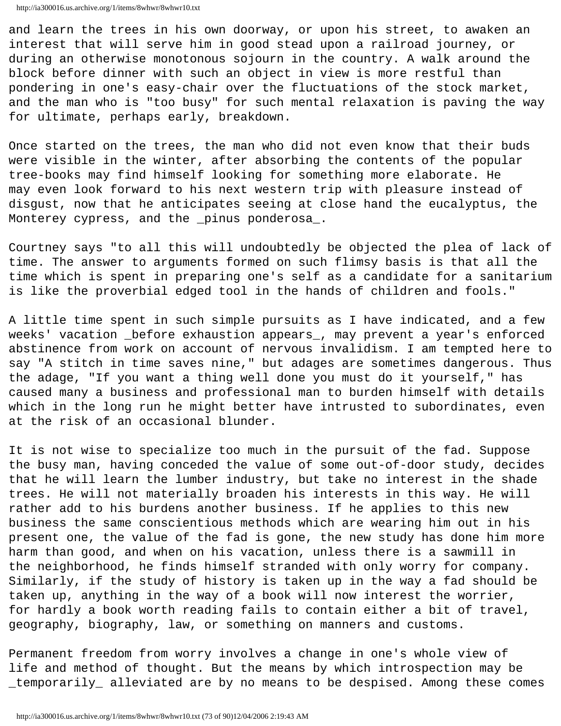and learn the trees in his own doorway, or upon his street, to awaken an interest that will serve him in good stead upon a railroad journey, or during an otherwise monotonous sojourn in the country. A walk around the block before dinner with such an object in view is more restful than pondering in one's easy-chair over the fluctuations of the stock market, and the man who is "too busy" for such mental relaxation is paving the way for ultimate, perhaps early, breakdown.

Once started on the trees, the man who did not even know that their buds were visible in the winter, after absorbing the contents of the popular tree-books may find himself looking for something more elaborate. He may even look forward to his next western trip with pleasure instead of disgust, now that he anticipates seeing at close hand the eucalyptus, the Monterey cypress, and the \_pinus ponderosa\_.

Courtney says "to all this will undoubtedly be objected the plea of lack of time. The answer to arguments formed on such flimsy basis is that all the time which is spent in preparing one's self as a candidate for a sanitarium is like the proverbial edged tool in the hands of children and fools."

A little time spent in such simple pursuits as I have indicated, and a few weeks' vacation \_before exhaustion appears\_, may prevent a year's enforced abstinence from work on account of nervous invalidism. I am tempted here to say "A stitch in time saves nine," but adages are sometimes dangerous. Thus the adage, "If you want a thing well done you must do it yourself," has caused many a business and professional man to burden himself with details which in the long run he might better have intrusted to subordinates, even at the risk of an occasional blunder.

It is not wise to specialize too much in the pursuit of the fad. Suppose the busy man, having conceded the value of some out-of-door study, decides that he will learn the lumber industry, but take no interest in the shade trees. He will not materially broaden his interests in this way. He will rather add to his burdens another business. If he applies to this new business the same conscientious methods which are wearing him out in his present one, the value of the fad is gone, the new study has done him more harm than good, and when on his vacation, unless there is a sawmill in the neighborhood, he finds himself stranded with only worry for company. Similarly, if the study of history is taken up in the way a fad should be taken up, anything in the way of a book will now interest the worrier, for hardly a book worth reading fails to contain either a bit of travel, geography, biography, law, or something on manners and customs.

Permanent freedom from worry involves a change in one's whole view of life and method of thought. But the means by which introspection may be \_temporarily\_ alleviated are by no means to be despised. Among these comes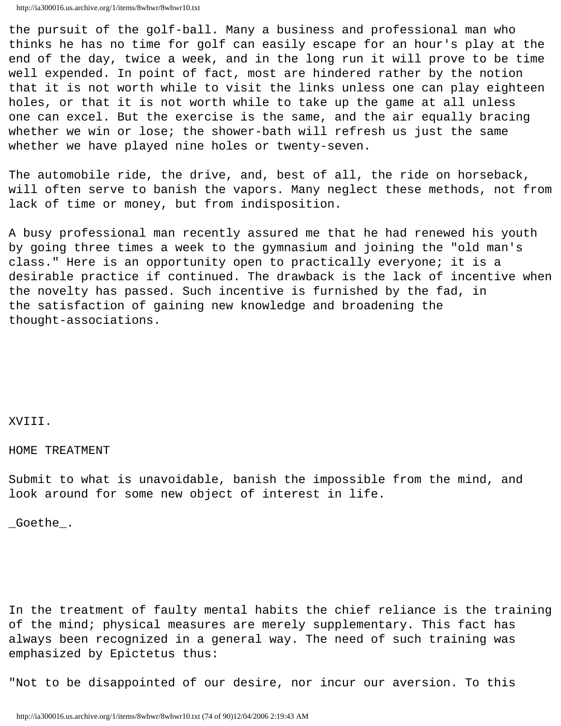the pursuit of the golf-ball. Many a business and professional man who thinks he has no time for golf can easily escape for an hour's play at the end of the day, twice a week, and in the long run it will prove to be time well expended. In point of fact, most are hindered rather by the notion that it is not worth while to visit the links unless one can play eighteen holes, or that it is not worth while to take up the game at all unless one can excel. But the exercise is the same, and the air equally bracing whether we win or lose; the shower-bath will refresh us just the same whether we have played nine holes or twenty-seven.

The automobile ride, the drive, and, best of all, the ride on horseback, will often serve to banish the vapors. Many neglect these methods, not from lack of time or money, but from indisposition.

A busy professional man recently assured me that he had renewed his youth by going three times a week to the gymnasium and joining the "old man's class." Here is an opportunity open to practically everyone; it is a desirable practice if continued. The drawback is the lack of incentive when the novelty has passed. Such incentive is furnished by the fad, in the satisfaction of gaining new knowledge and broadening the thought-associations.

# XVIII.

HOME TREATMENT

Submit to what is unavoidable, banish the impossible from the mind, and look around for some new object of interest in life.

\_Goethe\_.

In the treatment of faulty mental habits the chief reliance is the training of the mind; physical measures are merely supplementary. This fact has always been recognized in a general way. The need of such training was emphasized by Epictetus thus:

"Not to be disappointed of our desire, nor incur our aversion. To this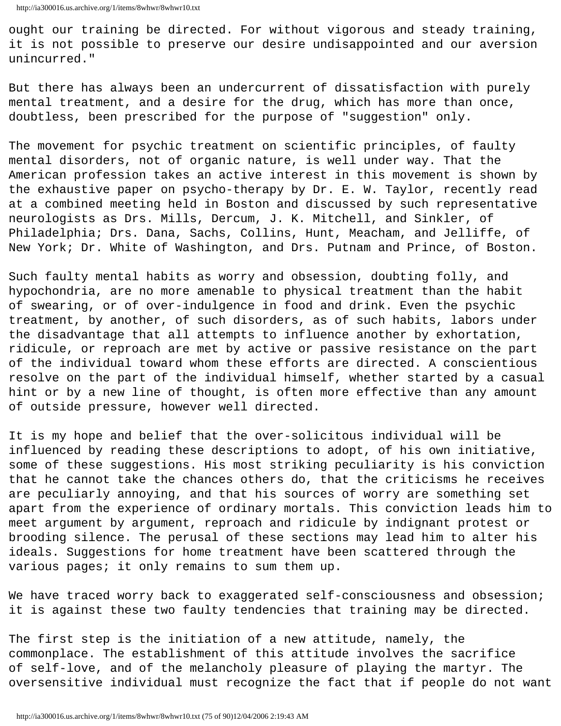ought our training be directed. For without vigorous and steady training, it is not possible to preserve our desire undisappointed and our aversion unincurred."

But there has always been an undercurrent of dissatisfaction with purely mental treatment, and a desire for the drug, which has more than once, doubtless, been prescribed for the purpose of "suggestion" only.

The movement for psychic treatment on scientific principles, of faulty mental disorders, not of organic nature, is well under way. That the American profession takes an active interest in this movement is shown by the exhaustive paper on psycho-therapy by Dr. E. W. Taylor, recently read at a combined meeting held in Boston and discussed by such representative neurologists as Drs. Mills, Dercum, J. K. Mitchell, and Sinkler, of Philadelphia; Drs. Dana, Sachs, Collins, Hunt, Meacham, and Jelliffe, of New York; Dr. White of Washington, and Drs. Putnam and Prince, of Boston.

Such faulty mental habits as worry and obsession, doubting folly, and hypochondria, are no more amenable to physical treatment than the habit of swearing, or of over-indulgence in food and drink. Even the psychic treatment, by another, of such disorders, as of such habits, labors under the disadvantage that all attempts to influence another by exhortation, ridicule, or reproach are met by active or passive resistance on the part of the individual toward whom these efforts are directed. A conscientious resolve on the part of the individual himself, whether started by a casual hint or by a new line of thought, is often more effective than any amount of outside pressure, however well directed.

It is my hope and belief that the over-solicitous individual will be influenced by reading these descriptions to adopt, of his own initiative, some of these suggestions. His most striking peculiarity is his conviction that he cannot take the chances others do, that the criticisms he receives are peculiarly annoying, and that his sources of worry are something set apart from the experience of ordinary mortals. This conviction leads him to meet argument by argument, reproach and ridicule by indignant protest or brooding silence. The perusal of these sections may lead him to alter his ideals. Suggestions for home treatment have been scattered through the various pages; it only remains to sum them up.

We have traced worry back to exaggerated self-consciousness and obsession; it is against these two faulty tendencies that training may be directed.

The first step is the initiation of a new attitude, namely, the commonplace. The establishment of this attitude involves the sacrifice of self-love, and of the melancholy pleasure of playing the martyr. The oversensitive individual must recognize the fact that if people do not want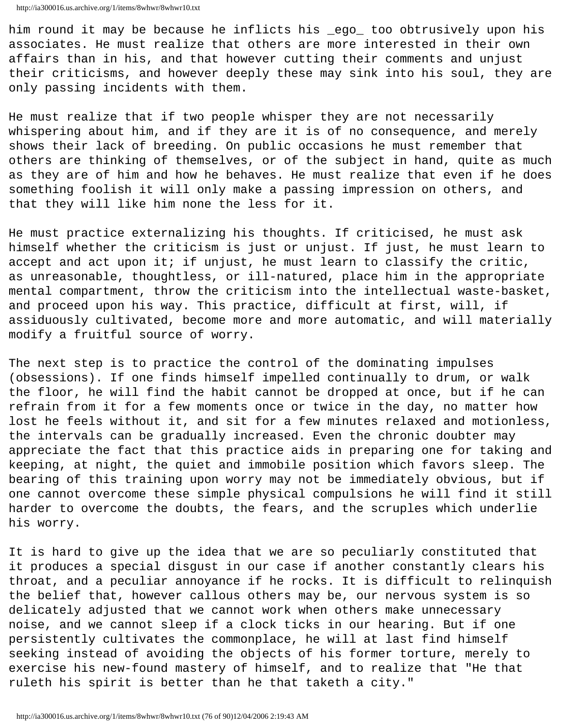him round it may be because he inflicts his \_ego\_ too obtrusively upon his associates. He must realize that others are more interested in their own affairs than in his, and that however cutting their comments and unjust their criticisms, and however deeply these may sink into his soul, they are only passing incidents with them.

He must realize that if two people whisper they are not necessarily whispering about him, and if they are it is of no consequence, and merely shows their lack of breeding. On public occasions he must remember that others are thinking of themselves, or of the subject in hand, quite as much as they are of him and how he behaves. He must realize that even if he does something foolish it will only make a passing impression on others, and that they will like him none the less for it.

He must practice externalizing his thoughts. If criticised, he must ask himself whether the criticism is just or unjust. If just, he must learn to accept and act upon it; if unjust, he must learn to classify the critic, as unreasonable, thoughtless, or ill-natured, place him in the appropriate mental compartment, throw the criticism into the intellectual waste-basket, and proceed upon his way. This practice, difficult at first, will, if assiduously cultivated, become more and more automatic, and will materially modify a fruitful source of worry.

The next step is to practice the control of the dominating impulses (obsessions). If one finds himself impelled continually to drum, or walk the floor, he will find the habit cannot be dropped at once, but if he can refrain from it for a few moments once or twice in the day, no matter how lost he feels without it, and sit for a few minutes relaxed and motionless, the intervals can be gradually increased. Even the chronic doubter may appreciate the fact that this practice aids in preparing one for taking and keeping, at night, the quiet and immobile position which favors sleep. The bearing of this training upon worry may not be immediately obvious, but if one cannot overcome these simple physical compulsions he will find it still harder to overcome the doubts, the fears, and the scruples which underlie his worry.

It is hard to give up the idea that we are so peculiarly constituted that it produces a special disgust in our case if another constantly clears his throat, and a peculiar annoyance if he rocks. It is difficult to relinquish the belief that, however callous others may be, our nervous system is so delicately adjusted that we cannot work when others make unnecessary noise, and we cannot sleep if a clock ticks in our hearing. But if one persistently cultivates the commonplace, he will at last find himself seeking instead of avoiding the objects of his former torture, merely to exercise his new-found mastery of himself, and to realize that "He that ruleth his spirit is better than he that taketh a city."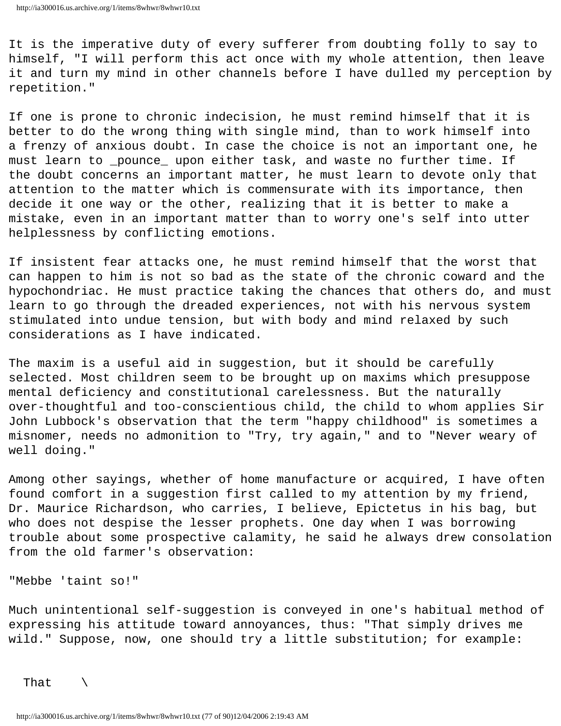It is the imperative duty of every sufferer from doubting folly to say to himself, "I will perform this act once with my whole attention, then leave it and turn my mind in other channels before I have dulled my perception by repetition."

If one is prone to chronic indecision, he must remind himself that it is better to do the wrong thing with single mind, than to work himself into a frenzy of anxious doubt. In case the choice is not an important one, he must learn to \_pounce\_ upon either task, and waste no further time. If the doubt concerns an important matter, he must learn to devote only that attention to the matter which is commensurate with its importance, then decide it one way or the other, realizing that it is better to make a mistake, even in an important matter than to worry one's self into utter helplessness by conflicting emotions.

If insistent fear attacks one, he must remind himself that the worst that can happen to him is not so bad as the state of the chronic coward and the hypochondriac. He must practice taking the chances that others do, and must learn to go through the dreaded experiences, not with his nervous system stimulated into undue tension, but with body and mind relaxed by such considerations as I have indicated.

The maxim is a useful aid in suggestion, but it should be carefully selected. Most children seem to be brought up on maxims which presuppose mental deficiency and constitutional carelessness. But the naturally over-thoughtful and too-conscientious child, the child to whom applies Sir John Lubbock's observation that the term "happy childhood" is sometimes a misnomer, needs no admonition to "Try, try again," and to "Never weary of well doing."

Among other sayings, whether of home manufacture or acquired, I have often found comfort in a suggestion first called to my attention by my friend, Dr. Maurice Richardson, who carries, I believe, Epictetus in his bag, but who does not despise the lesser prophets. One day when I was borrowing trouble about some prospective calamity, he said he always drew consolation from the old farmer's observation:

"Mebbe 'taint so!"

Much unintentional self-suggestion is conveyed in one's habitual method of expressing his attitude toward annoyances, thus: "That simply drives me wild." Suppose, now, one should try a little substitution; for example:

That  $\setminus$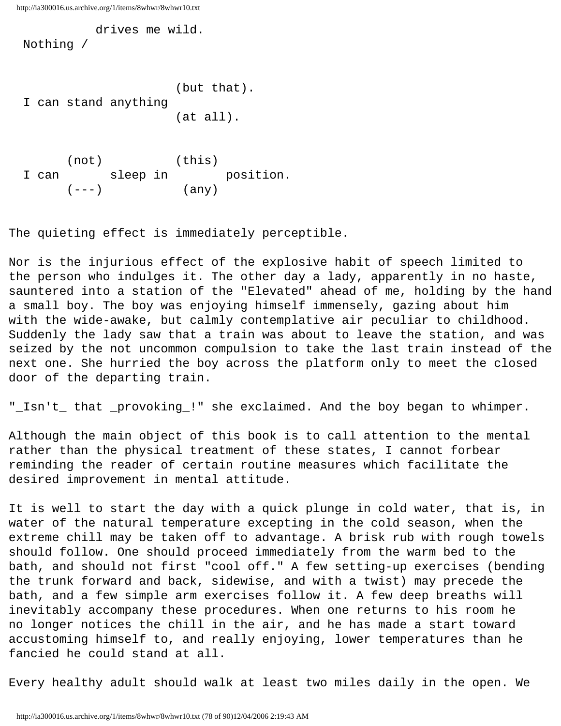drives me wild.

Nothing /

```
 (but that).
I can stand anything
                        (at all).
```

```
 (not) (this)
I can sleep in position.
  (---) (any)
```
The quieting effect is immediately perceptible.

Nor is the injurious effect of the explosive habit of speech limited to the person who indulges it. The other day a lady, apparently in no haste, sauntered into a station of the "Elevated" ahead of me, holding by the hand a small boy. The boy was enjoying himself immensely, gazing about him with the wide-awake, but calmly contemplative air peculiar to childhood. Suddenly the lady saw that a train was about to leave the station, and was seized by the not uncommon compulsion to take the last train instead of the next one. She hurried the boy across the platform only to meet the closed door of the departing train.

"\_Isn't\_ that \_provoking\_!" she exclaimed. And the boy began to whimper.

Although the main object of this book is to call attention to the mental rather than the physical treatment of these states, I cannot forbear reminding the reader of certain routine measures which facilitate the desired improvement in mental attitude.

It is well to start the day with a quick plunge in cold water, that is, in water of the natural temperature excepting in the cold season, when the extreme chill may be taken off to advantage. A brisk rub with rough towels should follow. One should proceed immediately from the warm bed to the bath, and should not first "cool off." A few setting-up exercises (bending the trunk forward and back, sidewise, and with a twist) may precede the bath, and a few simple arm exercises follow it. A few deep breaths will inevitably accompany these procedures. When one returns to his room he no longer notices the chill in the air, and he has made a start toward accustoming himself to, and really enjoying, lower temperatures than he fancied he could stand at all.

Every healthy adult should walk at least two miles daily in the open. We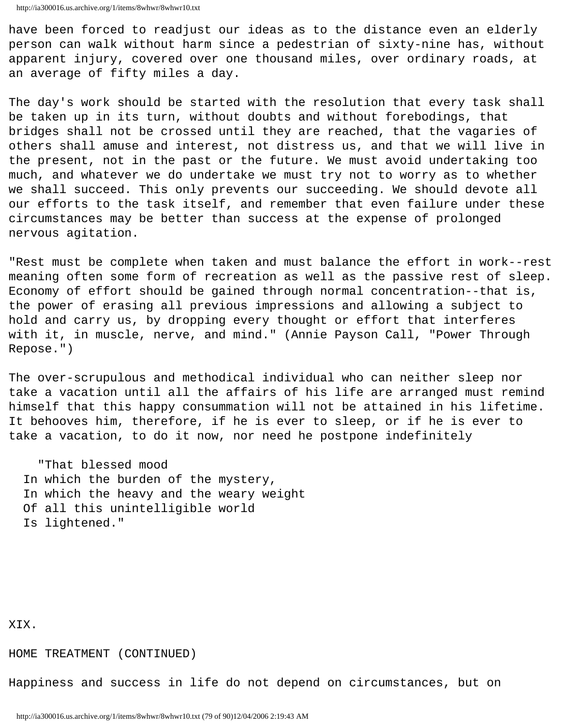have been forced to readjust our ideas as to the distance even an elderly person can walk without harm since a pedestrian of sixty-nine has, without apparent injury, covered over one thousand miles, over ordinary roads, at an average of fifty miles a day.

The day's work should be started with the resolution that every task shall be taken up in its turn, without doubts and without forebodings, that bridges shall not be crossed until they are reached, that the vagaries of others shall amuse and interest, not distress us, and that we will live in the present, not in the past or the future. We must avoid undertaking too much, and whatever we do undertake we must try not to worry as to whether we shall succeed. This only prevents our succeeding. We should devote all our efforts to the task itself, and remember that even failure under these circumstances may be better than success at the expense of prolonged nervous agitation.

"Rest must be complete when taken and must balance the effort in work--rest meaning often some form of recreation as well as the passive rest of sleep. Economy of effort should be gained through normal concentration--that is, the power of erasing all previous impressions and allowing a subject to hold and carry us, by dropping every thought or effort that interferes with it, in muscle, nerve, and mind." (Annie Payson Call, "Power Through Repose.")

The over-scrupulous and methodical individual who can neither sleep nor take a vacation until all the affairs of his life are arranged must remind himself that this happy consummation will not be attained in his lifetime. It behooves him, therefore, if he is ever to sleep, or if he is ever to take a vacation, to do it now, nor need he postpone indefinitely

 "That blessed mood In which the burden of the mystery, In which the heavy and the weary weight Of all this unintelligible world Is lightened."

XIX.

HOME TREATMENT (CONTINUED)

Happiness and success in life do not depend on circumstances, but on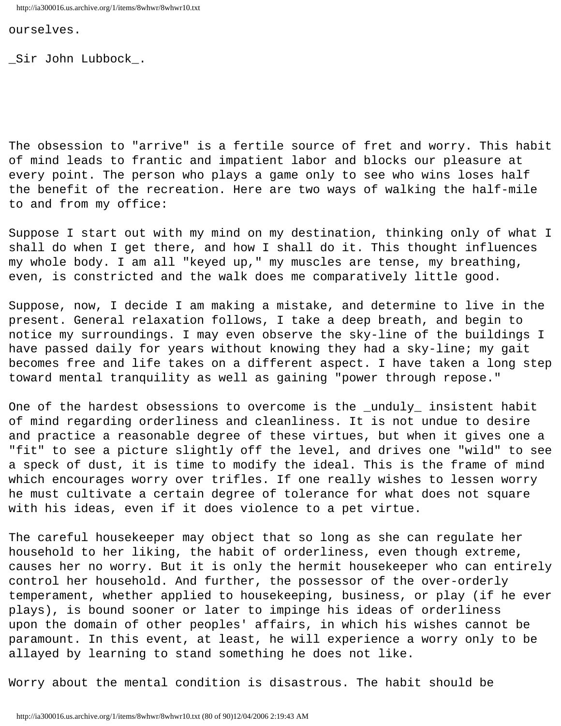ourselves.

\_Sir John Lubbock\_.

The obsession to "arrive" is a fertile source of fret and worry. This habit of mind leads to frantic and impatient labor and blocks our pleasure at every point. The person who plays a game only to see who wins loses half the benefit of the recreation. Here are two ways of walking the half-mile to and from my office:

Suppose I start out with my mind on my destination, thinking only of what I shall do when I get there, and how I shall do it. This thought influences my whole body. I am all "keyed up," my muscles are tense, my breathing, even, is constricted and the walk does me comparatively little good.

Suppose, now, I decide I am making a mistake, and determine to live in the present. General relaxation follows, I take a deep breath, and begin to notice my surroundings. I may even observe the sky-line of the buildings I have passed daily for years without knowing they had a sky-line; my gait becomes free and life takes on a different aspect. I have taken a long step toward mental tranquility as well as gaining "power through repose."

One of the hardest obsessions to overcome is the \_unduly\_ insistent habit of mind regarding orderliness and cleanliness. It is not undue to desire and practice a reasonable degree of these virtues, but when it gives one a "fit" to see a picture slightly off the level, and drives one "wild" to see a speck of dust, it is time to modify the ideal. This is the frame of mind which encourages worry over trifles. If one really wishes to lessen worry he must cultivate a certain degree of tolerance for what does not square with his ideas, even if it does violence to a pet virtue.

The careful housekeeper may object that so long as she can regulate her household to her liking, the habit of orderliness, even though extreme, causes her no worry. But it is only the hermit housekeeper who can entirely control her household. And further, the possessor of the over-orderly temperament, whether applied to housekeeping, business, or play (if he ever plays), is bound sooner or later to impinge his ideas of orderliness upon the domain of other peoples' affairs, in which his wishes cannot be paramount. In this event, at least, he will experience a worry only to be allayed by learning to stand something he does not like.

Worry about the mental condition is disastrous. The habit should be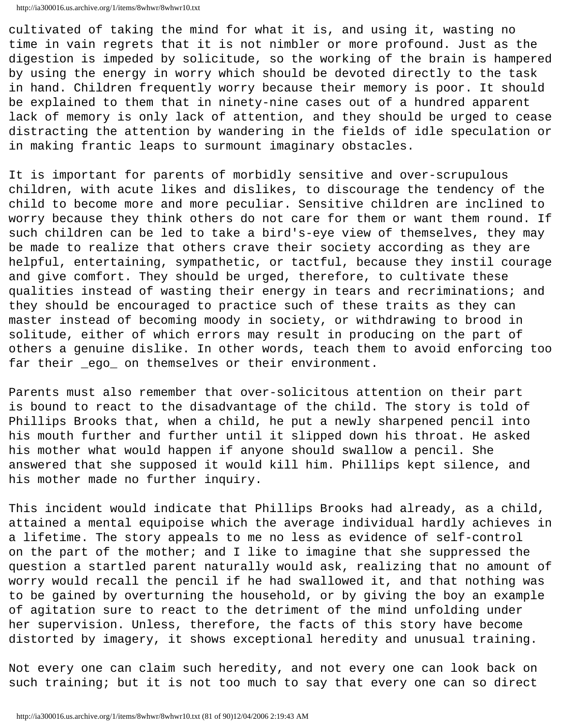```
http://ia300016.us.archive.org/1/items/8whwr/8whwr10.txt
```
cultivated of taking the mind for what it is, and using it, wasting no time in vain regrets that it is not nimbler or more profound. Just as the digestion is impeded by solicitude, so the working of the brain is hampered by using the energy in worry which should be devoted directly to the task in hand. Children frequently worry because their memory is poor. It should be explained to them that in ninety-nine cases out of a hundred apparent lack of memory is only lack of attention, and they should be urged to cease distracting the attention by wandering in the fields of idle speculation or in making frantic leaps to surmount imaginary obstacles.

It is important for parents of morbidly sensitive and over-scrupulous children, with acute likes and dislikes, to discourage the tendency of the child to become more and more peculiar. Sensitive children are inclined to worry because they think others do not care for them or want them round. If such children can be led to take a bird's-eye view of themselves, they may be made to realize that others crave their society according as they are helpful, entertaining, sympathetic, or tactful, because they instil courage and give comfort. They should be urged, therefore, to cultivate these qualities instead of wasting their energy in tears and recriminations; and they should be encouraged to practice such of these traits as they can master instead of becoming moody in society, or withdrawing to brood in solitude, either of which errors may result in producing on the part of others a genuine dislike. In other words, teach them to avoid enforcing too far their ego\_ on themselves or their environment.

Parents must also remember that over-solicitous attention on their part is bound to react to the disadvantage of the child. The story is told of Phillips Brooks that, when a child, he put a newly sharpened pencil into his mouth further and further until it slipped down his throat. He asked his mother what would happen if anyone should swallow a pencil. She answered that she supposed it would kill him. Phillips kept silence, and his mother made no further inquiry.

This incident would indicate that Phillips Brooks had already, as a child, attained a mental equipoise which the average individual hardly achieves in a lifetime. The story appeals to me no less as evidence of self-control on the part of the mother; and I like to imagine that she suppressed the question a startled parent naturally would ask, realizing that no amount of worry would recall the pencil if he had swallowed it, and that nothing was to be gained by overturning the household, or by giving the boy an example of agitation sure to react to the detriment of the mind unfolding under her supervision. Unless, therefore, the facts of this story have become distorted by imagery, it shows exceptional heredity and unusual training.

Not every one can claim such heredity, and not every one can look back on such training; but it is not too much to say that every one can so direct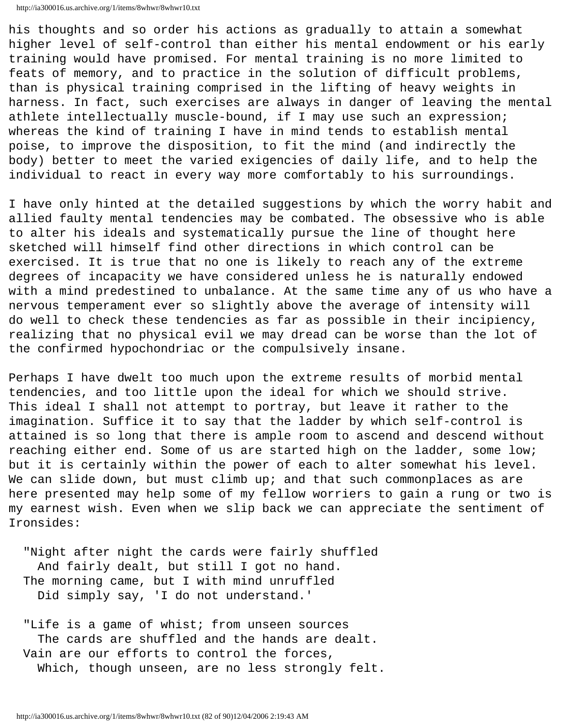```
http://ia300016.us.archive.org/1/items/8whwr/8whwr10.txt
```
his thoughts and so order his actions as gradually to attain a somewhat higher level of self-control than either his mental endowment or his early training would have promised. For mental training is no more limited to feats of memory, and to practice in the solution of difficult problems, than is physical training comprised in the lifting of heavy weights in harness. In fact, such exercises are always in danger of leaving the mental athlete intellectually muscle-bound, if I may use such an expression; whereas the kind of training I have in mind tends to establish mental poise, to improve the disposition, to fit the mind (and indirectly the body) better to meet the varied exigencies of daily life, and to help the individual to react in every way more comfortably to his surroundings.

I have only hinted at the detailed suggestions by which the worry habit and allied faulty mental tendencies may be combated. The obsessive who is able to alter his ideals and systematically pursue the line of thought here sketched will himself find other directions in which control can be exercised. It is true that no one is likely to reach any of the extreme degrees of incapacity we have considered unless he is naturally endowed with a mind predestined to unbalance. At the same time any of us who have a nervous temperament ever so slightly above the average of intensity will do well to check these tendencies as far as possible in their incipiency, realizing that no physical evil we may dread can be worse than the lot of the confirmed hypochondriac or the compulsively insane.

Perhaps I have dwelt too much upon the extreme results of morbid mental tendencies, and too little upon the ideal for which we should strive. This ideal I shall not attempt to portray, but leave it rather to the imagination. Suffice it to say that the ladder by which self-control is attained is so long that there is ample room to ascend and descend without reaching either end. Some of us are started high on the ladder, some low; but it is certainly within the power of each to alter somewhat his level. We can slide down, but must climb up; and that such commonplaces as are here presented may help some of my fellow worriers to gain a rung or two is my earnest wish. Even when we slip back we can appreciate the sentiment of Ironsides:

 "Night after night the cards were fairly shuffled And fairly dealt, but still I got no hand. The morning came, but I with mind unruffled Did simply say, 'I do not understand.'

 "Life is a game of whist; from unseen sources The cards are shuffled and the hands are dealt. Vain are our efforts to control the forces, Which, though unseen, are no less strongly felt.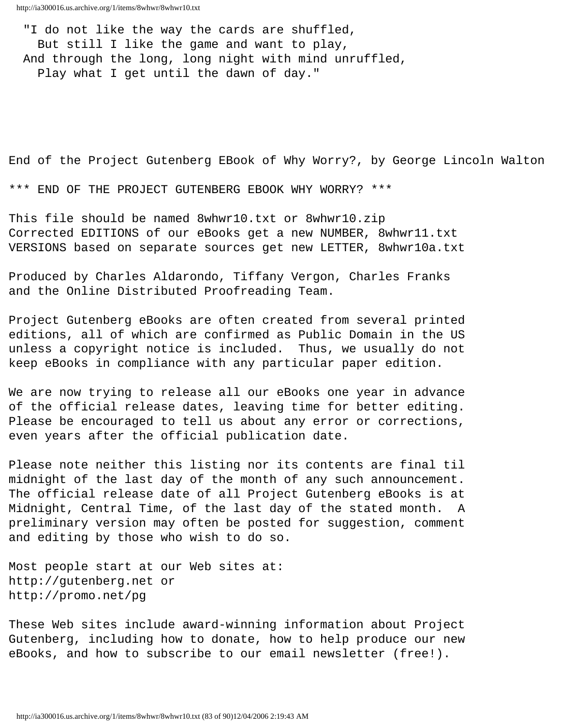"I do not like the way the cards are shuffled, But still I like the game and want to play, And through the long, long night with mind unruffled, Play what I get until the dawn of day."

End of the Project Gutenberg EBook of Why Worry?, by George Lincoln Walton

\*\*\* END OF THE PROJECT GUTENBERG EBOOK WHY WORRY? \*\*\*

This file should be named 8whwr10.txt or 8whwr10.zip Corrected EDITIONS of our eBooks get a new NUMBER, 8whwr11.txt VERSIONS based on separate sources get new LETTER, 8whwr10a.txt

Produced by Charles Aldarondo, Tiffany Vergon, Charles Franks and the Online Distributed Proofreading Team.

Project Gutenberg eBooks are often created from several printed editions, all of which are confirmed as Public Domain in the US unless a copyright notice is included. Thus, we usually do not keep eBooks in compliance with any particular paper edition.

We are now trying to release all our eBooks one year in advance of the official release dates, leaving time for better editing. Please be encouraged to tell us about any error or corrections, even years after the official publication date.

Please note neither this listing nor its contents are final til midnight of the last day of the month of any such announcement. The official release date of all Project Gutenberg eBooks is at Midnight, Central Time, of the last day of the stated month. A preliminary version may often be posted for suggestion, comment and editing by those who wish to do so.

Most people start at our Web sites at: http://gutenberg.net or http://promo.net/pg

These Web sites include award-winning information about Project Gutenberg, including how to donate, how to help produce our new eBooks, and how to subscribe to our email newsletter (free!).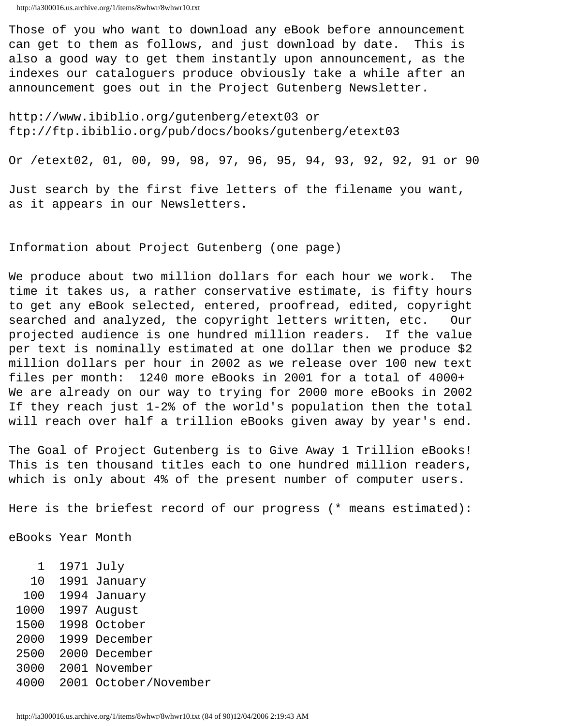Those of you who want to download any eBook before announcement can get to them as follows, and just download by date. This is also a good way to get them instantly upon announcement, as the indexes our cataloguers produce obviously take a while after an announcement goes out in the Project Gutenberg Newsletter.

http://www.ibiblio.org/gutenberg/etext03 or ftp://ftp.ibiblio.org/pub/docs/books/gutenberg/etext03

Or /etext02, 01, 00, 99, 98, 97, 96, 95, 94, 93, 92, 92, 91 or 90

Just search by the first five letters of the filename you want, as it appears in our Newsletters.

Information about Project Gutenberg (one page)

We produce about two million dollars for each hour we work. The time it takes us, a rather conservative estimate, is fifty hours to get any eBook selected, entered, proofread, edited, copyright searched and analyzed, the copyright letters written, etc. Our projected audience is one hundred million readers. If the value per text is nominally estimated at one dollar then we produce \$2 million dollars per hour in 2002 as we release over 100 new text files per month: 1240 more eBooks in 2001 for a total of 4000+ We are already on our way to trying for 2000 more eBooks in 2002 If they reach just 1-2% of the world's population then the total will reach over half a trillion eBooks given away by year's end.

The Goal of Project Gutenberg is to Give Away 1 Trillion eBooks! This is ten thousand titles each to one hundred million readers, which is only about 4% of the present number of computer users.

Here is the briefest record of our progress (\* means estimated):

eBooks Year Month

- 1 1971 July
- 10 1991 January
- 100 1994 January
- 1000 1997 August
- 1500 1998 October
- 2000 1999 December
- 2500 2000 December
- 3000 2001 November
- 4000 2001 October/November

http://ia300016.us.archive.org/1/items/8whwr/8whwr10.txt (84 of 90)12/04/2006 2:19:43 AM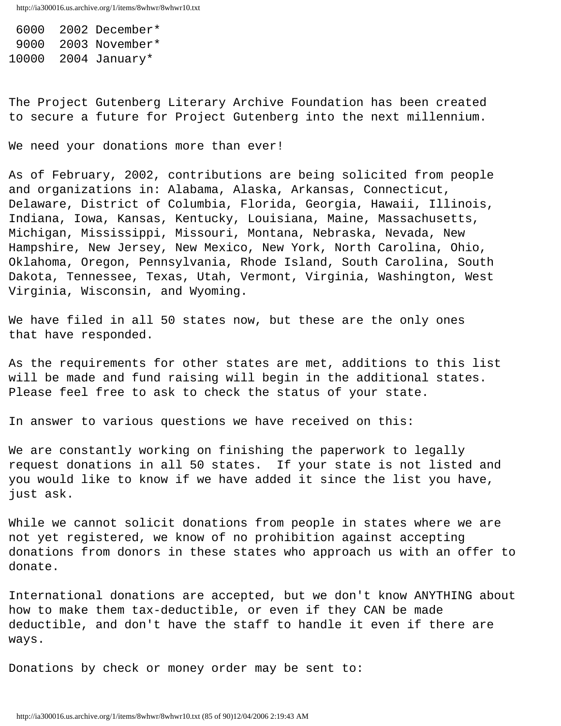6000 2002 December\* 9000 2003 November\* 10000 2004 January\*

The Project Gutenberg Literary Archive Foundation has been created to secure a future for Project Gutenberg into the next millennium.

We need your donations more than ever!

As of February, 2002, contributions are being solicited from people and organizations in: Alabama, Alaska, Arkansas, Connecticut, Delaware, District of Columbia, Florida, Georgia, Hawaii, Illinois, Indiana, Iowa, Kansas, Kentucky, Louisiana, Maine, Massachusetts, Michigan, Mississippi, Missouri, Montana, Nebraska, Nevada, New Hampshire, New Jersey, New Mexico, New York, North Carolina, Ohio, Oklahoma, Oregon, Pennsylvania, Rhode Island, South Carolina, South Dakota, Tennessee, Texas, Utah, Vermont, Virginia, Washington, West Virginia, Wisconsin, and Wyoming.

We have filed in all 50 states now, but these are the only ones that have responded.

As the requirements for other states are met, additions to this list will be made and fund raising will begin in the additional states. Please feel free to ask to check the status of your state.

In answer to various questions we have received on this:

We are constantly working on finishing the paperwork to legally request donations in all 50 states. If your state is not listed and you would like to know if we have added it since the list you have, just ask.

While we cannot solicit donations from people in states where we are not yet registered, we know of no prohibition against accepting donations from donors in these states who approach us with an offer to donate.

International donations are accepted, but we don't know ANYTHING about how to make them tax-deductible, or even if they CAN be made deductible, and don't have the staff to handle it even if there are ways.

Donations by check or money order may be sent to: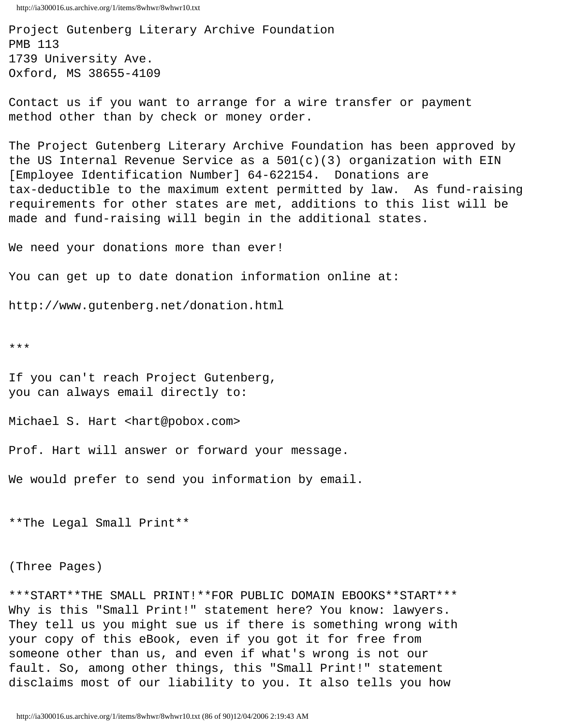Project Gutenberg Literary Archive Foundation PMB 113 1739 University Ave. Oxford, MS 38655-4109

Contact us if you want to arrange for a wire transfer or payment method other than by check or money order.

The Project Gutenberg Literary Archive Foundation has been approved by the US Internal Revenue Service as a  $501(c)(3)$  organization with EIN [Employee Identification Number] 64-622154. Donations are tax-deductible to the maximum extent permitted by law. As fund-raising requirements for other states are met, additions to this list will be made and fund-raising will begin in the additional states.

We need your donations more than ever!

You can get up to date donation information online at:

http://www.gutenberg.net/donation.html

\*\*\*

If you can't reach Project Gutenberg, you can always email directly to:

Michael S. Hart <hart@pobox.com>

Prof. Hart will answer or forward your message.

We would prefer to send you information by email.

\*\*The Legal Small Print\*\*

(Three Pages)

\*\*\*START\*\*THE SMALL PRINT!\*\*FOR PUBLIC DOMAIN EBOOKS\*\*START\*\*\* Why is this "Small Print!" statement here? You know: lawyers. They tell us you might sue us if there is something wrong with your copy of this eBook, even if you got it for free from someone other than us, and even if what's wrong is not our fault. So, among other things, this "Small Print!" statement disclaims most of our liability to you. It also tells you how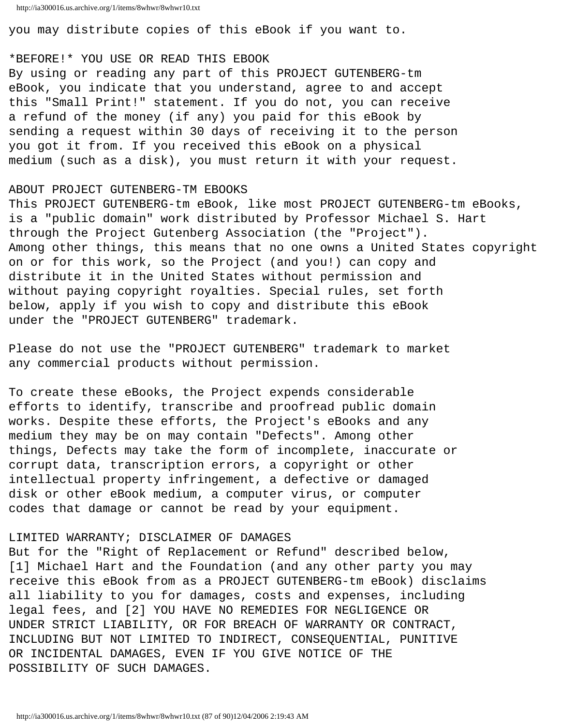you may distribute copies of this eBook if you want to.

### \*BEFORE!\* YOU USE OR READ THIS EBOOK

By using or reading any part of this PROJECT GUTENBERG-tm eBook, you indicate that you understand, agree to and accept this "Small Print!" statement. If you do not, you can receive a refund of the money (if any) you paid for this eBook by sending a request within 30 days of receiving it to the person you got it from. If you received this eBook on a physical medium (such as a disk), you must return it with your request.

## ABOUT PROJECT GUTENBERG-TM EBOOKS

This PROJECT GUTENBERG-tm eBook, like most PROJECT GUTENBERG-tm eBooks, is a "public domain" work distributed by Professor Michael S. Hart through the Project Gutenberg Association (the "Project"). Among other things, this means that no one owns a United States copyright on or for this work, so the Project (and you!) can copy and distribute it in the United States without permission and without paying copyright royalties. Special rules, set forth below, apply if you wish to copy and distribute this eBook under the "PROJECT GUTENBERG" trademark.

Please do not use the "PROJECT GUTENBERG" trademark to market any commercial products without permission.

To create these eBooks, the Project expends considerable efforts to identify, transcribe and proofread public domain works. Despite these efforts, the Project's eBooks and any medium they may be on may contain "Defects". Among other things, Defects may take the form of incomplete, inaccurate or corrupt data, transcription errors, a copyright or other intellectual property infringement, a defective or damaged disk or other eBook medium, a computer virus, or computer codes that damage or cannot be read by your equipment.

### LIMITED WARRANTY; DISCLAIMER OF DAMAGES

But for the "Right of Replacement or Refund" described below, [1] Michael Hart and the Foundation (and any other party you may receive this eBook from as a PROJECT GUTENBERG-tm eBook) disclaims all liability to you for damages, costs and expenses, including legal fees, and [2] YOU HAVE NO REMEDIES FOR NEGLIGENCE OR UNDER STRICT LIABILITY, OR FOR BREACH OF WARRANTY OR CONTRACT, INCLUDING BUT NOT LIMITED TO INDIRECT, CONSEQUENTIAL, PUNITIVE OR INCIDENTAL DAMAGES, EVEN IF YOU GIVE NOTICE OF THE POSSIBILITY OF SUCH DAMAGES.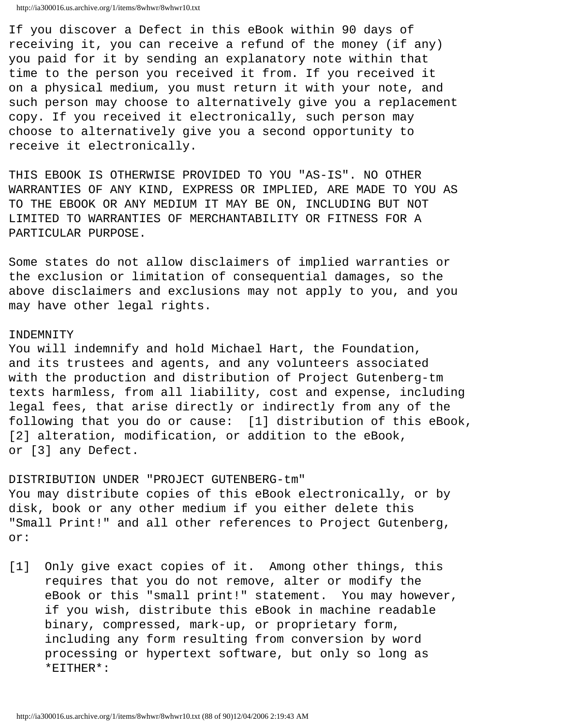```
http://ia300016.us.archive.org/1/items/8whwr/8whwr10.txt
```
If you discover a Defect in this eBook within 90 days of receiving it, you can receive a refund of the money (if any) you paid for it by sending an explanatory note within that time to the person you received it from. If you received it on a physical medium, you must return it with your note, and such person may choose to alternatively give you a replacement copy. If you received it electronically, such person may choose to alternatively give you a second opportunity to receive it electronically.

THIS EBOOK IS OTHERWISE PROVIDED TO YOU "AS-IS". NO OTHER WARRANTIES OF ANY KIND, EXPRESS OR IMPLIED, ARE MADE TO YOU AS TO THE EBOOK OR ANY MEDIUM IT MAY BE ON, INCLUDING BUT NOT LIMITED TO WARRANTIES OF MERCHANTABILITY OR FITNESS FOR A PARTICULAR PURPOSE.

Some states do not allow disclaimers of implied warranties or the exclusion or limitation of consequential damages, so the above disclaimers and exclusions may not apply to you, and you may have other legal rights.

# INDEMNITY

You will indemnify and hold Michael Hart, the Foundation, and its trustees and agents, and any volunteers associated with the production and distribution of Project Gutenberg-tm texts harmless, from all liability, cost and expense, including legal fees, that arise directly or indirectly from any of the following that you do or cause: [1] distribution of this eBook, [2] alteration, modification, or addition to the eBook, or [3] any Defect.

DISTRIBUTION UNDER "PROJECT GUTENBERG-tm" You may distribute copies of this eBook electronically, or by disk, book or any other medium if you either delete this "Small Print!" and all other references to Project Gutenberg, or:

[1] Only give exact copies of it. Among other things, this requires that you do not remove, alter or modify the eBook or this "small print!" statement. You may however, if you wish, distribute this eBook in machine readable binary, compressed, mark-up, or proprietary form, including any form resulting from conversion by word processing or hypertext software, but only so long as \*EITHER\*: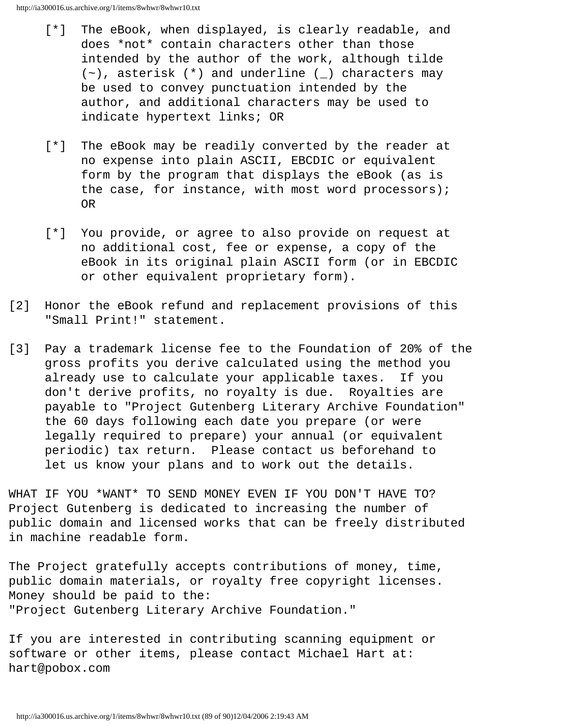- [\*] The eBook, when displayed, is clearly readable, and does \*not\* contain characters other than those intended by the author of the work, although tilde  $(\sim)$ , asterisk  $(*)$  and underline  $(\_)$  characters may be used to convey punctuation intended by the author, and additional characters may be used to indicate hypertext links; OR
- [\*] The eBook may be readily converted by the reader at no expense into plain ASCII, EBCDIC or equivalent form by the program that displays the eBook (as is the case, for instance, with most word processors); OR
- [\*] You provide, or agree to also provide on request at no additional cost, fee or expense, a copy of the eBook in its original plain ASCII form (or in EBCDIC or other equivalent proprietary form).
- [2] Honor the eBook refund and replacement provisions of this "Small Print!" statement.
- [3] Pay a trademark license fee to the Foundation of 20% of the gross profits you derive calculated using the method you already use to calculate your applicable taxes. If you don't derive profits, no royalty is due. Royalties are payable to "Project Gutenberg Literary Archive Foundation" the 60 days following each date you prepare (or were legally required to prepare) your annual (or equivalent periodic) tax return. Please contact us beforehand to let us know your plans and to work out the details.

WHAT IF YOU \*WANT\* TO SEND MONEY EVEN IF YOU DON'T HAVE TO? Project Gutenberg is dedicated to increasing the number of public domain and licensed works that can be freely distributed in machine readable form.

The Project gratefully accepts contributions of money, time, public domain materials, or royalty free copyright licenses. Money should be paid to the: "Project Gutenberg Literary Archive Foundation."

If you are interested in contributing scanning equipment or software or other items, please contact Michael Hart at: hart@pobox.com